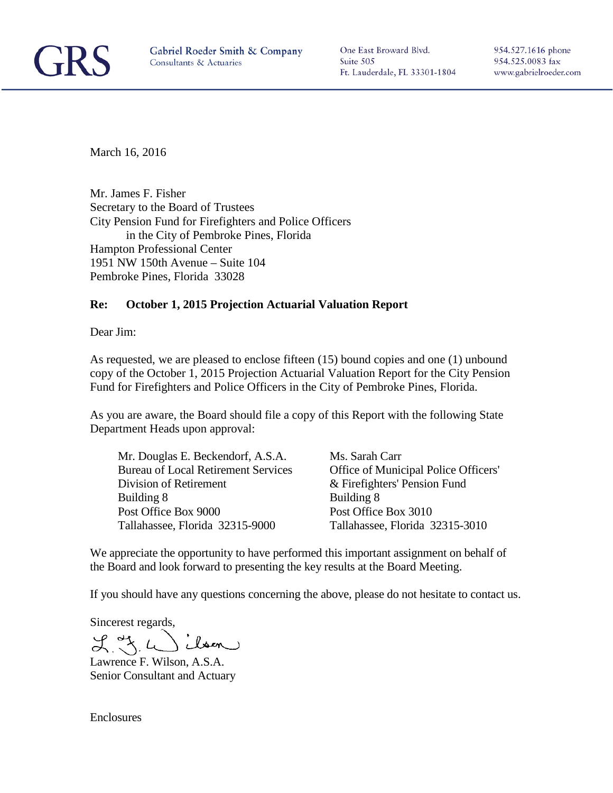

One East Broward Blvd. Suite 505 Ft. Lauderdale, FL 33301-1804 954.527.1616 phone 954.525.0083 fax www.gabrielroeder.com

March 16, 2016

Mr. James F. Fisher Secretary to the Board of Trustees City Pension Fund for Firefighters and Police Officers in the City of Pembroke Pines, Florida Hampton Professional Center 1951 NW 150th Avenue – Suite 104 Pembroke Pines, Florida 33028

#### **Re: October 1, 2015 Projection Actuarial Valuation Report**

Dear Jim:

As requested, we are pleased to enclose fifteen (15) bound copies and one (1) unbound copy of the October 1, 2015 Projection Actuarial Valuation Report for the City Pension Fund for Firefighters and Police Officers in the City of Pembroke Pines, Florida.

As you are aware, the Board should file a copy of this Report with the following State Department Heads upon approval:

Mr. Douglas E. Beckendorf, A.S.A. Ms. Sarah Carr<br>Bureau of Local Retirement Services Office of Munic Division of Retirement  $\&$  Firefighters' Pension Fund Building 8 Building 8 Post Office Box 9000 Post Office Box 3010 Tallahassee, Florida 32315-9000 Tallahassee, Florida 32315-3010

Office of Municipal Police Officers'

We appreciate the opportunity to have performed this important assignment on behalf of the Board and look forward to presenting the key results at the Board Meeting.

If you should have any questions concerning the above, please do not hesitate to contact us.

Sincerest regards,

ilson  $L_{\rm X}$  of  $L$ 

Lawrence F. Wilson, A.S.A. Senior Consultant and Actuary

**Enclosures**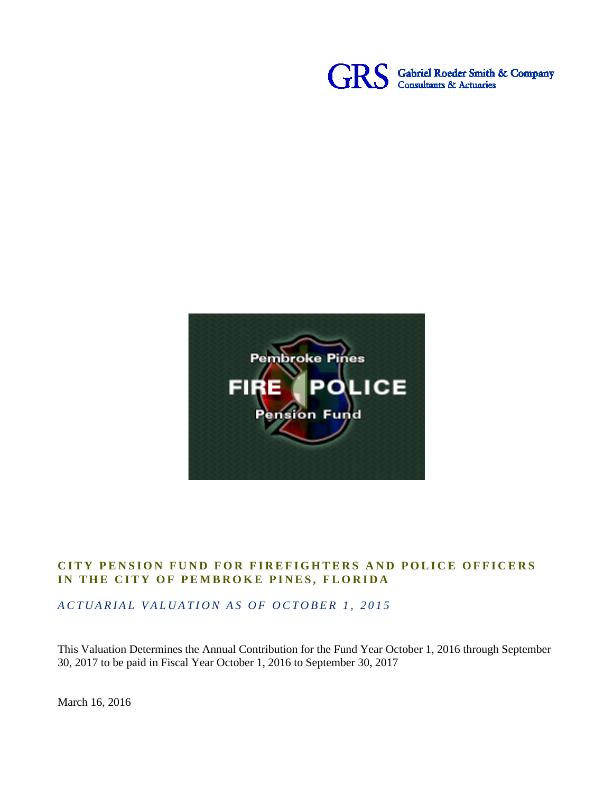



### **CITY PENSION FUND FO R FIREFIGHTERS AND POL ICE OFFICERS** IN THE CITY OF PEMBROKE PINES, FLORIDA

ACTUARIAL VALUATION AS OF OCTOBER 1, 2015

This Valuation Determines the Annual Contribution for the Fund Year October 1, 2016 through September 30, 2017 to be paid in Fiscal Year October 1, 2016 to September 30, 2017

March 16, 2016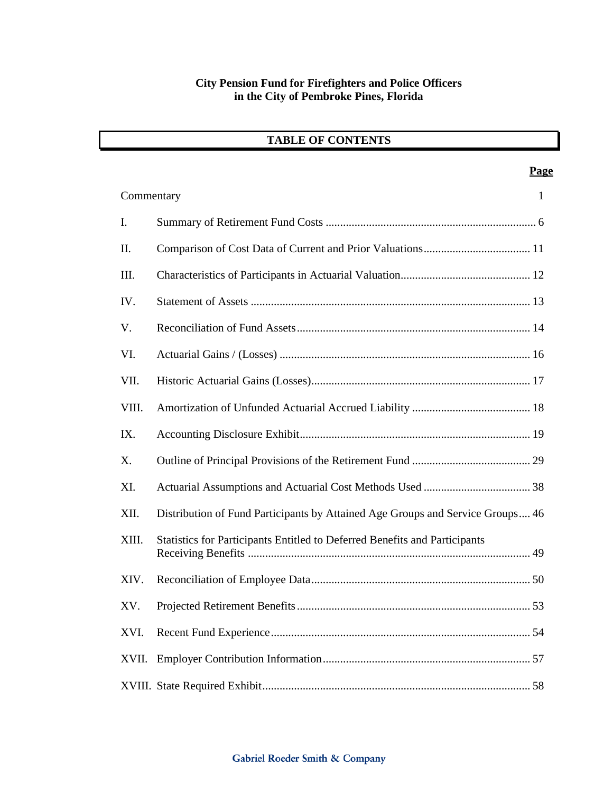## **TABLE OF CONTENTS**

| Commentary  | $\mathbf{1}$                                                                   |
|-------------|--------------------------------------------------------------------------------|
| I.          |                                                                                |
| II.         |                                                                                |
| III.        |                                                                                |
| IV.         |                                                                                |
| V.          |                                                                                |
| VI.         |                                                                                |
| VII.        |                                                                                |
| VIII.       |                                                                                |
| IX.         |                                                                                |
| $X_{\cdot}$ |                                                                                |
| XI.         |                                                                                |
| XII.        | Distribution of Fund Participants by Attained Age Groups and Service Groups 46 |
| XIII.       | Statistics for Participants Entitled to Deferred Benefits and Participants     |
| XIV.        |                                                                                |
| XV.         |                                                                                |
| XVI.        |                                                                                |
| XVII.       |                                                                                |
|             |                                                                                |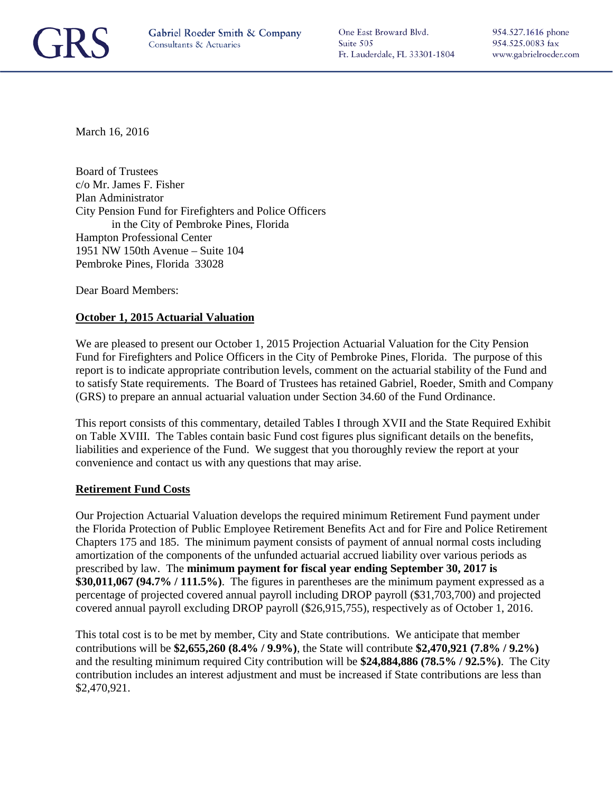

One East Broward Blvd. Suite 505 Ft. Lauderdale, FL 33301-1804

March 16, 2016

Board of Trustees c/o Mr. James F. Fisher Plan Administrator City Pension Fund for Firefighters and Police Officers in the City of Pembroke Pines, Florida Hampton Professional Center 1951 NW 150th Avenue – Suite 104 Pembroke Pines, Florida 33028

Dear Board Members:

#### **October 1, 2015 Actuarial Valuation**

We are pleased to present our October 1, 2015 Projection Actuarial Valuation for the City Pension Fund for Firefighters and Police Officers in the City of Pembroke Pines, Florida. The purpose of this report is to indicate appropriate contribution levels, comment on the actuarial stability of the Fund and to satisfy State requirements. The Board of Trustees has retained Gabriel, Roeder, Smith and Company (GRS) to prepare an annual actuarial valuation under Section 34.60 of the Fund Ordinance.

This report consists of this commentary, detailed Tables I through XVII and the State Required Exhibit on Table XVIII. The Tables contain basic Fund cost figures plus significant details on the benefits, liabilities and experience of the Fund. We suggest that you thoroughly review the report at your convenience and contact us with any questions that may arise.

#### **Retirement Fund Costs**

Our Projection Actuarial Valuation develops the required minimum Retirement Fund payment under the Florida Protection of Public Employee Retirement Benefits Act and for Fire and Police Retirement Chapters 175 and 185. The minimum payment consists of payment of annual normal costs including amortization of the components of the unfunded actuarial accrued liability over various periods as prescribed by law. The **minimum payment for fiscal year ending September 30, 2017 is \$30,011,067 (94.7% / 111.5%)**. The figures in parentheses are the minimum payment expressed as a percentage of projected covered annual payroll including DROP payroll (\$31,703,700) and projected covered annual payroll excluding DROP payroll (\$26,915,755), respectively as of October 1, 2016.

This total cost is to be met by member, City and State contributions. We anticipate that member contributions will be **\$2,655,260 (8.4% / 9.9%)**, the State will contribute **\$2,470,921 (7.8% / 9.2%)**  and the resulting minimum required City contribution will be **\$24,884,886 (78.5% / 92.5%)**. The City contribution includes an interest adjustment and must be increased if State contributions are less than \$2,470,921.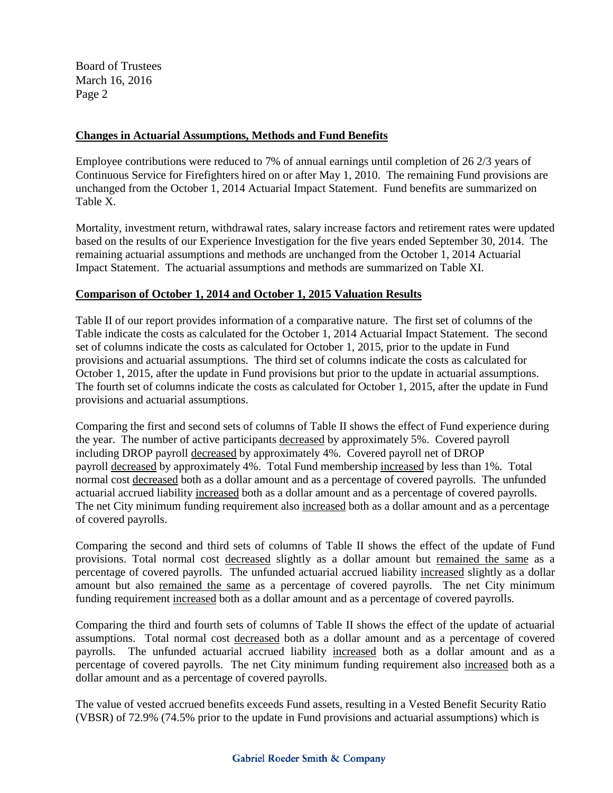#### **Changes in Actuarial Assumptions, Methods and Fund Benefits**

Employee contributions were reduced to 7% of annual earnings until completion of 26 2/3 years of Continuous Service for Firefighters hired on or after May 1, 2010. The remaining Fund provisions are unchanged from the October 1, 2014 Actuarial Impact Statement. Fund benefits are summarized on Table X.

Mortality, investment return, withdrawal rates, salary increase factors and retirement rates were updated based on the results of our Experience Investigation for the five years ended September 30, 2014. The remaining actuarial assumptions and methods are unchanged from the October 1, 2014 Actuarial Impact Statement. The actuarial assumptions and methods are summarized on Table XI.

#### **Comparison of October 1, 2014 and October 1, 2015 Valuation Results**

Table II of our report provides information of a comparative nature. The first set of columns of the Table indicate the costs as calculated for the October 1, 2014 Actuarial Impact Statement. The second set of columns indicate the costs as calculated for October 1, 2015, prior to the update in Fund provisions and actuarial assumptions. The third set of columns indicate the costs as calculated for October 1, 2015, after the update in Fund provisions but prior to the update in actuarial assumptions. The fourth set of columns indicate the costs as calculated for October 1, 2015, after the update in Fund provisions and actuarial assumptions.

Comparing the first and second sets of columns of Table II shows the effect of Fund experience during the year. The number of active participants decreased by approximately 5%. Covered payroll including DROP payroll decreased by approximately 4%. Covered payroll net of DROP payroll decreased by approximately 4%. Total Fund membership increased by less than 1%. Total normal cost decreased both as a dollar amount and as a percentage of covered payrolls. The unfunded actuarial accrued liability increased both as a dollar amount and as a percentage of covered payrolls. The net City minimum funding requirement also increased both as a dollar amount and as a percentage of covered payrolls.

Comparing the second and third sets of columns of Table II shows the effect of the update of Fund provisions. Total normal cost decreased slightly as a dollar amount but remained the same as a percentage of covered payrolls. The unfunded actuarial accrued liability increased slightly as a dollar amount but also remained the same as a percentage of covered payrolls. The net City minimum funding requirement increased both as a dollar amount and as a percentage of covered payrolls.

Comparing the third and fourth sets of columns of Table II shows the effect of the update of actuarial assumptions. Total normal cost decreased both as a dollar amount and as a percentage of covered payrolls. The unfunded actuarial accrued liability increased both as a dollar amount and as a percentage of covered payrolls. The net City minimum funding requirement also increased both as a dollar amount and as a percentage of covered payrolls.

The value of vested accrued benefits exceeds Fund assets, resulting in a Vested Benefit Security Ratio (VBSR) of 72.9% (74.5% prior to the update in Fund provisions and actuarial assumptions) which is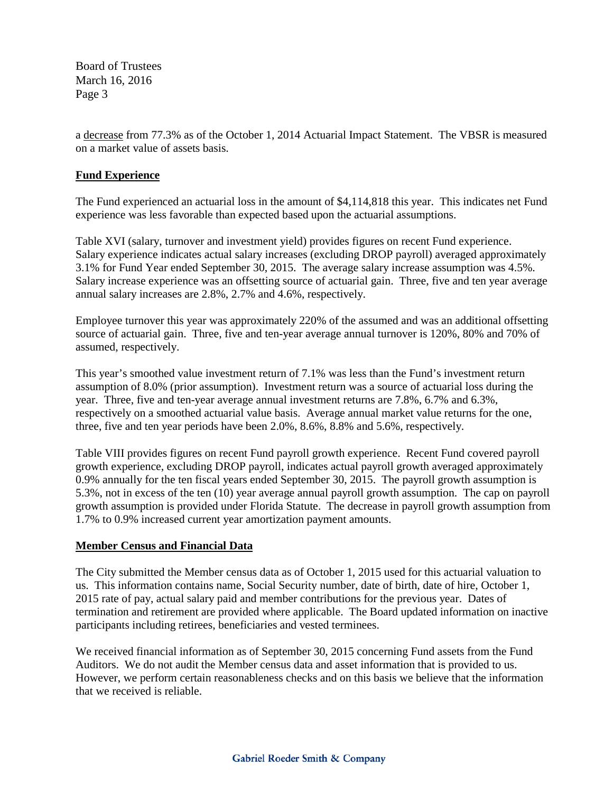a decrease from 77.3% as of the October 1, 2014 Actuarial Impact Statement. The VBSR is measured on a market value of assets basis.

#### **Fund Experience**

The Fund experienced an actuarial loss in the amount of \$4,114,818 this year. This indicates net Fund experience was less favorable than expected based upon the actuarial assumptions.

Table XVI (salary, turnover and investment yield) provides figures on recent Fund experience. Salary experience indicates actual salary increases (excluding DROP payroll) averaged approximately 3.1% for Fund Year ended September 30, 2015. The average salary increase assumption was 4.5%. Salary increase experience was an offsetting source of actuarial gain. Three, five and ten year average annual salary increases are 2.8%, 2.7% and 4.6%, respectively.

Employee turnover this year was approximately 220% of the assumed and was an additional offsetting source of actuarial gain. Three, five and ten-year average annual turnover is 120%, 80% and 70% of assumed, respectively.

This year's smoothed value investment return of 7.1% was less than the Fund's investment return assumption of 8.0% (prior assumption). Investment return was a source of actuarial loss during the year. Three, five and ten-year average annual investment returns are 7.8%, 6.7% and 6.3%, respectively on a smoothed actuarial value basis. Average annual market value returns for the one, three, five and ten year periods have been 2.0%, 8.6%, 8.8% and 5.6%, respectively.

Table VIII provides figures on recent Fund payroll growth experience. Recent Fund covered payroll growth experience, excluding DROP payroll, indicates actual payroll growth averaged approximately 0.9% annually for the ten fiscal years ended September 30, 2015. The payroll growth assumption is 5.3%, not in excess of the ten (10) year average annual payroll growth assumption. The cap on payroll growth assumption is provided under Florida Statute. The decrease in payroll growth assumption from 1.7% to 0.9% increased current year amortization payment amounts.

#### **Member Census and Financial Data**

The City submitted the Member census data as of October 1, 2015 used for this actuarial valuation to us. This information contains name, Social Security number, date of birth, date of hire, October 1, 2015 rate of pay, actual salary paid and member contributions for the previous year. Dates of termination and retirement are provided where applicable. The Board updated information on inactive participants including retirees, beneficiaries and vested terminees.

We received financial information as of September 30, 2015 concerning Fund assets from the Fund Auditors. We do not audit the Member census data and asset information that is provided to us. However, we perform certain reasonableness checks and on this basis we believe that the information that we received is reliable.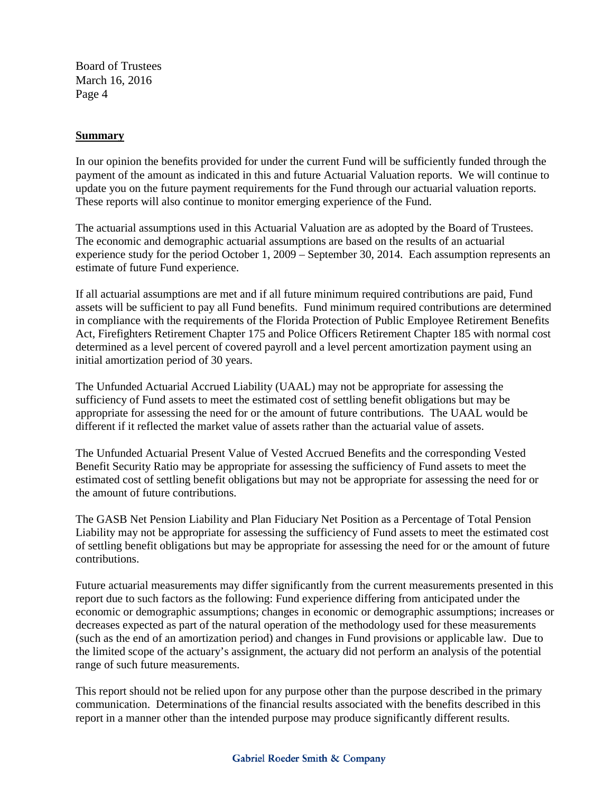#### **Summary**

In our opinion the benefits provided for under the current Fund will be sufficiently funded through the payment of the amount as indicated in this and future Actuarial Valuation reports. We will continue to update you on the future payment requirements for the Fund through our actuarial valuation reports. These reports will also continue to monitor emerging experience of the Fund.

The actuarial assumptions used in this Actuarial Valuation are as adopted by the Board of Trustees. The economic and demographic actuarial assumptions are based on the results of an actuarial experience study for the period October 1, 2009 – September 30, 2014. Each assumption represents an estimate of future Fund experience.

If all actuarial assumptions are met and if all future minimum required contributions are paid, Fund assets will be sufficient to pay all Fund benefits. Fund minimum required contributions are determined in compliance with the requirements of the Florida Protection of Public Employee Retirement Benefits Act, Firefighters Retirement Chapter 175 and Police Officers Retirement Chapter 185 with normal cost determined as a level percent of covered payroll and a level percent amortization payment using an initial amortization period of 30 years.

The Unfunded Actuarial Accrued Liability (UAAL) may not be appropriate for assessing the sufficiency of Fund assets to meet the estimated cost of settling benefit obligations but may be appropriate for assessing the need for or the amount of future contributions. The UAAL would be different if it reflected the market value of assets rather than the actuarial value of assets.

The Unfunded Actuarial Present Value of Vested Accrued Benefits and the corresponding Vested Benefit Security Ratio may be appropriate for assessing the sufficiency of Fund assets to meet the estimated cost of settling benefit obligations but may not be appropriate for assessing the need for or the amount of future contributions.

The GASB Net Pension Liability and Plan Fiduciary Net Position as a Percentage of Total Pension Liability may not be appropriate for assessing the sufficiency of Fund assets to meet the estimated cost of settling benefit obligations but may be appropriate for assessing the need for or the amount of future contributions.

Future actuarial measurements may differ significantly from the current measurements presented in this report due to such factors as the following: Fund experience differing from anticipated under the economic or demographic assumptions; changes in economic or demographic assumptions; increases or decreases expected as part of the natural operation of the methodology used for these measurements (such as the end of an amortization period) and changes in Fund provisions or applicable law. Due to the limited scope of the actuary's assignment, the actuary did not perform an analysis of the potential range of such future measurements.

This report should not be relied upon for any purpose other than the purpose described in the primary communication. Determinations of the financial results associated with the benefits described in this report in a manner other than the intended purpose may produce significantly different results.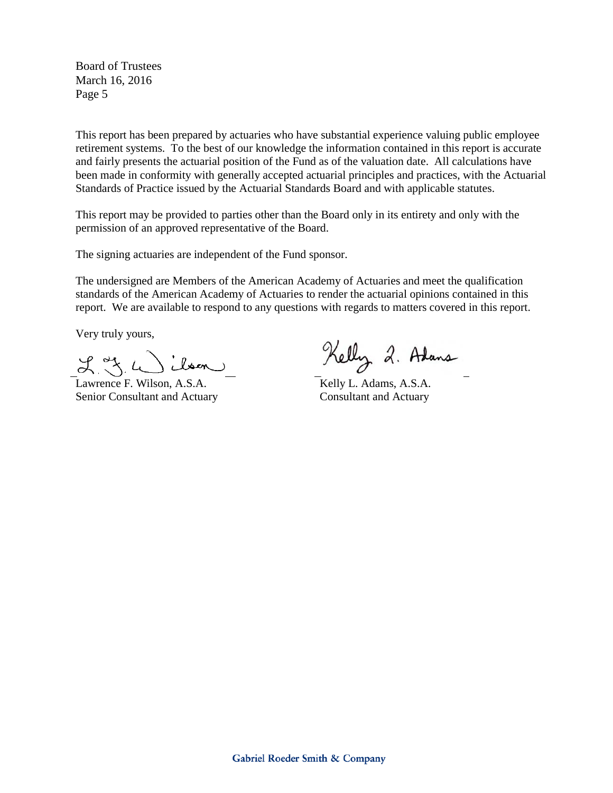This report has been prepared by actuaries who have substantial experience valuing public employee retirement systems. To the best of our knowledge the information contained in this report is accurate and fairly presents the actuarial position of the Fund as of the valuation date. All calculations have been made in conformity with generally accepted actuarial principles and practices, with the Actuarial Standards of Practice issued by the Actuarial Standards Board and with applicable statutes.

This report may be provided to parties other than the Board only in its entirety and only with the permission of an approved representative of the Board.

The signing actuaries are independent of the Fund sponsor.

The undersigned are Members of the American Academy of Actuaries and meet the qualification standards of the American Academy of Actuaries to render the actuarial opinions contained in this report. We are available to respond to any questions with regards to matters covered in this report.

Very truly yours,

 $2.3.4$ bsen

Lawrence F. Wilson, A.S.A. Senior Consultant and Actuary

Kelly 2. Adans

Kelly L. Adams, A.S.A. Consultant and Actuary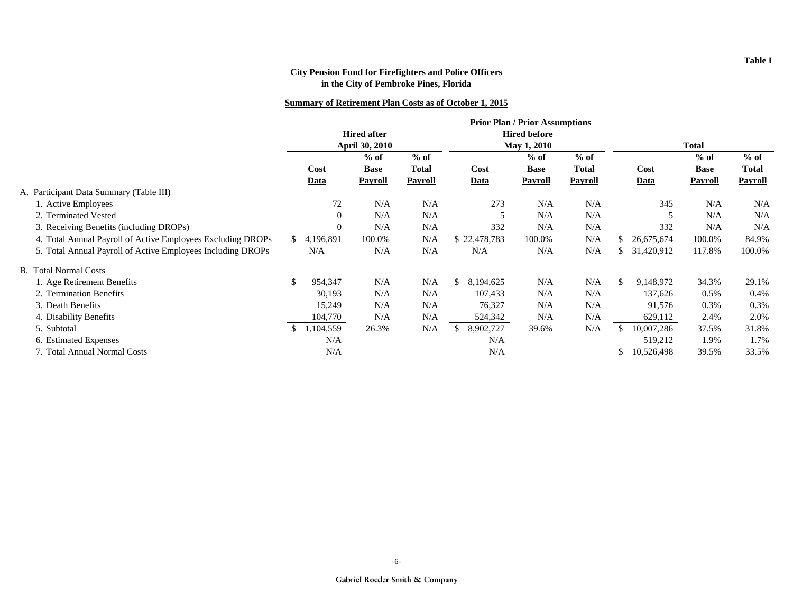|                                                             |    |           |                       |              |             |              | <b>Prior Plan / Prior Assumptions</b> |              |              |            |             |                |
|-------------------------------------------------------------|----|-----------|-----------------------|--------------|-------------|--------------|---------------------------------------|--------------|--------------|------------|-------------|----------------|
|                                                             |    |           | <b>Hired after</b>    |              |             |              | <b>Hired before</b>                   |              |              |            |             |                |
|                                                             |    |           | <b>April 30, 2010</b> |              | May 1, 2010 |              |                                       |              | <b>Total</b> |            |             |                |
|                                                             |    |           | $%$ of                | $%$ of       |             |              | $%$ of                                | $%$ of       |              |            | $%$ of      | $%$ of         |
|                                                             |    | Cost      | <b>Base</b>           | <b>Total</b> |             | Cost         | <b>Base</b>                           | <b>Total</b> |              | Cost       | <b>Base</b> | <b>Total</b>   |
|                                                             |    | Data      | Payroll               | Payroll      |             | <b>Data</b>  | Payroll                               | Payroll      |              | Data       | Payroll     | <b>Payroll</b> |
| A. Participant Data Summary (Table III)                     |    |           |                       |              |             |              |                                       |              |              |            |             |                |
| 1. Active Employees                                         |    | 72        | N/A                   | N/A          |             | 273          | N/A                                   | N/A          |              | 345        | N/A         | N/A            |
| 2. Terminated Vested                                        |    | $\Omega$  | N/A                   | N/A          |             | 5            | N/A                                   | N/A          |              | 5          | N/A         | N/A            |
| 3. Receiving Benefits (including DROPs)                     |    | $\theta$  | N/A                   | N/A          |             | 332          | N/A                                   | N/A          |              | 332        | N/A         | N/A            |
| 4. Total Annual Payroll of Active Employees Excluding DROPs | S. | 4,196,891 | 100.0%                | N/A          |             | \$22,478,783 | 100.0%                                | N/A          | Ж.           | 26,675,674 | 100.0%      | 84.9%          |
| 5. Total Annual Payroll of Active Employees Including DROPs |    | N/A       | N/A                   | N/A          |             | N/A          | N/A                                   | N/A          |              | 31,420,912 | 117.8%      | 100.0%         |
| <b>B.</b> Total Normal Costs                                |    |           |                       |              |             |              |                                       |              |              |            |             |                |
| 1. Age Retirement Benefits                                  |    | 954,347   | N/A                   | N/A          | \$.         | 8,194,625    | N/A                                   | N/A          | \$.          | 9,148,972  | 34.3%       | 29.1%          |
| 2. Termination Benefits                                     |    | 30,193    | N/A                   | N/A          |             | 107,433      | N/A                                   | N/A          |              | 137,626    | 0.5%        | $0.4\%$        |
| 3. Death Benefits                                           |    | 15,249    | N/A                   | N/A          |             | 76,327       | N/A                                   | N/A          |              | 91,576     | 0.3%        | 0.3%           |
| 4. Disability Benefits                                      |    | 104,770   | N/A                   | N/A          |             | 524,342      | N/A                                   | N/A          |              | 629,112    | 2.4%        | 2.0%           |
| 5. Subtotal                                                 |    | 1,104,559 | 26.3%                 | N/A          | \$.         | 8,902,727    | 39.6%                                 | N/A          |              | 10,007,286 | 37.5%       | 31.8%          |
| 6. Estimated Expenses                                       |    | N/A       |                       |              |             | N/A          |                                       |              |              | 519,212    | 1.9%        | 1.7%           |
| 7. Total Annual Normal Costs                                |    | N/A       |                       |              |             | N/A          |                                       |              |              | 10,526,498 | 39.5%       | 33.5%          |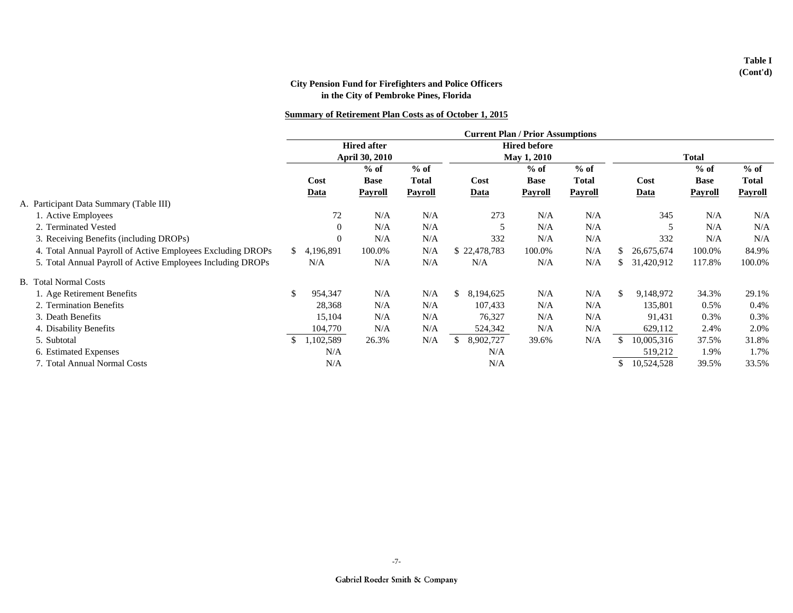|                                                             |               |           |                       |              | <b>Current Plan / Prior Assumptions</b> |             |              |              |            |                |              |
|-------------------------------------------------------------|---------------|-----------|-----------------------|--------------|-----------------------------------------|-------------|--------------|--------------|------------|----------------|--------------|
|                                                             |               |           | <b>Hired after</b>    |              | <b>Hired before</b>                     |             |              |              |            |                |              |
|                                                             |               |           | <b>April 30, 2010</b> |              | <b>May 1, 2010</b>                      |             |              | <b>Total</b> |            |                |              |
|                                                             |               |           | $%$ of                | $%$ of       |                                         | $%$ of      | $%$ of       |              |            | $%$ of         | $%$ of       |
|                                                             |               | Cost      | <b>Base</b>           | <b>Total</b> | Cost                                    | <b>Base</b> | <b>Total</b> |              | Cost       | <b>Base</b>    | <b>Total</b> |
|                                                             |               | Data      | <b>Payroll</b>        | Payroll      | Data                                    | Payroll     | Payroll      |              | Data       | <b>Payroll</b> | Payroll      |
| A. Participant Data Summary (Table III)                     |               |           |                       |              |                                         |             |              |              |            |                |              |
| 1. Active Employees                                         |               | 72        | N/A                   | N/A          | 273                                     | N/A         | N/A          |              | 345        | N/A            | N/A          |
| 2. Terminated Vested                                        |               | $\theta$  | N/A                   | N/A          |                                         | N/A         | N/A          |              |            | N/A            | N/A          |
| 3. Receiving Benefits (including DROPs)                     |               | $\theta$  | N/A                   | N/A          | 332                                     | N/A         | N/A          |              | 332        | N/A            | N/A          |
| 4. Total Annual Payroll of Active Employees Excluding DROPs | S.            | 4,196,891 | 100.0%                | N/A          | \$22,478,783                            | 100.0%      | N/A          | -S           | 26,675,674 | 100.0%         | 84.9%        |
| 5. Total Annual Payroll of Active Employees Including DROPs |               | N/A       | N/A                   | N/A          | N/A                                     | N/A         | N/A          | S            | 31,420,912 | 117.8%         | 100.0%       |
| <b>B.</b> Total Normal Costs                                |               |           |                       |              |                                         |             |              |              |            |                |              |
| 1. Age Retirement Benefits                                  | <sup>\$</sup> | 954,347   | N/A                   | N/A          | \$<br>8,194,625                         | N/A         | N/A          | \$.          | 9,148,972  | 34.3%          | 29.1%        |
| 2. Termination Benefits                                     |               | 28,368    | N/A                   | N/A          | 107,433                                 | N/A         | N/A          |              | 135,801    | 0.5%           | 0.4%         |
| 3. Death Benefits                                           |               | 15,104    | N/A                   | N/A          | 76,327                                  | N/A         | N/A          |              | 91,431     | 0.3%           | 0.3%         |
| 4. Disability Benefits                                      |               | 104,770   | N/A                   | N/A          | 524,342                                 | N/A         | N/A          |              | 629,112    | 2.4%           | 2.0%         |
| 5. Subtotal                                                 |               | 1,102,589 | 26.3%                 | N/A          | \$<br>8,902,727                         | 39.6%       | N/A          |              | 10,005,316 | 37.5%          | 31.8%        |
| 6. Estimated Expenses                                       |               | N/A       |                       |              | N/A                                     |             |              |              | 519,212    | 1.9%           | 1.7%         |
| 7. Total Annual Normal Costs                                |               | N/A       |                       |              | N/A                                     |             |              |              | 10,524,528 | 39.5%          | 33.5%        |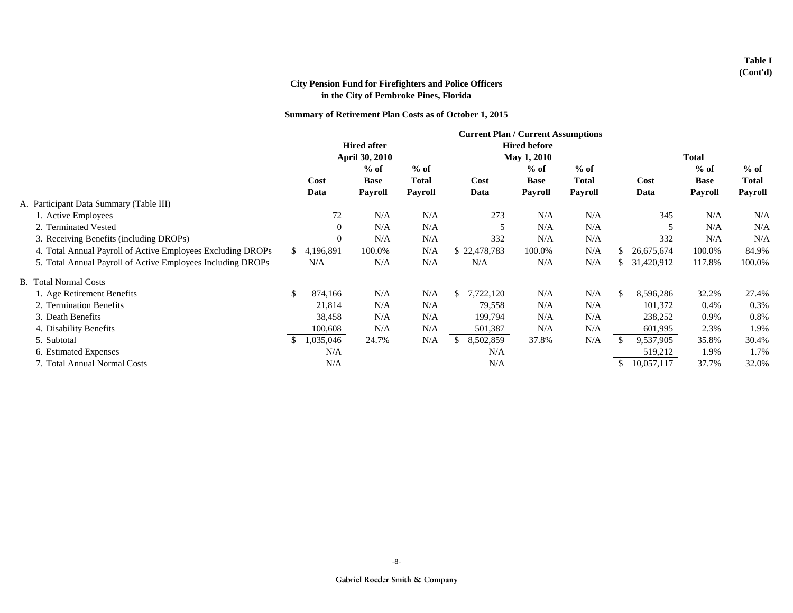|                                                             |    |                    |                       |              |     | <b>Current Plan / Current Assumptions</b> |                     |              |              |            |                |              |
|-------------------------------------------------------------|----|--------------------|-----------------------|--------------|-----|-------------------------------------------|---------------------|--------------|--------------|------------|----------------|--------------|
|                                                             |    | <b>Hired after</b> |                       |              |     |                                           | <b>Hired before</b> |              |              |            |                |              |
|                                                             |    |                    | <b>April 30, 2010</b> |              |     | May 1, 2010                               |                     |              | <b>Total</b> |            |                |              |
|                                                             |    |                    | $%$ of                | $%$ of       |     |                                           | $%$ of              | $%$ of       |              |            | $%$ of         | $%$ of       |
|                                                             |    | Cost               | <b>Base</b>           | <b>Total</b> |     | Cost                                      | <b>Base</b>         | <b>Total</b> |              | Cost       | <b>Base</b>    | <b>Total</b> |
|                                                             |    | Data               | Payroll               | Payroll      |     | <b>Data</b>                               | Payroll             | Payroll      |              | Data       | <b>Payroll</b> | Payroll      |
| A. Participant Data Summary (Table III)                     |    |                    |                       |              |     |                                           |                     |              |              |            |                |              |
| 1. Active Employees                                         |    | 72                 | N/A                   | N/A          |     | 273                                       | N/A                 | N/A          |              | 345        | N/A            | N/A          |
| 2. Terminated Vested                                        |    | $\Omega$           | N/A                   | N/A          |     |                                           | N/A                 | N/A          |              | 5          | N/A            | N/A          |
| 3. Receiving Benefits (including DROPs)                     |    | $\theta$           | N/A                   | N/A          |     | 332                                       | N/A                 | N/A          |              | 332        | N/A            | N/A          |
| 4. Total Annual Payroll of Active Employees Excluding DROPs | S. | 4,196,891          | 100.0%                | N/A          |     | \$22,478,783                              | 100.0%              | N/A          | -S           | 26,675,674 | 100.0%         | 84.9%        |
| 5. Total Annual Payroll of Active Employees Including DROPs |    | N/A                | N/A                   | N/A          |     | N/A                                       | N/A                 | N/A          | £.           | 31,420,912 | 117.8%         | 100.0%       |
| <b>B.</b> Total Normal Costs                                |    |                    |                       |              |     |                                           |                     |              |              |            |                |              |
| 1. Age Retirement Benefits                                  | \$ | 874,166            | N/A                   | N/A          |     | 7,722,120                                 | N/A                 | N/A          | \$           | 8,596,286  | 32.2%          | 27.4%        |
| 2. Termination Benefits                                     |    | 21,814             | N/A                   | N/A          |     | 79,558                                    | N/A                 | N/A          |              | 101,372    | 0.4%           | 0.3%         |
| 3. Death Benefits                                           |    | 38,458             | N/A                   | N/A          |     | 199,794                                   | N/A                 | N/A          |              | 238,252    | 0.9%           | 0.8%         |
| 4. Disability Benefits                                      |    | 100,608            | N/A                   | N/A          |     | 501,387                                   | N/A                 | N/A          |              | 601,995    | 2.3%           | 1.9%         |
| 5. Subtotal                                                 | \$ | 1,035,046          | 24.7%                 | N/A          | \$. | 8,502,859                                 | 37.8%               | N/A          |              | 9,537,905  | 35.8%          | 30.4%        |
| 6. Estimated Expenses                                       |    | N/A                |                       |              |     | N/A                                       |                     |              |              | 519,212    | 1.9%           | 1.7%         |
| 7. Total Annual Normal Costs                                |    | N/A                |                       |              |     | N/A                                       |                     |              | -55          | 10,057,117 | 37.7%          | 32.0%        |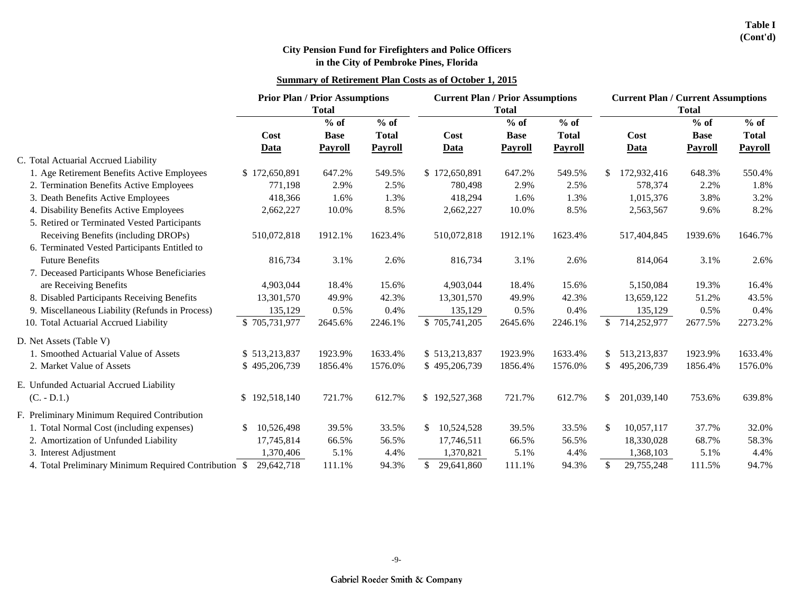|                                                       | <b>Prior Plan / Prior Assumptions</b><br><b>Total</b> |                       |                        | <b>Current Plan / Prior Assumptions</b> | <b>Total</b>          |                        | <b>Current Plan / Current Assumptions</b><br><b>Total</b> |                       |                        |  |
|-------------------------------------------------------|-------------------------------------------------------|-----------------------|------------------------|-----------------------------------------|-----------------------|------------------------|-----------------------------------------------------------|-----------------------|------------------------|--|
|                                                       | Cost                                                  | $%$ of<br><b>Base</b> | $%$ of<br><b>Total</b> | Cost                                    | $%$ of<br><b>Base</b> | $%$ of<br><b>Total</b> | Cost                                                      | $%$ of<br><b>Base</b> | $%$ of<br><b>Total</b> |  |
|                                                       | Data                                                  | <b>Payroll</b>        | <b>Payroll</b>         | <b>Data</b>                             | <b>Payroll</b>        | <b>Payroll</b>         | Data                                                      | <b>Payroll</b>        | <b>Payroll</b>         |  |
| C. Total Actuarial Accrued Liability                  |                                                       |                       |                        |                                         |                       |                        |                                                           |                       |                        |  |
| 1. Age Retirement Benefits Active Employees           | \$172,650,891                                         | 647.2%                | 549.5%                 | \$172,650,891                           | 647.2%                | 549.5%                 | 172,932,416<br>\$                                         | 648.3%                | 550.4%                 |  |
| 2. Termination Benefits Active Employees              | 771,198                                               | 2.9%                  | 2.5%                   | 780,498                                 | 2.9%                  | 2.5%                   | 578,374                                                   | 2.2%                  | 1.8%                   |  |
| 3. Death Benefits Active Employees                    | 418,366                                               | 1.6%                  | 1.3%                   | 418,294                                 | 1.6%                  | 1.3%                   | 1,015,376                                                 | 3.8%                  | 3.2%                   |  |
| 4. Disability Benefits Active Employees               | 2,662,227                                             | 10.0%                 | 8.5%                   | 2,662,227                               | 10.0%                 | 8.5%                   | 2,563,567                                                 | 9.6%                  | 8.2%                   |  |
| 5. Retired or Terminated Vested Participants          |                                                       |                       |                        |                                         |                       |                        |                                                           |                       |                        |  |
| Receiving Benefits (including DROPs)                  | 510,072,818                                           | 1912.1%               | 1623.4%                | 510,072,818                             | 1912.1%               | 1623.4%                | 517,404,845                                               | 1939.6%               | 1646.7%                |  |
| 6. Terminated Vested Participants Entitled to         |                                                       |                       |                        |                                         |                       |                        |                                                           |                       |                        |  |
| <b>Future Benefits</b>                                | 816,734                                               | 3.1%                  | 2.6%                   | 816,734                                 | 3.1%                  | 2.6%                   | 814,064                                                   | 3.1%                  | 2.6%                   |  |
| 7. Deceased Participants Whose Beneficiaries          |                                                       |                       |                        |                                         |                       |                        |                                                           |                       |                        |  |
| are Receiving Benefits                                | 4,903,044                                             | 18.4%                 | 15.6%                  | 4,903,044                               | 18.4%                 | 15.6%                  | 5,150,084                                                 | 19.3%                 | 16.4%                  |  |
| 8. Disabled Participants Receiving Benefits           | 13,301,570                                            | 49.9%                 | 42.3%                  | 13,301,570                              | 49.9%                 | 42.3%                  | 13,659,122                                                | 51.2%                 | 43.5%                  |  |
| 9. Miscellaneous Liability (Refunds in Process)       | 135,129                                               | 0.5%                  | 0.4%                   | 135,129                                 | 0.5%                  | 0.4%                   | 135,129                                                   | 0.5%                  | 0.4%                   |  |
| 10. Total Actuarial Accrued Liability                 | \$705,731,977                                         | 2645.6%               | 2246.1%                | \$705,741,205                           | 2645.6%               | 2246.1%                | \$714,252,977                                             | 2677.5%               | 2273.2%                |  |
| D. Net Assets (Table V)                               |                                                       |                       |                        |                                         |                       |                        |                                                           |                       |                        |  |
| 1. Smoothed Actuarial Value of Assets                 | \$513,213,837                                         | 1923.9%               | 1633.4%                | \$513,213,837                           | 1923.9%               | 1633.4%                | 513,213,837<br>\$.                                        | 1923.9%               | 1633.4%                |  |
| 2. Market Value of Assets                             | \$495,206,739                                         | 1856.4%               | 1576.0%                | \$495,206,739                           | 1856.4%               | 1576.0%                | $\mathbb{S}^-$<br>495,206,739                             | 1856.4%               | 1576.0%                |  |
| E. Unfunded Actuarial Accrued Liability               |                                                       |                       |                        |                                         |                       |                        |                                                           |                       |                        |  |
| $(C. - D.1.)$                                         | \$192,518,140                                         | 721.7%                | 612.7%                 | \$192,527,368                           | 721.7%                | 612.7%                 | \$<br>201,039,140                                         | 753.6%                | 639.8%                 |  |
| F. Preliminary Minimum Required Contribution          |                                                       |                       |                        |                                         |                       |                        |                                                           |                       |                        |  |
| 1. Total Normal Cost (including expenses)             | 10,526,498<br>\$                                      | 39.5%                 | 33.5%                  | \$<br>10,524,528                        | 39.5%                 | 33.5%                  | \$<br>10,057,117                                          | 37.7%                 | 32.0%                  |  |
| 2. Amortization of Unfunded Liability                 | 17,745,814                                            | 66.5%                 | 56.5%                  | 17,746,511                              | 66.5%                 | 56.5%                  | 18,330,028                                                | 68.7%                 | 58.3%                  |  |
| 3. Interest Adjustment                                | 1,370,406                                             | 5.1%                  | 4.4%                   | 1,370,821                               | 5.1%                  | 4.4%                   | 1,368,103                                                 | 5.1%                  | 4.4%                   |  |
| 4. Total Preliminary Minimum Required Contribution \$ | 29,642,718                                            | 111.1%                | 94.3%                  | 29,641,860<br>$\mathbb{S}$              | 111.1%                | 94.3%                  | 29,755,248<br><sup>\$</sup>                               | 111.5%                | 94.7%                  |  |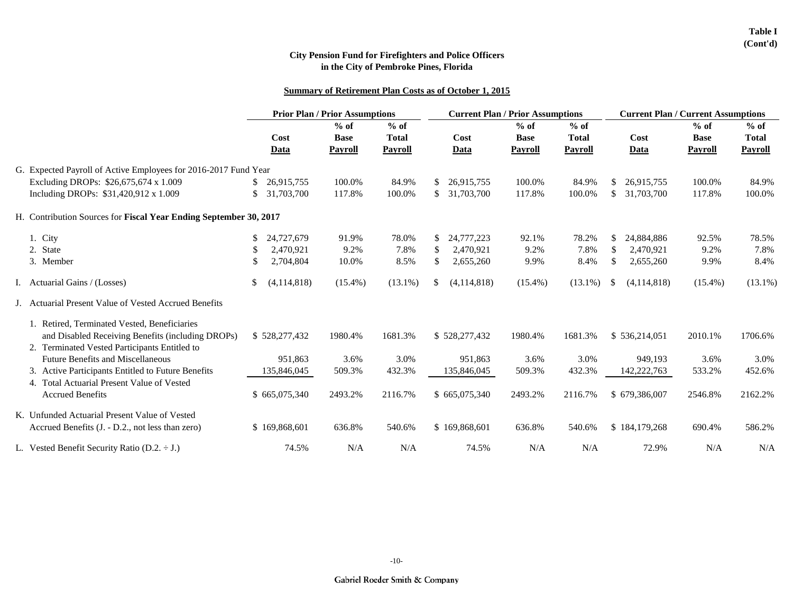|                                                                   |                   | <b>Prior Plan / Prior Assumptions</b>   |                                          |                     | <b>Current Plan / Prior Assumptions</b> |                                          | <b>Current Plan / Current Assumptions</b> |                                         |                                          |  |
|-------------------------------------------------------------------|-------------------|-----------------------------------------|------------------------------------------|---------------------|-----------------------------------------|------------------------------------------|-------------------------------------------|-----------------------------------------|------------------------------------------|--|
|                                                                   | Cost<br>Data      | $%$ of<br><b>Base</b><br><b>Payroll</b> | $%$ of<br><b>Total</b><br><b>Payroll</b> | Cost<br>Data        | $%$ of<br><b>Base</b><br><b>Payroll</b> | $%$ of<br><b>Total</b><br><b>Payroll</b> | Cost<br>Data                              | $%$ of<br><b>Base</b><br><b>Payroll</b> | $%$ of<br><b>Total</b><br><b>Payroll</b> |  |
| G. Expected Payroll of Active Employees for 2016-2017 Fund Year   |                   |                                         |                                          |                     |                                         |                                          |                                           |                                         |                                          |  |
| Excluding DROPs: \$26,675,674 x 1.009                             | 26,915,755        | 100.0%                                  | 84.9%                                    | 26,915,755<br>S.    | 100.0%                                  | 84.9%                                    | 26,915,755<br>\$                          | 100.0%                                  | 84.9%                                    |  |
| Including DROPs: \$31,420,912 x 1.009                             | \$<br>31,703,700  | 117.8%                                  | 100.0%                                   | \$<br>31,703,700    | 117.8%                                  | 100.0%                                   | \$<br>31,703,700                          | 117.8%                                  | 100.0%                                   |  |
| H. Contribution Sources for Fiscal Year Ending September 30, 2017 |                   |                                         |                                          |                     |                                         |                                          |                                           |                                         |                                          |  |
| 1. City                                                           | \$<br>24,727,679  | 91.9%                                   | 78.0%                                    | 24,777,223<br>\$    | 92.1%                                   | 78.2%                                    | 24,884,886<br>\$                          | 92.5%                                   | 78.5%                                    |  |
| 2. State                                                          | 2,470,921<br>\$   | 9.2%                                    | 7.8%                                     | \$.<br>2,470,921    | 9.2%                                    | 7.8%                                     | \$<br>2,470,921                           | 9.2%                                    | 7.8%                                     |  |
| 3. Member                                                         | 2,704,804<br>S    | 10.0%                                   | 8.5%                                     | \$<br>2,655,260     | 9.9%                                    | 8.4%                                     | \$<br>2,655,260                           | 9.9%                                    | 8.4%                                     |  |
| Actuarial Gains / (Losses)                                        | \$<br>(4,114,818) | $(15.4\%)$                              | $(13.1\%)$                               | (4, 114, 818)<br>\$ | $(15.4\%)$                              | $(13.1\%)$                               | (4,114,818)<br>\$                         | $(15.4\%)$                              | $(13.1\%)$                               |  |
| J. Actuarial Present Value of Vested Accrued Benefits             |                   |                                         |                                          |                     |                                         |                                          |                                           |                                         |                                          |  |
| 1. Retired, Terminated Vested, Beneficiaries                      |                   |                                         |                                          |                     |                                         |                                          |                                           |                                         |                                          |  |
| and Disabled Receiving Benefits (including DROPs)                 | \$528,277,432     | 1980.4%                                 | 1681.3%                                  | \$528,277,432       | 1980.4%                                 | 1681.3%                                  | \$536,214,051                             | 2010.1%                                 | 1706.6%                                  |  |
| 2. Terminated Vested Participants Entitled to                     |                   |                                         |                                          |                     |                                         |                                          |                                           |                                         |                                          |  |
| <b>Future Benefits and Miscellaneous</b>                          | 951,863           | 3.6%                                    | 3.0%                                     | 951,863             | 3.6%                                    | 3.0%                                     | 949,193                                   | 3.6%                                    | 3.0%                                     |  |
| 3. Active Participants Entitled to Future Benefits                | 135,846,045       | 509.3%                                  | 432.3%                                   | 135,846,045         | 509.3%                                  | 432.3%                                   | 142,222,763                               | 533.2%                                  | 452.6%                                   |  |
| 4. Total Actuarial Present Value of Vested                        |                   |                                         |                                          |                     |                                         |                                          |                                           |                                         |                                          |  |
| <b>Accrued Benefits</b>                                           | \$665,075,340     | 2493.2%                                 | 2116.7%                                  | \$665,075,340       | 2493.2%                                 | 2116.7%                                  | \$679,386,007                             | 2546.8%                                 | 2162.2%                                  |  |
| K. Unfunded Actuarial Present Value of Vested                     |                   |                                         |                                          |                     |                                         |                                          |                                           |                                         |                                          |  |
| Accrued Benefits (J. - D.2., not less than zero)                  | \$169,868,601     | 636.8%                                  | 540.6%                                   | \$169,868,601       | 636.8%                                  | 540.6%                                   | \$184,179,268                             | 690.4%                                  | 586.2%                                   |  |
| L. Vested Benefit Security Ratio $(D.2. \div J.)$                 | 74.5%             | N/A                                     | N/A                                      | 74.5%               | N/A                                     | N/A                                      | 72.9%                                     | N/A                                     | N/A                                      |  |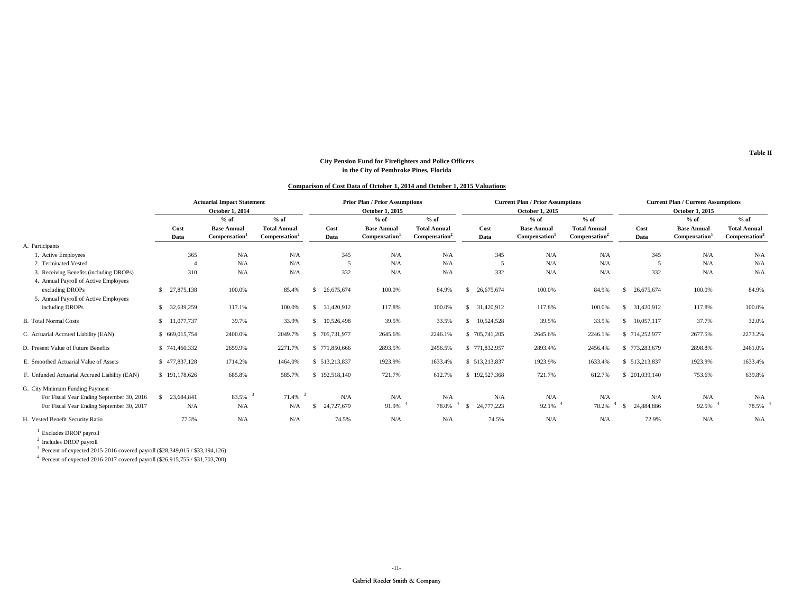#### **Comparison of Cost Data of October 1, 2014 and October 1, 2015 Valuations**

|                                                                                                                           | <b>Actuarial Impact Statement</b><br><b>October 1, 2014</b> |                                                     |                                                            |                        | <b>Prior Plan / Prior Assumptions</b><br>October 1, 2015  |                                                            |                         | <b>Current Plan / Prior Assumptions</b><br>October 1, 2015 |                                                            | <b>Current Plan / Current Assumptions</b><br>October 1, 2015 |                                              |                                                            |
|---------------------------------------------------------------------------------------------------------------------------|-------------------------------------------------------------|-----------------------------------------------------|------------------------------------------------------------|------------------------|-----------------------------------------------------------|------------------------------------------------------------|-------------------------|------------------------------------------------------------|------------------------------------------------------------|--------------------------------------------------------------|----------------------------------------------|------------------------------------------------------------|
|                                                                                                                           | Cost<br>Data                                                | $%$ of<br><b>Base Annual</b><br><b>Compensation</b> | $%$ of<br><b>Total Annual</b><br>Compensation <sup>2</sup> | Cost<br>Data           | $%$ of<br><b>Base Annual</b><br>Compensation <sup>1</sup> | $%$ of<br><b>Total Annual</b><br>Compensation <sup>2</sup> | Cost<br>Data            | $%$ of<br><b>Base Annual</b><br>Compensation               | $%$ of<br><b>Total Annual</b><br>Compensation <sup>2</sup> | Cost<br>Data                                                 | $%$ of<br><b>Base Annual</b><br>Compensation | $%$ of<br><b>Total Annual</b><br>Compensation <sup>2</sup> |
| A. Participants                                                                                                           |                                                             |                                                     |                                                            |                        |                                                           |                                                            |                         |                                                            |                                                            |                                                              |                                              |                                                            |
| 1. Active Employees                                                                                                       | 365                                                         | N/A                                                 | N/A                                                        | 345                    | N/A                                                       | N/A                                                        | 345                     | N/A                                                        | N/A                                                        | 345                                                          | N/A                                          | N/A                                                        |
| 2. Terminated Vested                                                                                                      |                                                             | N/A                                                 | N/A                                                        | - 5                    | N/A                                                       | N/A                                                        | 5                       | N/A                                                        | N/A                                                        | - 5                                                          | N/A                                          | N/A                                                        |
| 3. Receiving Benefits (including DROPs)<br>4. Annual Payroll of Active Employees                                          | 310                                                         | N/A                                                 | N/A                                                        | 332                    | N/A                                                       | N/A                                                        | 332                     | N/A                                                        | N/A                                                        | 332                                                          | N/A                                          | N/A                                                        |
| excluding DROPs<br>5. Annual Payroll of Active Employees                                                                  | \$ 27,875,138                                               | 100.0%                                              | 85.4%                                                      | 26,675,674<br>S.       | 100.0%                                                    | 84.9%                                                      | 26,675,674<br>-S        | 100.0%                                                     | 84.9%                                                      | 26,675,674<br>S.                                             | 100.0%                                       | 84.9%                                                      |
| including DROPs                                                                                                           | \$ 32,639,259                                               | 117.1%                                              | 100.0%                                                     | 31,420,912<br>S.       | 117.8%                                                    | 100.0%                                                     | 31,420,912<br>S.        | 117.8%                                                     | 100.0%                                                     | 31,420,912<br>S.                                             | 117.8%                                       | 100.0%                                                     |
| <b>B.</b> Total Normal Costs                                                                                              | \$ 11,077,737                                               | 39.7%                                               | 33.9%                                                      | 10,526,498<br>S.       | 39.5%                                                     | 33.5%                                                      | 10,524,528<br>-S        | 39.5%                                                      | 33.5%                                                      | 10,057,117<br>S.                                             | 37.7%                                        | 32.0%                                                      |
| C. Actuarial Accrued Liability (EAN)                                                                                      | \$ 669,015,754                                              | 2400.0%                                             | 2049.7%                                                    | \$705,731,977          | 2645.6%                                                   | 2246.1%                                                    | \$705,741,205           | 2645.6%                                                    | 2246.1%                                                    | \$714,252,977                                                | 2677.5%                                      | 2273.2%                                                    |
| D. Present Value of Future Benefits                                                                                       | \$741,460,332                                               | 2659.9%                                             | 2271.7%                                                    | \$771,850,666          | 2893.5%                                                   | 2456.5%                                                    | \$771,832,957           | 2893.4%                                                    | 2456.4%                                                    | \$773,283,679                                                | 2898.8%                                      | 2461.0%                                                    |
| E. Smoothed Actuarial Value of Assets                                                                                     | \$477,837,128                                               | 1714.2%                                             | 1464.0%                                                    | \$ 513,213,837         | 1923.9%                                                   | 1633.4%                                                    | \$ 513,213,837          | 1923.9%                                                    | 1633.4%                                                    | \$513,213,837                                                | 1923.9%                                      | 1633.4%                                                    |
| F. Unfunded Actuarial Accrued Liability (EAN)                                                                             | \$191,178,626                                               | 685.8%                                              | 585.7%                                                     | \$192,518,140          | 721.7%                                                    | 612.7%                                                     | \$192,527,368           | 721.7%                                                     | 612.7%                                                     | \$ 201,039,140                                               | 753.6%                                       | 639.8%                                                     |
| G. City Minimum Funding Payment<br>For Fiscal Year Ending September 30, 2016<br>For Fiscal Year Ending September 30, 2017 | 23,684,841<br>N/A                                           | 83.5%<br>N/A                                        | 71.4%<br>N/A                                               | N/A<br>24,727,679<br>S | N/A<br>91.9%                                              | N/A<br>78.0%                                               | N/A<br>24,777,223<br>-S | N/A<br>92.1%                                               | N/A<br>78.2%                                               | N/A<br>-4<br>24,884,886                                      | N/A<br>92.5%                                 | N/A<br>78.5%                                               |
| H. Vested Benefit Security Ratio                                                                                          | 77.3%                                                       | N/A                                                 | N/A                                                        | 74.5%                  | N/A                                                       | N/A                                                        | 74.5%                   | N/A                                                        | N/A                                                        | 72.9%                                                        | N/A                                          | N/A                                                        |

<sup>1</sup> Excludes DROP payroll

<sup>2</sup> Includes DROP payroll

 $3^{3}$  Percent of expected 2015-2016 covered payroll (\$28,349,015 / \$33,194,126)

<sup>4</sup> Percent of expected 2016-2017 covered payroll (\$26,915,755 / \$31,703,700)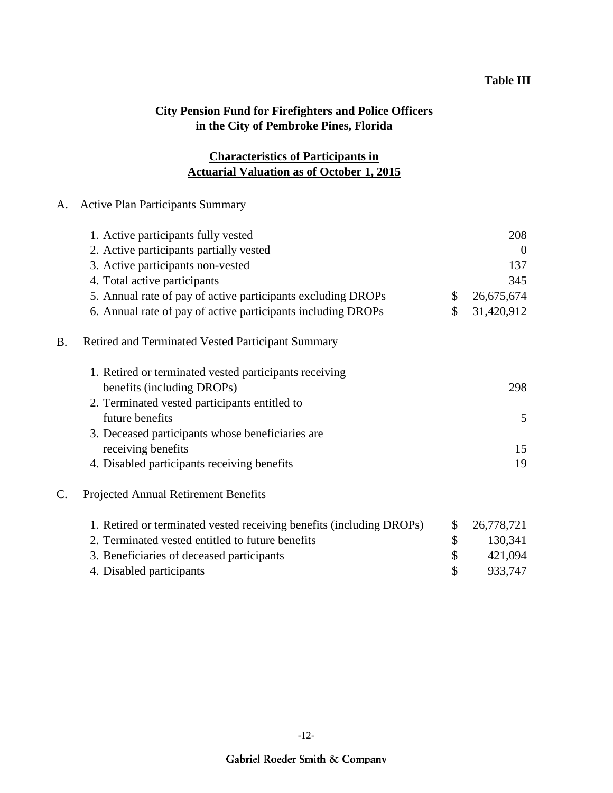## **Actuarial Valuation as of October 1, 2015 Characteristics of Participants in**

### A. Active Plan Participants Summary

|    | 1. Active participants fully vested                                  | 208              |
|----|----------------------------------------------------------------------|------------------|
|    | 2. Active participants partially vested                              | $\Omega$         |
|    | 3. Active participants non-vested                                    | 137              |
|    | 4. Total active participants                                         | 345              |
|    | 5. Annual rate of pay of active participants excluding DROPs         | \$<br>26,675,674 |
|    | 6. Annual rate of pay of active participants including DROPs         | \$<br>31,420,912 |
| B. | <b>Retired and Terminated Vested Participant Summary</b>             |                  |
|    | 1. Retired or terminated vested participants receiving               |                  |
|    | benefits (including DROPs)                                           | 298              |
|    | 2. Terminated vested participants entitled to                        |                  |
|    | future benefits                                                      | 5                |
|    | 3. Deceased participants whose beneficiaries are                     |                  |
|    | receiving benefits                                                   | 15               |
|    | 4. Disabled participants receiving benefits                          | 19               |
| C. | <b>Projected Annual Retirement Benefits</b>                          |                  |
|    | 1. Retired or terminated vested receiving benefits (including DROPs) | \$<br>26,778,721 |
|    | 2. Terminated vested entitled to future benefits                     | \$<br>130,341    |
|    | 3. Beneficiaries of deceased participants                            | \$<br>421,094    |
|    | 4. Disabled participants                                             | \$<br>933,747    |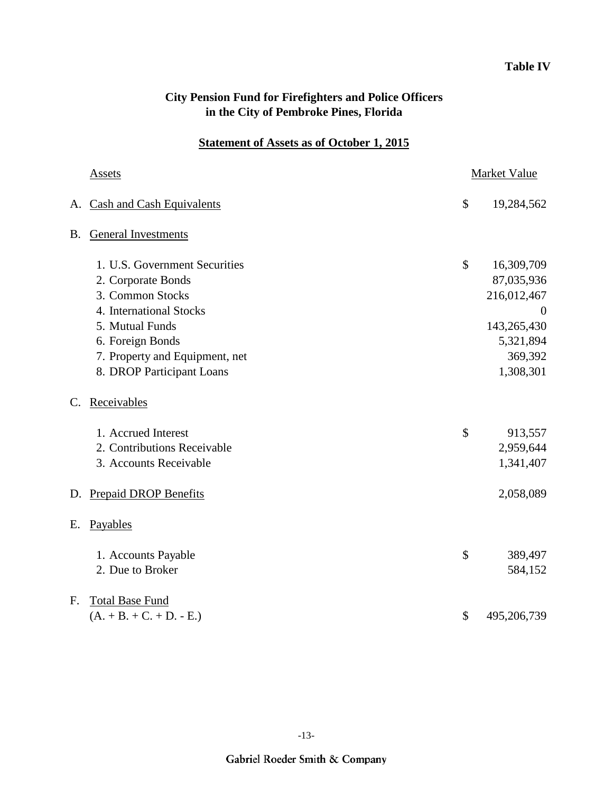## **Table IV**

| <b>City Pension Fund for Firefighters and Police Officers</b> |  |
|---------------------------------------------------------------|--|
| in the City of Pembroke Pines, Florida                        |  |

## **Statement of Assets as of October 1, 2015**

|    | <b>Assets</b>                  | <b>Market Value</b> |
|----|--------------------------------|---------------------|
|    | A. Cash and Cash Equivalents   | \$<br>19,284,562    |
|    | <b>B.</b> General Investments  |                     |
|    | 1. U.S. Government Securities  | \$<br>16,309,709    |
|    | 2. Corporate Bonds             | 87,035,936          |
|    | 3. Common Stocks               | 216,012,467         |
|    | 4. International Stocks        | $\overline{0}$      |
|    | 5. Mutual Funds                | 143,265,430         |
|    | 6. Foreign Bonds               | 5,321,894           |
|    | 7. Property and Equipment, net | 369,392             |
|    | 8. DROP Participant Loans      | 1,308,301           |
| C. | Receivables                    |                     |
|    | 1. Accrued Interest            | \$<br>913,557       |
|    | 2. Contributions Receivable    | 2,959,644           |
|    | 3. Accounts Receivable         | 1,341,407           |
| D. | <b>Prepaid DROP Benefits</b>   | 2,058,089           |
| E. | Payables                       |                     |
|    | 1. Accounts Payable            | \$<br>389,497       |
|    | 2. Due to Broker               | 584,152             |
| F. | <b>Total Base Fund</b>         |                     |
|    | $(A. + B. + C. + D. - E.)$     | \$<br>495,206,739   |
|    |                                |                     |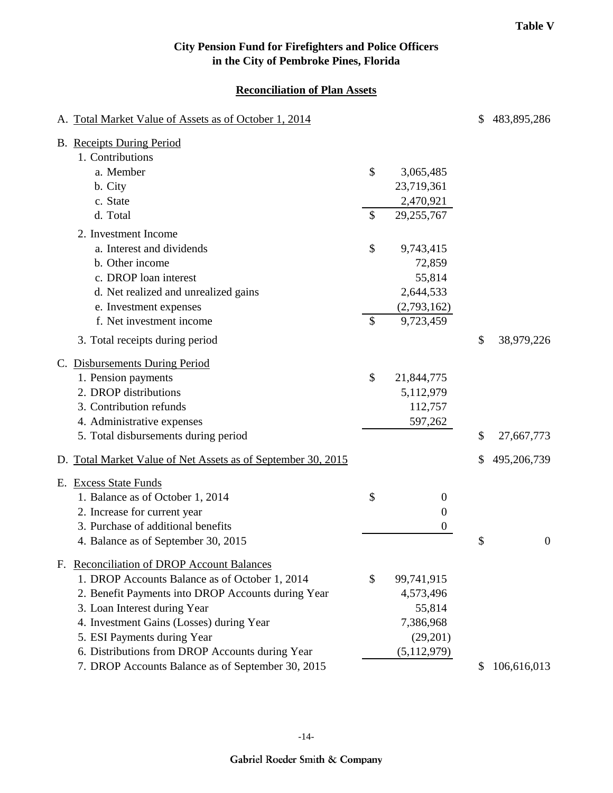#### **Reconciliation of Plan Assets**

| A. Total Market Value of Assets as of October 1, 2014        |                        | \$ | 483,895,286      |
|--------------------------------------------------------------|------------------------|----|------------------|
| <b>B.</b> Receipts During Period                             |                        |    |                  |
| 1. Contributions                                             |                        |    |                  |
| a. Member                                                    | \$<br>3,065,485        |    |                  |
| b. City                                                      | 23,719,361             |    |                  |
| c. State                                                     | 2,470,921              |    |                  |
| d. Total                                                     | \$<br>29,255,767       |    |                  |
| 2. Investment Income                                         |                        |    |                  |
| a. Interest and dividends                                    | \$<br>9,743,415        |    |                  |
| b. Other income                                              | 72,859                 |    |                  |
| c. DROP loan interest                                        | 55,814                 |    |                  |
| d. Net realized and unrealized gains                         | 2,644,533              |    |                  |
| e. Investment expenses                                       | (2,793,162)            |    |                  |
| f. Net investment income                                     | \$<br>9,723,459        |    |                  |
| 3. Total receipts during period                              |                        | \$ | 38,979,226       |
| C. Disbursements During Period                               |                        |    |                  |
| 1. Pension payments                                          | \$<br>21,844,775       |    |                  |
| 2. DROP distributions                                        | 5,112,979              |    |                  |
| 3. Contribution refunds                                      | 112,757                |    |                  |
| 4. Administrative expenses                                   | 597,262                |    |                  |
| 5. Total disbursements during period                         |                        | \$ | 27,667,773       |
| D. Total Market Value of Net Assets as of September 30, 2015 |                        | S  | 495,206,739      |
| E. Excess State Funds                                        |                        |    |                  |
| 1. Balance as of October 1, 2014                             | \$<br>$\boldsymbol{0}$ |    |                  |
| 2. Increase for current year                                 | $\boldsymbol{0}$       |    |                  |
| 3. Purchase of additional benefits                           | $\boldsymbol{0}$       |    |                  |
| 4. Balance as of September 30, 2015                          |                        | \$ | $\boldsymbol{0}$ |
| F. Reconciliation of DROP Account Balances                   |                        |    |                  |
| 1. DROP Accounts Balance as of October 1, 2014               | \$<br>99,741,915       |    |                  |
| 2. Benefit Payments into DROP Accounts during Year           | 4,573,496              |    |                  |
| 3. Loan Interest during Year                                 | 55,814                 |    |                  |
| 4. Investment Gains (Losses) during Year                     | 7,386,968              |    |                  |
| 5. ESI Payments during Year                                  | (29,201)               |    |                  |
| 6. Distributions from DROP Accounts during Year              | (5,112,979)            |    |                  |
| 7. DROP Accounts Balance as of September 30, 2015            |                        | S  | 106,616,013      |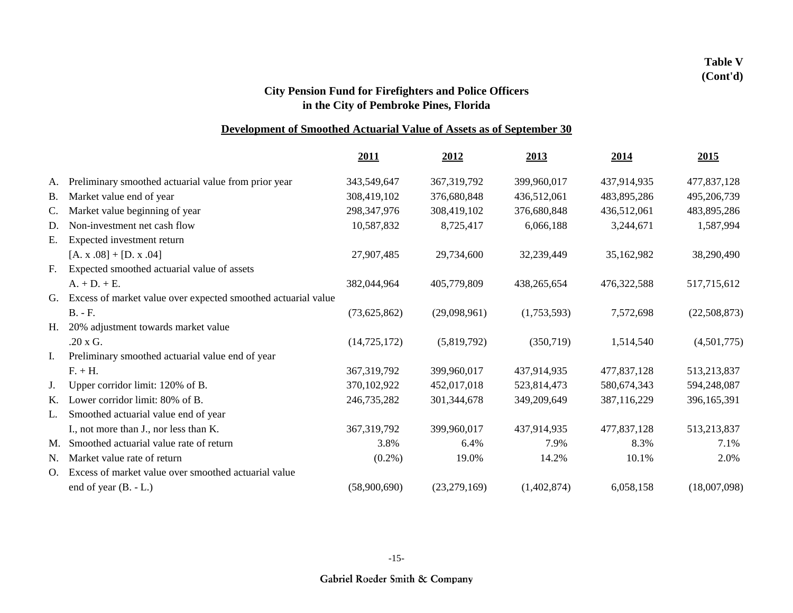### **Development of Smoothed Actuarial Value of Assets as of September 30**

|                                                               | 2011                                                                                                                                   | 2012          | 2013        | 2014        | 2015         |
|---------------------------------------------------------------|----------------------------------------------------------------------------------------------------------------------------------------|---------------|-------------|-------------|--------------|
| Preliminary smoothed actuarial value from prior year          | 343,549,647                                                                                                                            | 367, 319, 792 | 399,960,017 | 437,914,935 | 477,837,128  |
| Market value end of year                                      | 308,419,102                                                                                                                            | 376,680,848   | 436,512,061 | 483,895,286 | 495,206,739  |
| Market value beginning of year                                | 298, 347, 976                                                                                                                          | 308,419,102   | 376,680,848 | 436,512,061 | 483,895,286  |
| Non-investment net cash flow                                  | 10,587,832                                                                                                                             | 8,725,417     | 6,066,188   | 3,244,671   | 1,587,994    |
|                                                               |                                                                                                                                        |               |             |             |              |
| $[A. x.08] + [D. x.04]$                                       | 27,907,485                                                                                                                             | 29,734,600    | 32,239,449  | 35,162,982  | 38,290,490   |
| Expected smoothed actuarial value of assets                   |                                                                                                                                        |               |             |             |              |
| $A_+ + D_+ + E_+$                                             | 382,044,964                                                                                                                            | 405,779,809   | 438,265,654 | 476,322,588 | 517,715,612  |
| Excess of market value over expected smoothed actuarial value |                                                                                                                                        |               |             |             |              |
| $B. - F.$                                                     | (73,625,862)                                                                                                                           | (29,098,961)  | (1,753,593) | 7,572,698   | (22,508,873) |
| 20% adjustment towards market value                           |                                                                                                                                        |               |             |             |              |
| .20 x G.                                                      | (14, 725, 172)                                                                                                                         | (5,819,792)   | (350,719)   | 1,514,540   | (4,501,775)  |
| Preliminary smoothed actuarial value end of year              |                                                                                                                                        |               |             |             |              |
| $F. + H.$                                                     | 367, 319, 792                                                                                                                          | 399,960,017   | 437,914,935 | 477,837,128 | 513,213,837  |
| Upper corridor limit: 120% of B.                              | 370,102,922                                                                                                                            | 452,017,018   | 523,814,473 | 580,674,343 | 594,248,087  |
|                                                               | 246,735,282                                                                                                                            | 301,344,678   | 349,209,649 | 387,116,229 | 396,165,391  |
| Smoothed actuarial value end of year                          |                                                                                                                                        |               |             |             |              |
| I., not more than J., nor less than K.                        | 367, 319, 792                                                                                                                          | 399,960,017   | 437,914,935 | 477,837,128 | 513,213,837  |
|                                                               | 3.8%                                                                                                                                   | 6.4%          | 7.9%        | 8.3%        | 7.1%         |
| Market value rate of return                                   | $(0.2\%)$                                                                                                                              | 19.0%         | 14.2%       | 10.1%       | 2.0%         |
| Excess of market value over smoothed actuarial value          |                                                                                                                                        |               |             |             |              |
| end of year $(B. - L.)$                                       | (58,900,690)                                                                                                                           | (23,279,169)  | (1,402,874) | 6,058,158   | (18,007,098) |
|                                                               | Expected investment return<br>H.<br>K. Lower corridor limit: 80% of B.<br>M. Smoothed actuarial value rate of return<br>O <sub>1</sub> |               |             |             |              |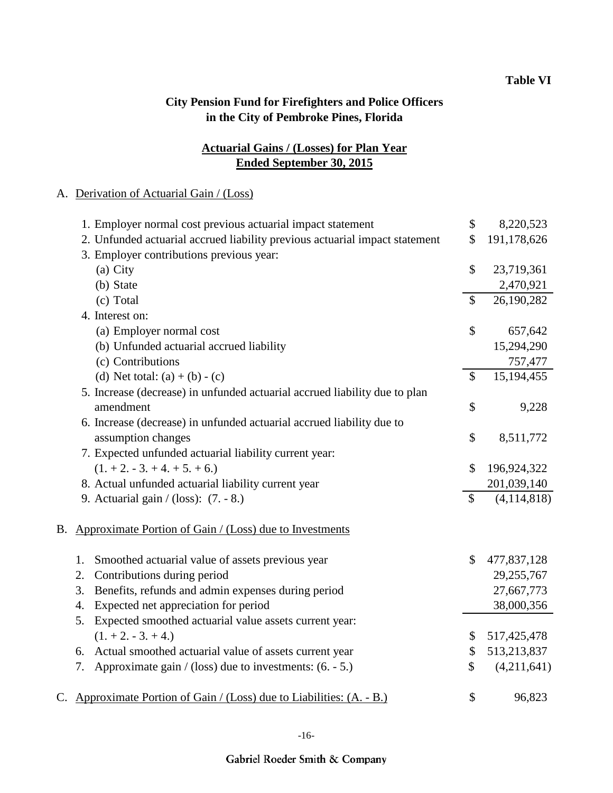## **Ended September 30, 2015 Actuarial Gains / (Losses) for Plan Year**

### A. Derivation of Actuarial Gain / (Loss)

|    | 1. Employer normal cost previous actuarial impact statement                 | \$                        | 8,220,523   |
|----|-----------------------------------------------------------------------------|---------------------------|-------------|
|    | 2. Unfunded actuarial accrued liability previous actuarial impact statement | \$                        | 191,178,626 |
|    | 3. Employer contributions previous year:                                    |                           |             |
|    | (a) City                                                                    | \$                        | 23,719,361  |
|    | (b) State                                                                   |                           | 2,470,921   |
|    | (c) Total                                                                   | $\mathsf{\$}$             | 26,190,282  |
|    | 4. Interest on:                                                             |                           |             |
|    | (a) Employer normal cost                                                    | \$                        | 657,642     |
|    | (b) Unfunded actuarial accrued liability                                    |                           | 15,294,290  |
|    | (c) Contributions                                                           |                           | 757,477     |
|    | (d) Net total: $(a) + (b) - (c)$                                            | $\mathsf{\$}$             | 15,194,455  |
|    | 5. Increase (decrease) in unfunded actuarial accrued liability due to plan  |                           |             |
|    | amendment                                                                   | \$                        | 9,228       |
|    | 6. Increase (decrease) in unfunded actuarial accrued liability due to       |                           |             |
|    | assumption changes                                                          | \$                        | 8,511,772   |
|    | 7. Expected unfunded actuarial liability current year:                      |                           |             |
|    | $(1. + 2. - 3. + 4. + 5. + 6.)$                                             | $\boldsymbol{\mathsf{S}}$ | 196,924,322 |
|    | 8. Actual unfunded actuarial liability current year                         |                           | 201,039,140 |
|    | 9. Actuarial gain / (loss): (7. - 8.)                                       | $\boldsymbol{\mathsf{S}}$ | (4,114,818) |
| В. | Approximate Portion of Gain / (Loss) due to Investments                     |                           |             |
|    | Smoothed actuarial value of assets previous year<br>1.                      | $\mathcal{S}$             | 477,837,128 |
|    | Contributions during period<br>2.                                           |                           | 29,255,767  |
|    | Benefits, refunds and admin expenses during period<br>3.                    |                           | 27,667,773  |
|    | Expected net appreciation for period<br>4.                                  |                           | 38,000,356  |
|    | Expected smoothed actuarial value assets current year:<br>5.                |                           |             |
|    | $(1. + 2. - 3. + 4.)$                                                       | \$                        | 517,425,478 |
|    | 6. Actual smoothed actuarial value of assets current year                   | \$                        | 513,213,837 |
|    | Approximate gain / (loss) due to investments: $(6. - 5.)$<br>7.             | \$                        | (4,211,641) |
|    | C. Approximate Portion of Gain / (Loss) due to Liabilities: (A. - B.)       | \$                        | 96,823      |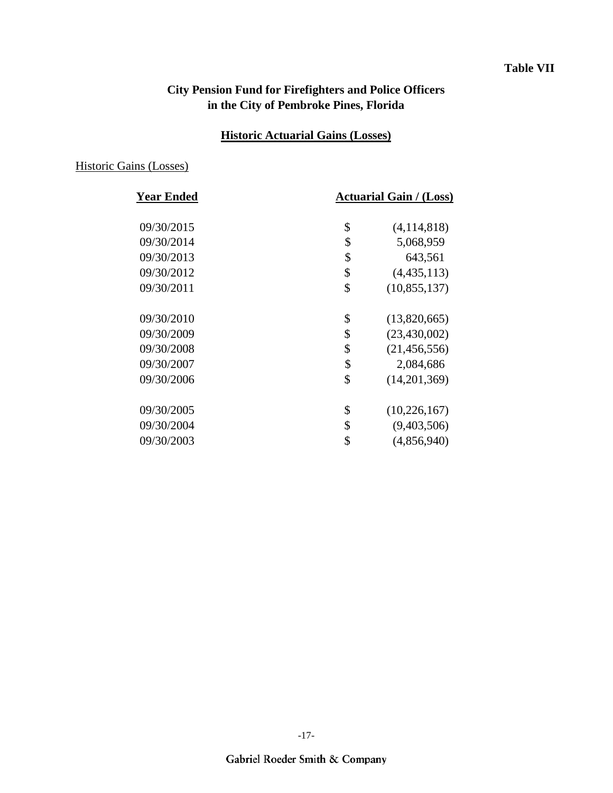#### **Table VII**

## **City Pension Fund for Firefighters and Police Officers in the City of Pembroke Pines, Florida**

## **Historic Actuarial Gains (Losses)**

#### Historic Gains (Losses)

| <b>Year Ended</b> | <b>Actuarial Gain / (Loss)</b> |                |  |  |
|-------------------|--------------------------------|----------------|--|--|
| 09/30/2015        | \$                             | (4, 114, 818)  |  |  |
| 09/30/2014        | \$                             | 5,068,959      |  |  |
| 09/30/2013        | \$                             | 643,561        |  |  |
| 09/30/2012        | \$                             | (4,435,113)    |  |  |
| 09/30/2011        | \$                             | (10, 855, 137) |  |  |
| 09/30/2010        | \$                             | (13,820,665)   |  |  |
| 09/30/2009        | \$                             | (23, 430, 002) |  |  |
| 09/30/2008        | \$                             | (21, 456, 556) |  |  |
| 09/30/2007        | \$                             | 2,084,686      |  |  |
| 09/30/2006        | \$                             | (14,201,369)   |  |  |
| 09/30/2005        | \$                             | (10, 226, 167) |  |  |
| 09/30/2004        | \$                             | (9,403,506)    |  |  |
| 09/30/2003        | \$                             | (4,856,940)    |  |  |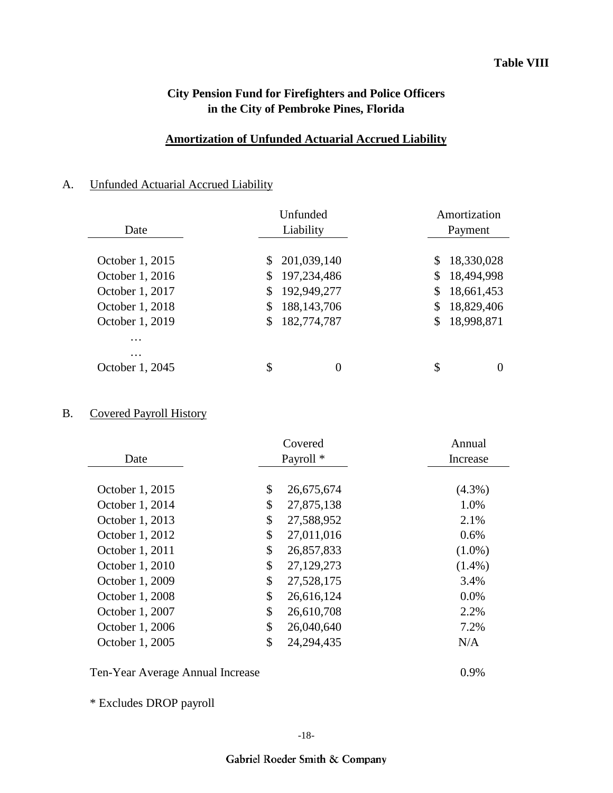#### **Amortization of Unfunded Actuarial Accrued Liability**

## A. Unfunded Actuarial Accrued Liability

|                 | Unfunded             |              | Amortization |  |  |  |
|-----------------|----------------------|--------------|--------------|--|--|--|
| Date            | Liability            |              | Payment      |  |  |  |
|                 |                      |              |              |  |  |  |
| October 1, 2015 | 201,039,140<br>\$    | S.           | 18,330,028   |  |  |  |
| October 1, 2016 | 197,234,486<br>\$    | S.           | 18,494,998   |  |  |  |
| October 1, 2017 | 192,949,277<br>\$    | \$           | 18,661,453   |  |  |  |
| October 1, 2018 | 188, 143, 706<br>\$  | \$           | 18,829,406   |  |  |  |
| October 1, 2019 | 182,774,787<br>\$    | $\mathbb{S}$ | 18,998,871   |  |  |  |
| .               |                      |              |              |  |  |  |
| $\ddotsc$       |                      |              |              |  |  |  |
| October 1, 2045 | \$<br>$\overline{0}$ | \$           |              |  |  |  |

## B. Covered Payroll History

| Covered         |    | Annual               |           |
|-----------------|----|----------------------|-----------|
| Date            |    | Payroll <sup>*</sup> | Increase  |
|                 |    |                      |           |
| October 1, 2015 | \$ | 26,675,674           | $(4.3\%)$ |
| October 1, 2014 | \$ | 27,875,138           | 1.0%      |
| October 1, 2013 | \$ | 27,588,952           | 2.1%      |
| October 1, 2012 | \$ | 27,011,016           | 0.6%      |
| October 1, 2011 | \$ | 26,857,833           | $(1.0\%)$ |
| October 1, 2010 | \$ | 27,129,273           | $(1.4\%)$ |
| October 1, 2009 | \$ | 27,528,175           | 3.4%      |
| October 1, 2008 | \$ | 26,616,124           | 0.0%      |
| October 1, 2007 | \$ | 26,610,708           | 2.2%      |
| October 1, 2006 | \$ | 26,040,640           | 7.2%      |
| October 1, 2005 | \$ | 24, 294, 435         | N/A       |
|                 |    |                      |           |

Ten-Year Average Annual Increase 0.9%

\* Excludes DROP payroll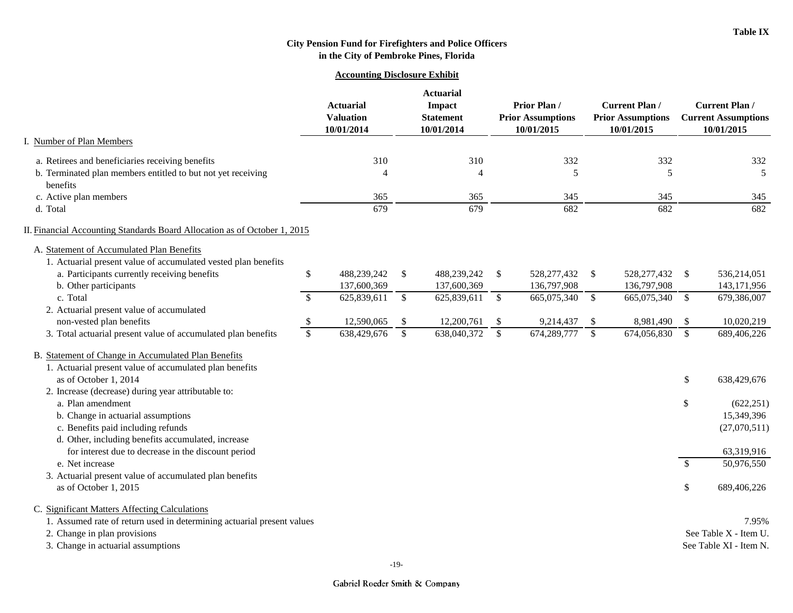#### **Accounting Disclosure Exhibit**

|                                                                                                             |                                                    |               | <b>Actuarial</b>                         |               |                                                        |              |                                                                 |               |                                                                  |
|-------------------------------------------------------------------------------------------------------------|----------------------------------------------------|---------------|------------------------------------------|---------------|--------------------------------------------------------|--------------|-----------------------------------------------------------------|---------------|------------------------------------------------------------------|
|                                                                                                             | <b>Actuarial</b><br><b>Valuation</b><br>10/01/2014 |               | Impact<br><b>Statement</b><br>10/01/2014 |               | Prior Plan /<br><b>Prior Assumptions</b><br>10/01/2015 |              | <b>Current Plan /</b><br><b>Prior Assumptions</b><br>10/01/2015 |               | <b>Current Plan/</b><br><b>Current Assumptions</b><br>10/01/2015 |
| <b>Number of Plan Members</b>                                                                               |                                                    |               |                                          |               |                                                        |              |                                                                 |               |                                                                  |
| a. Retirees and beneficiaries receiving benefits                                                            | 310                                                |               | 310                                      |               | 332                                                    |              | 332                                                             |               | 332                                                              |
| b. Terminated plan members entitled to but not yet receiving                                                | $\overline{4}$                                     |               | $\overline{4}$                           |               | 5                                                      |              | 5                                                               |               | $\sqrt{5}$                                                       |
| benefits                                                                                                    |                                                    |               |                                          |               |                                                        |              |                                                                 |               |                                                                  |
| c. Active plan members<br>d. Total                                                                          | 365<br>679                                         |               | 365<br>$\overline{679}$                  |               | 345<br>682                                             |              | 345<br>682                                                      |               | 345<br>682                                                       |
|                                                                                                             |                                                    |               |                                          |               |                                                        |              |                                                                 |               |                                                                  |
| II. Financial Accounting Standards Board Allocation as of October 1, 2015                                   |                                                    |               |                                          |               |                                                        |              |                                                                 |               |                                                                  |
| A. Statement of Accumulated Plan Benefits<br>1. Actuarial present value of accumulated vested plan benefits |                                                    |               |                                          |               |                                                        |              |                                                                 |               |                                                                  |
| a. Participants currently receiving benefits                                                                | \$<br>488,239,242                                  | \$            | 488,239,242                              | \$            | 528, 277, 432                                          | \$           | 528, 277, 432                                                   | $\mathbb{S}$  | 536,214,051                                                      |
| b. Other participants                                                                                       | 137,600,369                                        |               | 137,600,369                              |               | 136,797,908                                            |              | 136,797,908                                                     |               | 143,171,956                                                      |
| c. Total                                                                                                    | \$<br>625,839,611                                  | $\mathsf{\$}$ | 625,839,611                              | $\mathcal{S}$ | 665,075,340                                            | $\sqrt{\ }$  | 665,075,340                                                     | $\mathcal{S}$ | 679,386,007                                                      |
| 2. Actuarial present value of accumulated                                                                   |                                                    |               |                                          |               |                                                        |              |                                                                 |               |                                                                  |
| non-vested plan benefits                                                                                    | $\boldsymbol{\mathsf{S}}$<br>12,590,065            | $\mathcal{L}$ | 12,200,761                               | \$            | 9,214,437                                              | \$           | 8,981,490                                                       | -\$           | 10,020,219                                                       |
| 3. Total actuarial present value of accumulated plan benefits                                               | $\mathbb{S}$<br>638,429,676                        | $\mathbb{S}$  | 638,040,372                              | $\mathcal{S}$ | 674,289,777                                            | $\mathbb{S}$ | 674,056,830                                                     | $\mathbb{S}$  | 689,406,226                                                      |
| B. Statement of Change in Accumulated Plan Benefits                                                         |                                                    |               |                                          |               |                                                        |              |                                                                 |               |                                                                  |
| 1. Actuarial present value of accumulated plan benefits                                                     |                                                    |               |                                          |               |                                                        |              |                                                                 |               |                                                                  |
| as of October 1, 2014                                                                                       |                                                    |               |                                          |               |                                                        |              |                                                                 | \$            | 638,429,676                                                      |
| 2. Increase (decrease) during year attributable to:                                                         |                                                    |               |                                          |               |                                                        |              |                                                                 |               |                                                                  |
| a. Plan amendment                                                                                           |                                                    |               |                                          |               |                                                        |              |                                                                 | \$            | (622, 251)                                                       |
| b. Change in actuarial assumptions                                                                          |                                                    |               |                                          |               |                                                        |              |                                                                 |               | 15,349,396                                                       |
| c. Benefits paid including refunds                                                                          |                                                    |               |                                          |               |                                                        |              |                                                                 |               | (27,070,511)                                                     |
| d. Other, including benefits accumulated, increase                                                          |                                                    |               |                                          |               |                                                        |              |                                                                 |               |                                                                  |
| for interest due to decrease in the discount period<br>e. Net increase                                      |                                                    |               |                                          |               |                                                        |              |                                                                 |               | 63,319,916<br>50,976,550                                         |
| 3. Actuarial present value of accumulated plan benefits                                                     |                                                    |               |                                          |               |                                                        |              |                                                                 | \$            |                                                                  |
| as of October 1, 2015                                                                                       |                                                    |               |                                          |               |                                                        |              |                                                                 | \$            | 689,406,226                                                      |
|                                                                                                             |                                                    |               |                                          |               |                                                        |              |                                                                 |               |                                                                  |
| C. Significant Matters Affecting Calculations                                                               |                                                    |               |                                          |               |                                                        |              |                                                                 |               |                                                                  |
| 1. Assumed rate of return used in determining actuarial present values                                      |                                                    |               |                                          |               |                                                        |              |                                                                 |               | 7.95%<br>See Table X - Item U.                                   |
| 2. Change in plan provisions<br>3. Change in actuarial assumptions                                          |                                                    |               |                                          |               |                                                        |              |                                                                 |               | See Table XI - Item N.                                           |
|                                                                                                             |                                                    |               |                                          |               |                                                        |              |                                                                 |               |                                                                  |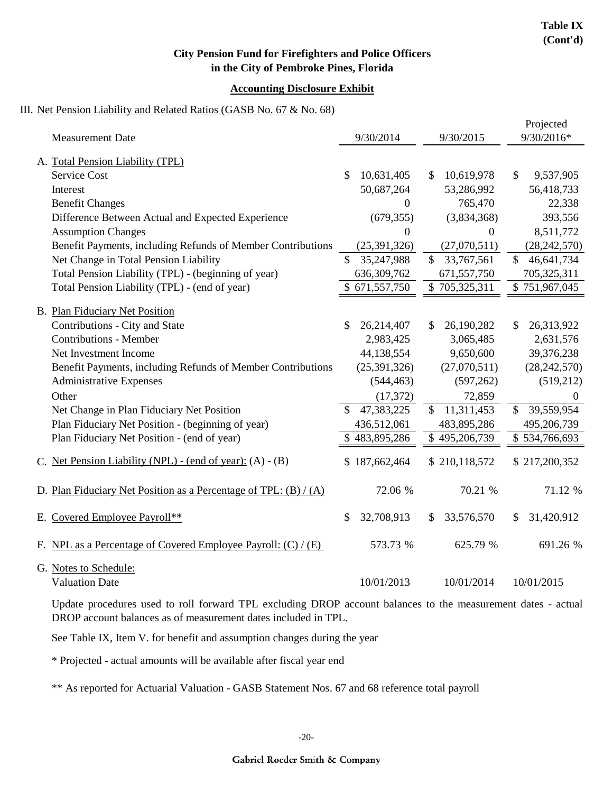#### **Accounting Disclosure Exhibit**

#### III. Net Pension Liability and Related Ratios (GASB No. 67 & No. 68)

| <b>Measurement Date</b>                                            | 9/30/2014                   | 9/30/2015                  | Projected<br>9/30/2016*    |
|--------------------------------------------------------------------|-----------------------------|----------------------------|----------------------------|
|                                                                    |                             |                            |                            |
| A. Total Pension Liability (TPL)                                   |                             |                            |                            |
| <b>Service Cost</b>                                                | 10,631,405<br>\$            | 10,619,978<br>\$           | $\mathcal{S}$<br>9,537,905 |
| Interest                                                           | 50,687,264                  | 53,286,992                 | 56,418,733                 |
| <b>Benefit Changes</b>                                             | $\boldsymbol{0}$            | 765,470                    | 22,338                     |
| Difference Between Actual and Expected Experience                  | (679, 355)                  | (3,834,368)                | 393,556                    |
| <b>Assumption Changes</b>                                          | $\boldsymbol{0}$            | 0                          | 8,511,772                  |
| Benefit Payments, including Refunds of Member Contributions        | (25, 391, 326)              | (27,070,511)               | (28, 242, 570)             |
| Net Change in Total Pension Liability                              | $\mathcal{S}$<br>35,247,988 | $\mathbb{S}$<br>33,767,561 | $\mathbb{S}$<br>46,641,734 |
| Total Pension Liability (TPL) - (beginning of year)                | 636, 309, 762               | 671,557,750                | 705,325,311                |
| Total Pension Liability (TPL) - (end of year)                      | $\overline{$}671,557,750$   | \$705,325,311              | \$751,967,045              |
| <b>B.</b> Plan Fiduciary Net Position                              |                             |                            |                            |
| Contributions - City and State                                     | \$<br>26,214,407            | 26,190,282<br>S.           | 26,313,922<br>\$           |
| <b>Contributions - Member</b>                                      | 2,983,425                   |                            |                            |
| Net Investment Income                                              |                             | 3,065,485                  | 2,631,576                  |
|                                                                    | 44,138,554                  | 9,650,600                  | 39,376,238                 |
| Benefit Payments, including Refunds of Member Contributions        | (25, 391, 326)              | (27,070,511)               | (28, 242, 570)             |
| <b>Administrative Expenses</b>                                     | (544, 463)                  | (597, 262)                 | (519,212)                  |
| Other                                                              | (17, 372)                   | 72,859                     | $\overline{0}$             |
| Net Change in Plan Fiduciary Net Position                          | 47,383,225                  | 11,311,453<br>$\mathbb{S}$ | 39,559,954<br>$\mathbb{S}$ |
| Plan Fiduciary Net Position - (beginning of year)                  | 436,512,061                 | 483,895,286                | 495,206,739                |
| Plan Fiduciary Net Position - (end of year)                        | \$483,895,286               | \$495,206,739              | \$534,766,693              |
| Net Pension Liability (NPL) - (end of year): (A) - (B)             | \$187,662,464               | \$210,118,572              | \$217,200,352              |
| D. Plan Fiduciary Net Position as a Percentage of TPL: $(B) / (A)$ | 72.06 %                     | 70.21 %                    | 71.12 %                    |
| E. Covered Employee Payroll**                                      | 32,708,913<br>\$.           | 33,576,570<br>\$           | 31,420,912<br>S            |
| F. NPL as a Percentage of Covered Employee Payroll: $(C) / (E)$    | 573.73 %                    | 625.79 %                   | 691.26 %                   |
| G. Notes to Schedule:                                              |                             |                            |                            |
| <b>Valuation Date</b>                                              | 10/01/2013                  | 10/01/2014                 | 10/01/2015                 |

Update procedures used to roll forward TPL excluding DROP account balances to the measurement dates - actual DROP account balances as of measurement dates included in TPL.

See Table IX, Item V. for benefit and assumption changes during the year

\* Projected - actual amounts will be available after fiscal year end

\*\* As reported for Actuarial Valuation - GASB Statement Nos. 67 and 68 reference total payroll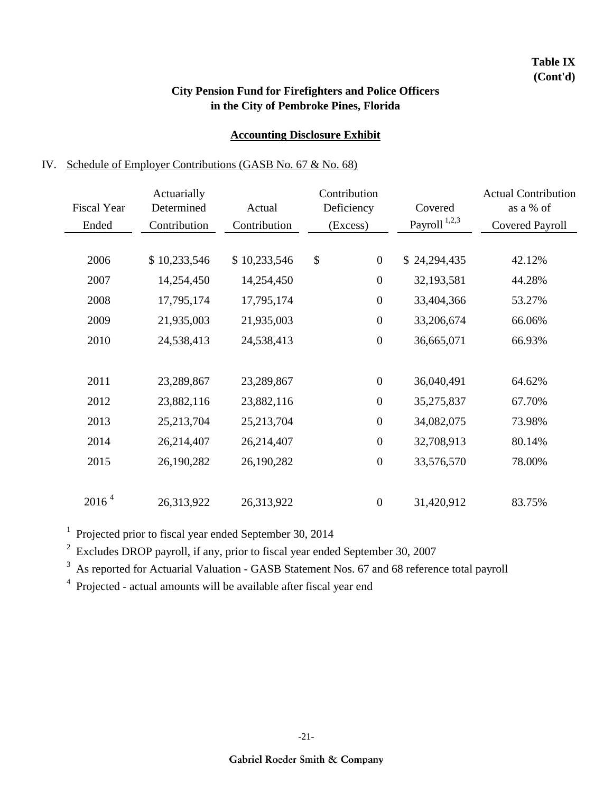### **Table IX (Cont'd)**

## **City Pension Fund for Firefighters and Police Officers in the City of Pembroke Pines, Florida**

## **Accounting Disclosure Exhibit**

## IV. Schedule of Employer Contributions (GASB No. 67 & No. 68)

| <b>Fiscal Year</b><br>Ended | Actuarially<br>Determined<br>Contribution | Actual<br>Contribution | Contribution<br>Deficiency<br>(Excess) | Covered<br>Payroll <sup>1,2,3</sup> | <b>Actual Contribution</b><br>as a % of<br><b>Covered Payroll</b> |
|-----------------------------|-------------------------------------------|------------------------|----------------------------------------|-------------------------------------|-------------------------------------------------------------------|
| 2006                        | \$10,233,546                              | \$10,233,546           | \$<br>$\boldsymbol{0}$                 | \$24,294,435                        | 42.12%                                                            |
| 2007                        | 14,254,450                                | 14,254,450             | $\boldsymbol{0}$                       | 32,193,581                          | 44.28%                                                            |
| 2008                        | 17,795,174                                | 17,795,174             | $\boldsymbol{0}$                       | 33,404,366                          | 53.27%                                                            |
| 2009                        | 21,935,003                                | 21,935,003             | $\boldsymbol{0}$                       | 33,206,674                          | 66.06%                                                            |
| 2010                        | 24,538,413                                | 24,538,413             | $\boldsymbol{0}$                       | 36,665,071                          | 66.93%                                                            |
|                             |                                           |                        |                                        |                                     |                                                                   |
| 2011                        | 23,289,867                                | 23,289,867             | $\boldsymbol{0}$                       | 36,040,491                          | 64.62%                                                            |
| 2012                        | 23,882,116                                | 23,882,116             | $\boldsymbol{0}$                       | 35,275,837                          | 67.70%                                                            |
| 2013                        | 25,213,704                                | 25,213,704             | $\boldsymbol{0}$                       | 34,082,075                          | 73.98%                                                            |
| 2014                        | 26,214,407                                | 26,214,407             | $\boldsymbol{0}$                       | 32,708,913                          | 80.14%                                                            |
| 2015                        | 26,190,282                                | 26,190,282             | $\boldsymbol{0}$                       | 33,576,570                          | 78.00%                                                            |
|                             |                                           |                        |                                        |                                     |                                                                   |
| 2016 <sup>4</sup>           | 26,313,922                                | 26,313,922             | $\boldsymbol{0}$                       | 31,420,912                          | 83.75%                                                            |

<sup>1</sup> Projected prior to fiscal year ended September 30, 2014

 $2^{2}$  Excludes DROP payroll, if any, prior to fiscal year ended September 30, 2007

<sup>3</sup> As reported for Actuarial Valuation - GASB Statement Nos. 67 and 68 reference total payroll

<sup>4</sup> Projected - actual amounts will be available after fiscal year end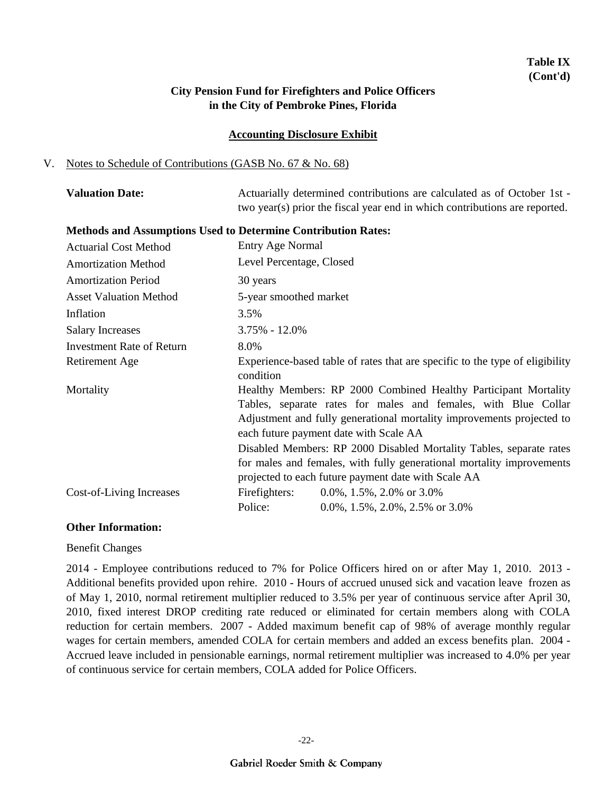## **Table IX (Cont'd)**

### **City Pension Fund for Firefighters and Police Officers in the City of Pembroke Pines, Florida**

#### **Accounting Disclosure Exhibit**

#### V. Notes to Schedule of Contributions (GASB No. 67 & No. 68)

| <b>Valuation Date:</b> | Actuarially determined contributions are calculated as of October 1st -    |
|------------------------|----------------------------------------------------------------------------|
|                        | two year(s) prior the fiscal year end in which contributions are reported. |

#### **Methods and Assumptions Used to Determine Contribution Rates:**

| <b>Actuarial Cost Method</b>  | Entry Age Normal                                                                                                                                                                                                                                                                                                                                                                                                                                            |                                                                              |  |  |  |
|-------------------------------|-------------------------------------------------------------------------------------------------------------------------------------------------------------------------------------------------------------------------------------------------------------------------------------------------------------------------------------------------------------------------------------------------------------------------------------------------------------|------------------------------------------------------------------------------|--|--|--|
| <b>Amortization Method</b>    | Level Percentage, Closed                                                                                                                                                                                                                                                                                                                                                                                                                                    |                                                                              |  |  |  |
| <b>Amortization Period</b>    | 30 years                                                                                                                                                                                                                                                                                                                                                                                                                                                    |                                                                              |  |  |  |
| <b>Asset Valuation Method</b> | 5-year smoothed market                                                                                                                                                                                                                                                                                                                                                                                                                                      |                                                                              |  |  |  |
| Inflation                     | 3.5%                                                                                                                                                                                                                                                                                                                                                                                                                                                        |                                                                              |  |  |  |
| <b>Salary Increases</b>       | $3.75\% - 12.0\%$                                                                                                                                                                                                                                                                                                                                                                                                                                           |                                                                              |  |  |  |
| Investment Rate of Return     | 8.0%                                                                                                                                                                                                                                                                                                                                                                                                                                                        |                                                                              |  |  |  |
| Retirement Age                | condition                                                                                                                                                                                                                                                                                                                                                                                                                                                   | Experience-based table of rates that are specific to the type of eligibility |  |  |  |
| Mortality                     | Healthy Members: RP 2000 Combined Healthy Participant Mortality<br>Tables, separate rates for males and females, with Blue Collar<br>Adjustment and fully generational mortality improvements projected to<br>each future payment date with Scale AA<br>Disabled Members: RP 2000 Disabled Mortality Tables, separate rates<br>for males and females, with fully generational mortality improvements<br>projected to each future payment date with Scale AA |                                                                              |  |  |  |
| Cost-of-Living Increases      | Firefighters:<br>Police:                                                                                                                                                                                                                                                                                                                                                                                                                                    | 0.0%, 1.5%, 2.0% or $3.0\%$<br>$0.0\%$ , 1.5%, 2.0%, 2.5% or 3.0%            |  |  |  |

#### **Other Information:**

Benefit Changes

2014 - Employee contributions reduced to 7% for Police Officers hired on or after May 1, 2010. 2013 - Additional benefits provided upon rehire. 2010 - Hours of accrued unused sick and vacation leave frozen as of May 1, 2010, normal retirement multiplier reduced to 3.5% per year of continuous service after April 30, 2010, fixed interest DROP crediting rate reduced or eliminated for certain members along with COLA reduction for certain members. 2007 - Added maximum benefit cap of 98% of average monthly regular wages for certain members, amended COLA for certain members and added an excess benefits plan. 2004 - Accrued leave included in pensionable earnings, normal retirement multiplier was increased to 4.0% per year of continuous service for certain members, COLA added for Police Officers.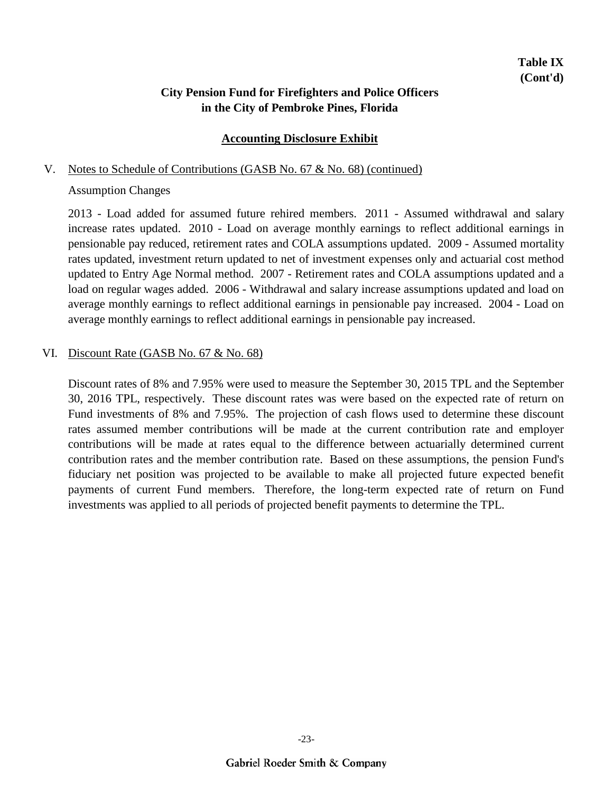#### **Accounting Disclosure Exhibit**

#### V. Notes to Schedule of Contributions (GASB No. 67 & No. 68) (continued)

#### Assumption Changes

2013 - Load added for assumed future rehired members. 2011 - Assumed withdrawal and salary increase rates updated. 2010 - Load on average monthly earnings to reflect additional earnings in pensionable pay reduced, retirement rates and COLA assumptions updated. 2009 - Assumed mortality rates updated, investment return updated to net of investment expenses only and actuarial cost method updated to Entry Age Normal method. 2007 - Retirement rates and COLA assumptions updated and a load on regular wages added. 2006 - Withdrawal and salary increase assumptions updated and load on average monthly earnings to reflect additional earnings in pensionable pay increased. 2004 - Load on average monthly earnings to reflect additional earnings in pensionable pay increased.

#### VI. Discount Rate (GASB No. 67 & No. 68)

Discount rates of 8% and 7.95% were used to measure the September 30, 2015 TPL and the September 30, 2016 TPL, respectively. These discount rates was were based on the expected rate of return on Fund investments of 8% and 7.95%. The projection of cash flows used to determine these discount rates assumed member contributions will be made at the current contribution rate and employer contributions will be made at rates equal to the difference between actuarially determined current contribution rates and the member contribution rate. Based on these assumptions, the pension Fund's fiduciary net position was projected to be available to make all projected future expected benefit payments of current Fund members. Therefore, the long-term expected rate of return on Fund investments was applied to all periods of projected benefit payments to determine the TPL.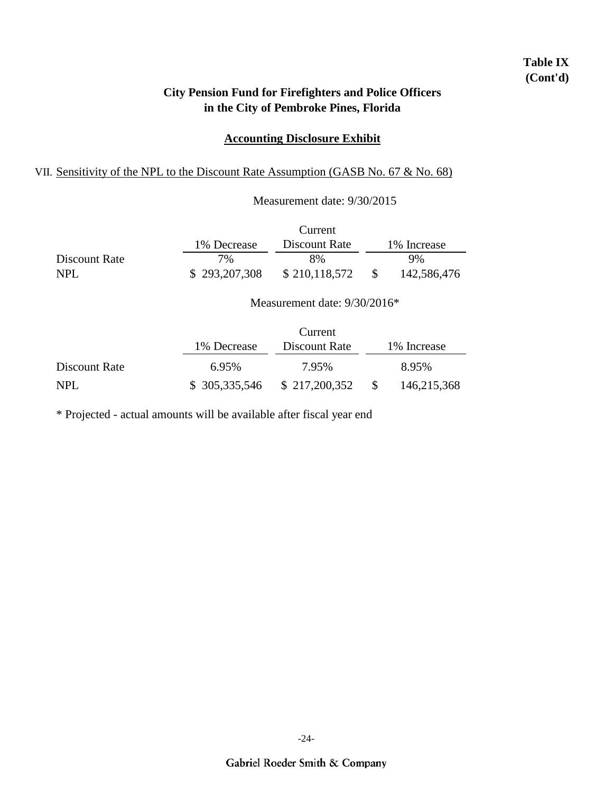## **Table IX (Cont'd)**

## **City Pension Fund for Firefighters and Police Officers in the City of Pembroke Pines, Florida**

#### **Accounting Disclosure Exhibit**

## VII. Sensitivity of the NPL to the Discount Rate Assumption (GASB No. 67 & No. 68)

|               |               | Measurement date: 9/30/2015  |              |              |
|---------------|---------------|------------------------------|--------------|--------------|
|               |               | Current                      |              |              |
|               | 1% Decrease   | Discount Rate                |              | 1\% Increase |
| Discount Rate | 7%            | 8%                           |              | 9%           |
| <b>NPL</b>    | \$293,207,308 | \$210,118,572                | <sup>S</sup> | 142,586,476  |
|               |               | Measurement date: 9/30/2016* |              |              |

|               |               | Current       |              |              |
|---------------|---------------|---------------|--------------|--------------|
|               | 1\% Decrease  | Discount Rate |              | 1\% Increase |
| Discount Rate | 6.95%         | 7.95%         |              | 8.95%        |
| NPL.          | \$305,335,546 | \$217,200,352 | <sup>S</sup> | 146,215,368  |

\* Projected - actual amounts will be available after fiscal year end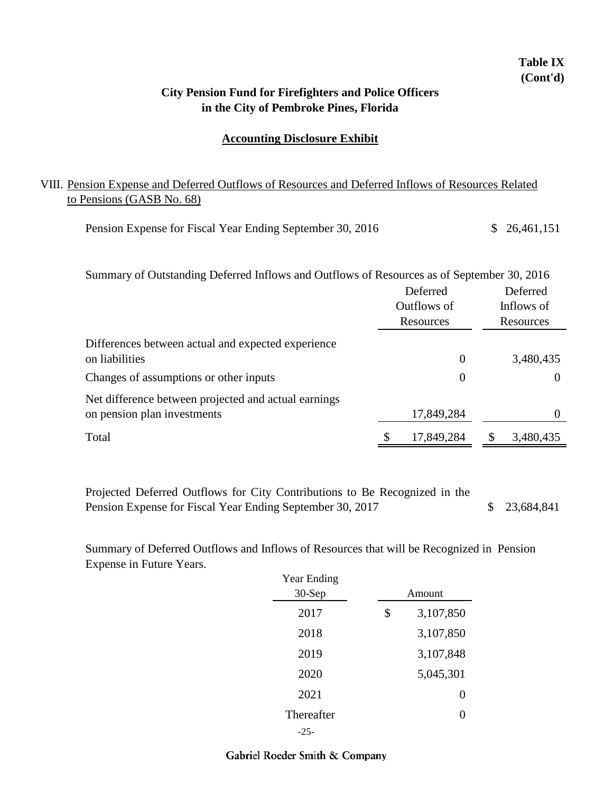## **in the City of Pembroke Pines, Florida City Pension Fund for Firefighters and Police Officers**

#### **Accounting Disclosure Exhibit**

## VIII. Pension Expense and Deferred Outflows of Resources and Deferred Inflows of Resources Related to Pensions (GASB No. 68)

| Pension Expense for Fiscal Year Ending September 30, 2016 |  |  | \$26,461,151 |
|-----------------------------------------------------------|--|--|--------------|
|-----------------------------------------------------------|--|--|--------------|

| Summary of Outstanding Deferred Inflows and Outflows of Resources as of September 30, 2016 |                |            |  |  |  |
|--------------------------------------------------------------------------------------------|----------------|------------|--|--|--|
|                                                                                            | Deferred       | Deferred   |  |  |  |
|                                                                                            | Outflows of    | Inflows of |  |  |  |
|                                                                                            | Resources      | Resources  |  |  |  |
| Differences between actual and expected experience                                         |                |            |  |  |  |
| on liabilities                                                                             | $\overline{0}$ | 3,480,435  |  |  |  |
| Changes of assumptions or other inputs                                                     | $\theta$       | $\theta$   |  |  |  |
| Net difference between projected and actual earnings                                       |                |            |  |  |  |
| on pension plan investments                                                                | 17,849,284     |            |  |  |  |
| Total                                                                                      | 17,849,284     | 3,480,435  |  |  |  |
|                                                                                            |                |            |  |  |  |

 \$ 23,684,841 Projected Deferred Outflows for City Contributions to Be Recognized in the Pension Expense for Fiscal Year Ending September 30, 2017

Summary of Deferred Outflows and Inflows of Resources that will be Recognized in Pension Expense in Future Years.

| Year Ending<br>$30-Sep$ |    | Amount    |
|-------------------------|----|-----------|
| 2017                    | \$ | 3,107,850 |
| 2018                    |    | 3,107,850 |
| 2019                    |    | 3,107,848 |
| 2020                    |    | 5,045,301 |
| 2021                    |    | 0         |
| Thereafter              |    | 0         |
| -25-                    |    |           |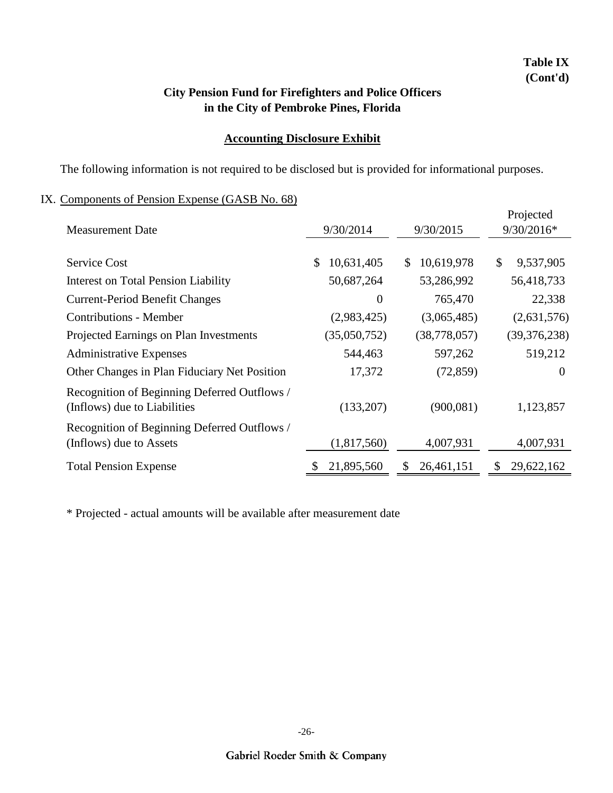## **in the City of Pembroke Pines, Florida City Pension Fund for Firefighters and Police Officers**

#### **Accounting Disclosure Exhibit**

The following information is not required to be disclosed but is provided for informational purposes.

## IX. Components of Pension Expense (GASB No. 68)

| <b>Measurement Date</b>                                                      | 9/30/2014        | 9/30/2015        | Projected<br>9/30/2016* |
|------------------------------------------------------------------------------|------------------|------------------|-------------------------|
|                                                                              |                  |                  |                         |
| <b>Service Cost</b>                                                          | 10,631,405<br>\$ | 10,619,978<br>S. | \$<br>9,537,905         |
| Interest on Total Pension Liability                                          | 50,687,264       | 53,286,992       | 56,418,733              |
| <b>Current-Period Benefit Changes</b>                                        | $\theta$         | 765,470          | 22,338                  |
| <b>Contributions - Member</b>                                                | (2,983,425)      | (3,065,485)      | (2,631,576)             |
| Projected Earnings on Plan Investments                                       | (35,050,752)     | (38, 778, 057)   | (39, 376, 238)          |
| <b>Administrative Expenses</b>                                               | 544,463          | 597,262          | 519,212                 |
| Other Changes in Plan Fiduciary Net Position                                 | 17,372           | (72, 859)        | $\theta$                |
| Recognition of Beginning Deferred Outflows /<br>(Inflows) due to Liabilities | (133,207)        | (900, 081)       | 1,123,857               |
| Recognition of Beginning Deferred Outflows /                                 |                  |                  |                         |
| (Inflows) due to Assets                                                      | (1,817,560)      | 4,007,931        | 4,007,931               |
| <b>Total Pension Expense</b>                                                 | 21,895,560       | 26,461,151<br>\$ | 29,622,162<br>S         |

\* Projected - actual amounts will be available after measurement date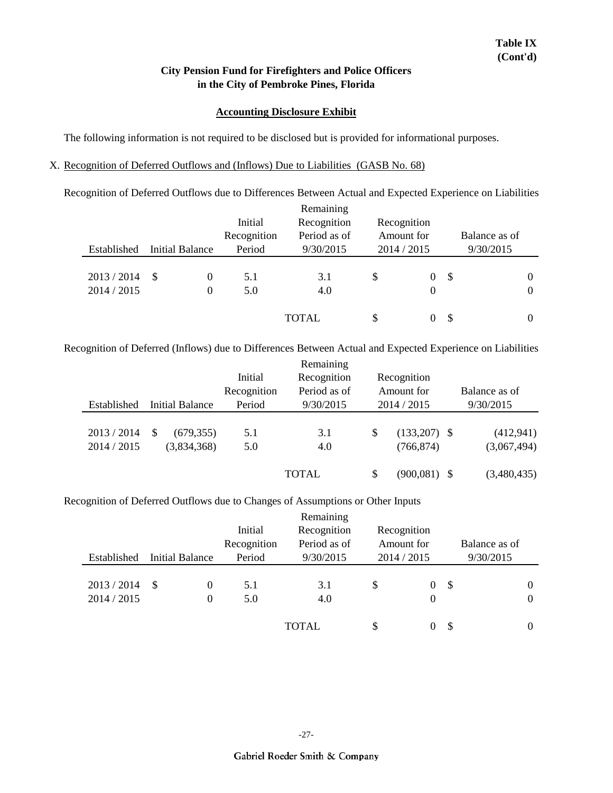#### **Accounting Disclosure Exhibit**

The following information is not required to be disclosed but is provided for informational purposes.

#### X. Recognition of Deferred Outflows and (Inflows) Due to Liabilities (GASB No. 68)

Recognition of Deferred Outflows due to Differences Between Actual and Expected Experience on Liabilities

|                          |                            | Initial<br>Recognition | Remaining<br>Recognition<br>Period as of | Recognition<br>Amount for |        | Balance as of |                    |
|--------------------------|----------------------------|------------------------|------------------------------------------|---------------------------|--------|---------------|--------------------|
| Established              | Initial Balance            | Period                 | 9/30/2015                                | 2014 / 2015               |        | 9/30/2015     |                    |
| 2013/2014<br>2014 / 2015 | -S<br>$\theta$<br>$\Omega$ | 5.1<br>5.0             | 3.1<br>4.0                               | \$                        | 0<br>0 | \$            | $_{0}$<br>$\theta$ |
|                          |                            |                        | <b>TOTAL</b>                             | \$                        | 0      | \$            |                    |

Recognition of Deferred (Inflows) due to Differences Between Actual and Expected Experience on Liabilities

|             |     |                        |             | Remaining    |                       |               |
|-------------|-----|------------------------|-------------|--------------|-----------------------|---------------|
|             |     |                        | Initial     | Recognition  | Recognition           |               |
|             |     |                        | Recognition | Period as of | Amount for            | Balance as of |
| Established |     | <b>Initial Balance</b> | Period      | 9/30/2015    | 2014 / 2015           | 9/30/2015     |
|             |     |                        |             |              |                       |               |
| 2013/2014   | \$. | (679, 355)             | 5.1         | 3.1          | \$<br>$(133,207)$ \$  | (412, 941)    |
| 2014 / 2015 |     | (3,834,368)            | 5.0         | 4.0          | (766, 874)            | (3,067,494)   |
|             |     |                        |             |              |                       |               |
|             |     |                        |             | <b>TOTAL</b> | \$<br>$(900, 081)$ \$ | (3,480,435)   |

Recognition of Deferred Outflows due to Changes of Assumptions or Other Inputs

| Established              | Initial Balance | Initial<br>Recognition<br>Period | Remaining<br>Recognition<br>Period as of<br>9/30/2015 | Recognition<br>Amount for<br>2014 / 2015 |               |    | Balance as of<br>9/30/2015 |          |
|--------------------------|-----------------|----------------------------------|-------------------------------------------------------|------------------------------------------|---------------|----|----------------------------|----------|
|                          |                 |                                  |                                                       |                                          |               |    |                            |          |
| 2013/2014<br>2014 / 2015 | -S<br>0<br>0    | 5.1<br>5.0                       | 3.1<br>4.0                                            | \$                                       | $\theta$<br>0 | \$ |                            | $\theta$ |
|                          |                 |                                  | <b>TOTAL</b>                                          | \$                                       | 0             | -S |                            |          |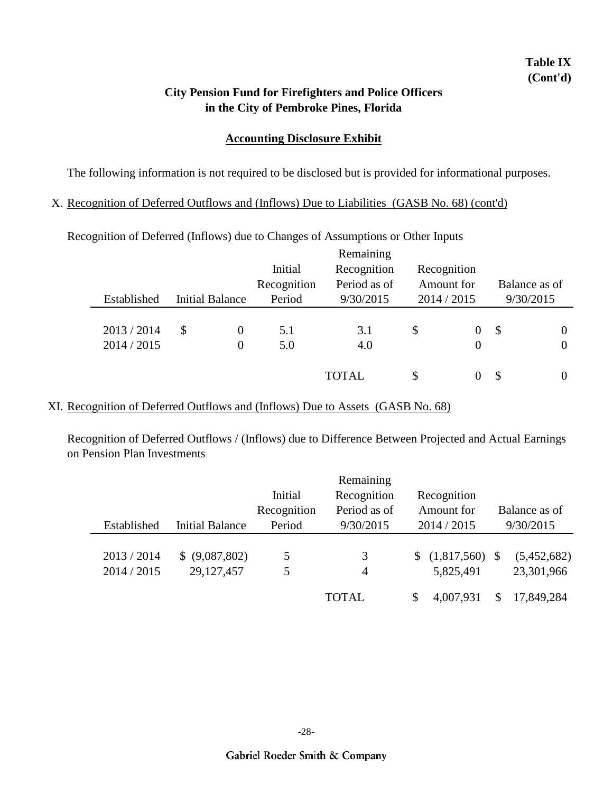## **Table IX (Cont'd)**

### **in the City of Pembroke Pines, Florida City Pension Fund for Firefighters and Police Officers**

#### **Accounting Disclosure Exhibit**

The following information is not required to be disclosed but is provided for informational purposes.

#### X. Recognition of Deferred Outflows and (Inflows) Due to Liabilities (GASB No. 68) (cont'd)

|             |                        |             | Remaining    |                |                            |                |
|-------------|------------------------|-------------|--------------|----------------|----------------------------|----------------|
|             |                        | Initial     | Recognition  | Recognition    |                            |                |
|             |                        | Recognition | Period as of | Amount for     |                            | Balance as of  |
| Established | <b>Initial Balance</b> | Period      | 9/30/2015    | 2014 / 2015    |                            | 9/30/2015      |
|             |                        |             |              |                |                            |                |
| 2013 / 2014 | \$<br>0                | 5.1         | 3.1          | \$<br>$\theta$ | $\boldsymbol{\mathcal{S}}$ | $\overline{0}$ |
| 2014 / 2015 | 0                      | 5.0         | 4.0          | $\overline{0}$ |                            | $\theta$       |
|             |                        |             |              |                |                            |                |
|             |                        |             | <b>TOTAL</b> | \$<br>0        | S                          | $\theta$       |
|             |                        |             |              |                |                            |                |

Recognition of Deferred (Inflows) due to Changes of Assumptions or Other Inputs

#### XI. Recognition of Deferred Outflows and (Inflows) Due to Assets (GASB No. 68)

Recognition of Deferred Outflows / (Inflows) due to Difference Between Projected and Actual Earnings on Pension Plan Investments

|             |                        |             | Remaining    |                        |               |
|-------------|------------------------|-------------|--------------|------------------------|---------------|
|             |                        | Initial     | Recognition  | Recognition            |               |
|             |                        | Recognition | Period as of | Amount for             | Balance as of |
| Established | <b>Initial Balance</b> | Period      | 9/30/2015    | 2014 / 2015            | 9/30/2015     |
|             |                        |             |              |                        |               |
| 2013/2014   | \$ (9,087,802)         | 5           | 3            | \$<br>$(1,817,560)$ \$ | (5,452,682)   |
| 2014 / 2015 | 29,127,457             | 5           | 4            | 5,825,491              | 23,301,966    |
|             |                        |             |              |                        |               |
|             |                        |             | <b>TOTAL</b> | \$<br>4,007,931        | 17,849,284    |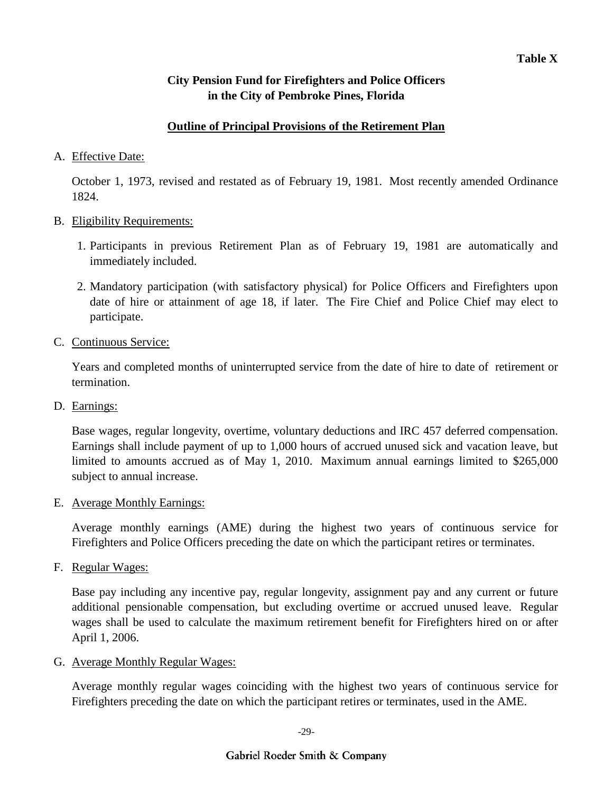### **Outline of Principal Provisions of the Retirement Plan**

### A. Effective Date:

October 1, 1973, revised and restated as of February 19, 1981. Most recently amended Ordinance 1824.

#### B. Eligibility Requirements:

- 1. Participants in previous Retirement Plan as of February 19, 1981 are automatically and immediately included.
- 2. Mandatory participation (with satisfactory physical) for Police Officers and Firefighters upon date of hire or attainment of age 18, if later. The Fire Chief and Police Chief may elect to participate.
- C. Continuous Service:

Years and completed months of uninterrupted service from the date of hire to date of retirement or termination.

D. Earnings:

Base wages, regular longevity, overtime, voluntary deductions and IRC 457 deferred compensation. Earnings shall include payment of up to 1,000 hours of accrued unused sick and vacation leave, but limited to amounts accrued as of May 1, 2010. Maximum annual earnings limited to \$265,000 subject to annual increase.

E. Average Monthly Earnings:

Average monthly earnings (AME) during the highest two years of continuous service for Firefighters and Police Officers preceding the date on which the participant retires or terminates.

F. Regular Wages:

Base pay including any incentive pay, regular longevity, assignment pay and any current or future additional pensionable compensation, but excluding overtime or accrued unused leave. Regular wages shall be used to calculate the maximum retirement benefit for Firefighters hired on or after April 1, 2006.

G. Average Monthly Regular Wages:

Average monthly regular wages coinciding with the highest two years of continuous service for Firefighters preceding the date on which the participant retires or terminates, used in the AME.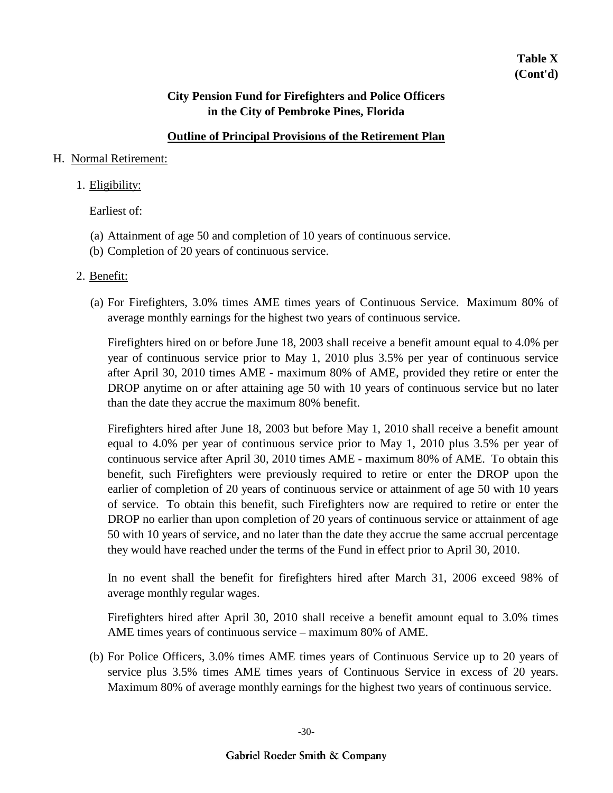### **Outline of Principal Provisions of the Retirement Plan**

#### H. Normal Retirement:

#### 1. Eligibility:

Earliest of:

- (a) Attainment of age 50 and completion of 10 years of continuous service.
- (b) Completion of 20 years of continuous service.

#### 2. Benefit:

(a) For Firefighters, 3.0% times AME times years of Continuous Service. Maximum 80% of average monthly earnings for the highest two years of continuous service.

Firefighters hired on or before June 18, 2003 shall receive a benefit amount equal to 4.0% per year of continuous service prior to May 1, 2010 plus 3.5% per year of continuous service after April 30, 2010 times AME - maximum 80% of AME, provided they retire or enter the DROP anytime on or after attaining age 50 with 10 years of continuous service but no later than the date they accrue the maximum 80% benefit.

Firefighters hired after June 18, 2003 but before May 1, 2010 shall receive a benefit amount equal to 4.0% per year of continuous service prior to May 1, 2010 plus 3.5% per year of continuous service after April 30, 2010 times AME - maximum 80% of AME. To obtain this benefit, such Firefighters were previously required to retire or enter the DROP upon the earlier of completion of 20 years of continuous service or attainment of age 50 with 10 years of service. To obtain this benefit, such Firefighters now are required to retire or enter the DROP no earlier than upon completion of 20 years of continuous service or attainment of age 50 with 10 years of service, and no later than the date they accrue the same accrual percentage they would have reached under the terms of the Fund in effect prior to April 30, 2010.

In no event shall the benefit for firefighters hired after March 31, 2006 exceed 98% of average monthly regular wages.

Firefighters hired after April 30, 2010 shall receive a benefit amount equal to 3.0% times AME times years of continuous service – maximum 80% of AME.

(b) For Police Officers, 3.0% times AME times years of Continuous Service up to 20 years of service plus 3.5% times AME times years of Continuous Service in excess of 20 years. Maximum 80% of average monthly earnings for the highest two years of continuous service.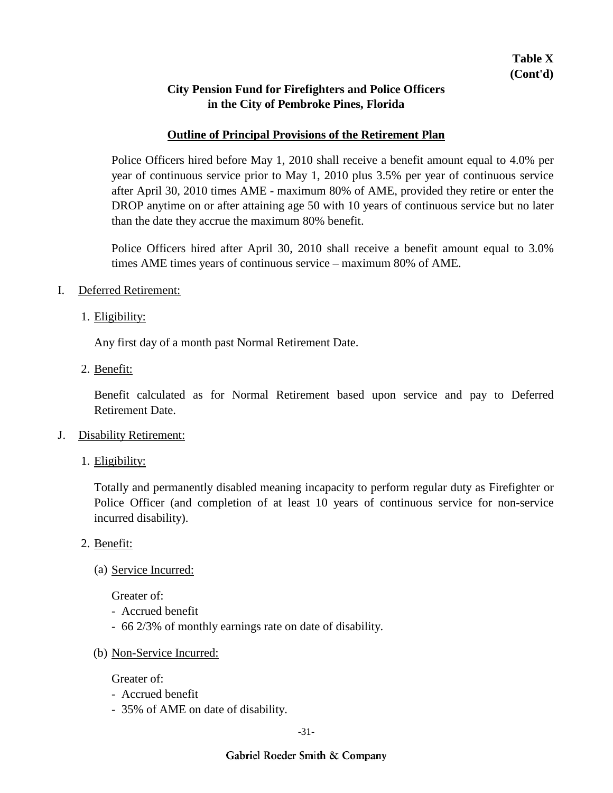#### **Outline of Principal Provisions of the Retirement Plan**

Police Officers hired before May 1, 2010 shall receive a benefit amount equal to 4.0% per year of continuous service prior to May 1, 2010 plus 3.5% per year of continuous service after April 30, 2010 times AME - maximum 80% of AME, provided they retire or enter the DROP anytime on or after attaining age 50 with 10 years of continuous service but no later than the date they accrue the maximum 80% benefit.

Police Officers hired after April 30, 2010 shall receive a benefit amount equal to 3.0% times AME times years of continuous service – maximum 80% of AME.

- I. Deferred Retirement:
	- 1. Eligibility:

Any first day of a month past Normal Retirement Date.

2. Benefit:

Benefit calculated as for Normal Retirement based upon service and pay to Deferred Retirement Date.

- J. Disability Retirement:
	- 1. Eligibility:

Totally and permanently disabled meaning incapacity to perform regular duty as Firefighter or Police Officer (and completion of at least 10 years of continuous service for non-service incurred disability).

- 2. Benefit:
	- (a) Service Incurred:

Greater of:

- Accrued benefit
- 66 2/3% of monthly earnings rate on date of disability.
- (b) Non-Service Incurred:

Greater of:

- Accrued benefit
- 35% of AME on date of disability.

-31-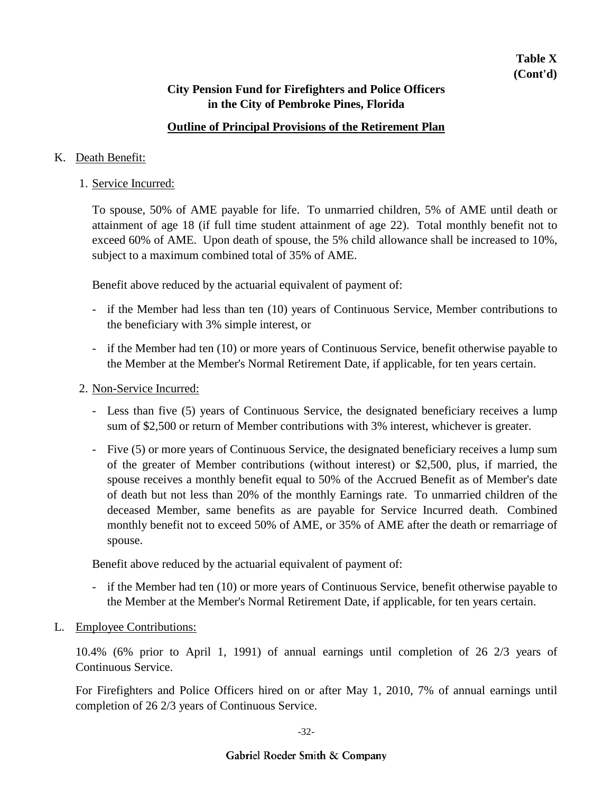### **Outline of Principal Provisions of the Retirement Plan**

#### K. Death Benefit:

1. Service Incurred:

To spouse, 50% of AME payable for life. To unmarried children, 5% of AME until death or attainment of age 18 (if full time student attainment of age 22). Total monthly benefit not to exceed 60% of AME. Upon death of spouse, the 5% child allowance shall be increased to 10%, subject to a maximum combined total of 35% of AME.

Benefit above reduced by the actuarial equivalent of payment of:

- if the Member had less than ten (10) years of Continuous Service, Member contributions to the beneficiary with 3% simple interest, or
- if the Member had ten (10) or more years of Continuous Service, benefit otherwise payable to the Member at the Member's Normal Retirement Date, if applicable, for ten years certain.
- 2. Non-Service Incurred:
	- Less than five (5) years of Continuous Service, the designated beneficiary receives a lump sum of \$2,500 or return of Member contributions with 3% interest, whichever is greater.
	- Five (5) or more years of Continuous Service, the designated beneficiary receives a lump sum of the greater of Member contributions (without interest) or \$2,500, plus, if married, the spouse receives a monthly benefit equal to 50% of the Accrued Benefit as of Member's date of death but not less than 20% of the monthly Earnings rate. To unmarried children of the deceased Member, same benefits as are payable for Service Incurred death. Combined monthly benefit not to exceed 50% of AME, or 35% of AME after the death or remarriage of spouse.

Benefit above reduced by the actuarial equivalent of payment of:

- if the Member had ten (10) or more years of Continuous Service, benefit otherwise payable to the Member at the Member's Normal Retirement Date, if applicable, for ten years certain.
- L. Employee Contributions:

10.4% (6% prior to April 1, 1991) of annual earnings until completion of 26 2/3 years of Continuous Service.

For Firefighters and Police Officers hired on or after May 1, 2010, 7% of annual earnings until completion of 26 2/3 years of Continuous Service.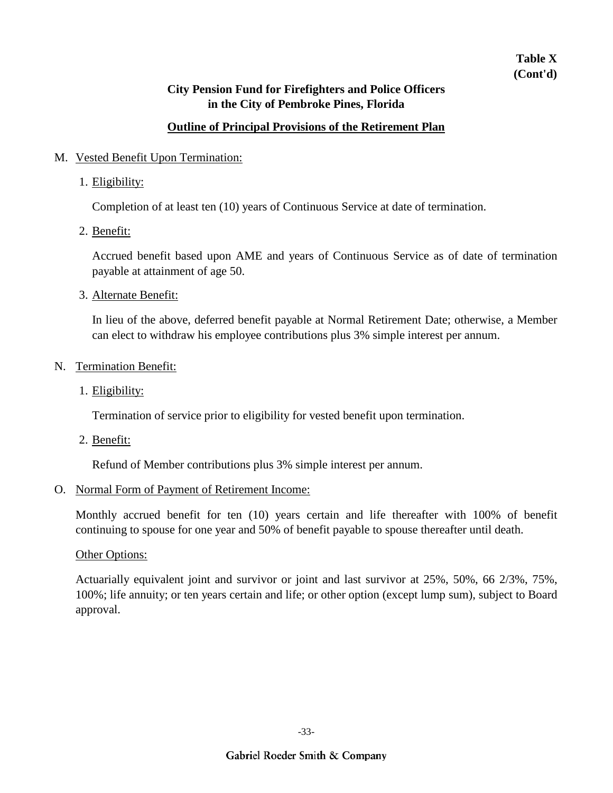## **Table X (Cont'd)**

## **City Pension Fund for Firefighters and Police Officers in the City of Pembroke Pines, Florida**

## **Outline of Principal Provisions of the Retirement Plan**

#### M. Vested Benefit Upon Termination:

1. Eligibility:

Completion of at least ten (10) years of Continuous Service at date of termination.

2. Benefit:

Accrued benefit based upon AME and years of Continuous Service as of date of termination payable at attainment of age 50.

3. Alternate Benefit:

In lieu of the above, deferred benefit payable at Normal Retirement Date; otherwise, a Member can elect to withdraw his employee contributions plus 3% simple interest per annum.

- N. Termination Benefit:
	- 1. Eligibility:

Termination of service prior to eligibility for vested benefit upon termination.

2. Benefit:

Refund of Member contributions plus 3% simple interest per annum.

#### O. Normal Form of Payment of Retirement Income:

Monthly accrued benefit for ten (10) years certain and life thereafter with 100% of benefit continuing to spouse for one year and 50% of benefit payable to spouse thereafter until death.

#### Other Options:

Actuarially equivalent joint and survivor or joint and last survivor at 25%, 50%, 66 2/3%, 75%, 100%; life annuity; or ten years certain and life; or other option (except lump sum), subject to Board approval.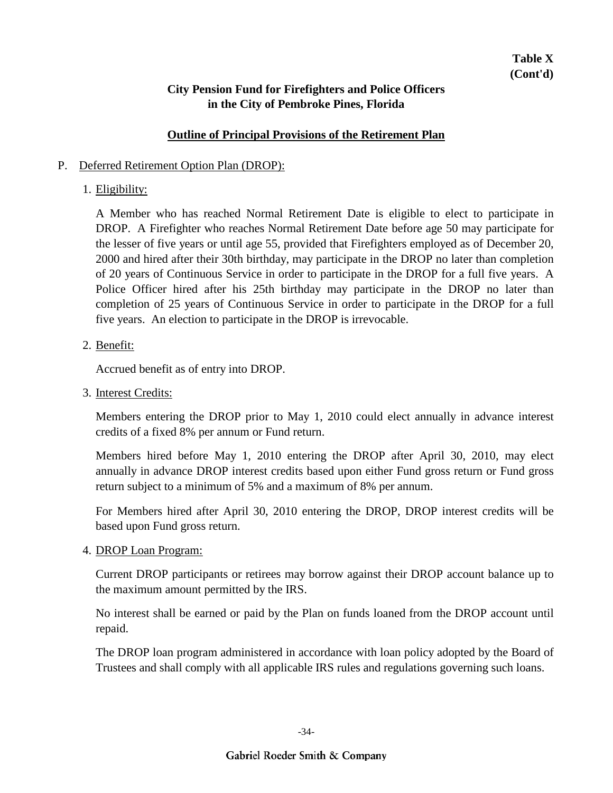#### **Outline of Principal Provisions of the Retirement Plan**

#### P. Deferred Retirement Option Plan (DROP):

### 1. Eligibility:

A Member who has reached Normal Retirement Date is eligible to elect to participate in DROP. A Firefighter who reaches Normal Retirement Date before age 50 may participate for the lesser of five years or until age 55, provided that Firefighters employed as of December 20, 2000 and hired after their 30th birthday, may participate in the DROP no later than completion of 20 years of Continuous Service in order to participate in the DROP for a full five years. A Police Officer hired after his 25th birthday may participate in the DROP no later than completion of 25 years of Continuous Service in order to participate in the DROP for a full five years. An election to participate in the DROP is irrevocable.

#### 2. <u>Benefit:</u>

Accrued benefit as of entry into DROP.

3. Interest Credits:

Members entering the DROP prior to May 1, 2010 could elect annually in advance interest credits of a fixed 8% per annum or Fund return.

Members hired before May 1, 2010 entering the DROP after April 30, 2010, may elect annually in advance DROP interest credits based upon either Fund gross return or Fund gross return subject to a minimum of 5% and a maximum of 8% per annum.

For Members hired after April 30, 2010 entering the DROP, DROP interest credits will be based upon Fund gross return.

4. DROP Loan Program:

Current DROP participants or retirees may borrow against their DROP account balance up to the maximum amount permitted by the IRS.

No interest shall be earned or paid by the Plan on funds loaned from the DROP account until repaid.

The DROP loan program administered in accordance with loan policy adopted by the Board of Trustees and shall comply with all applicable IRS rules and regulations governing such loans.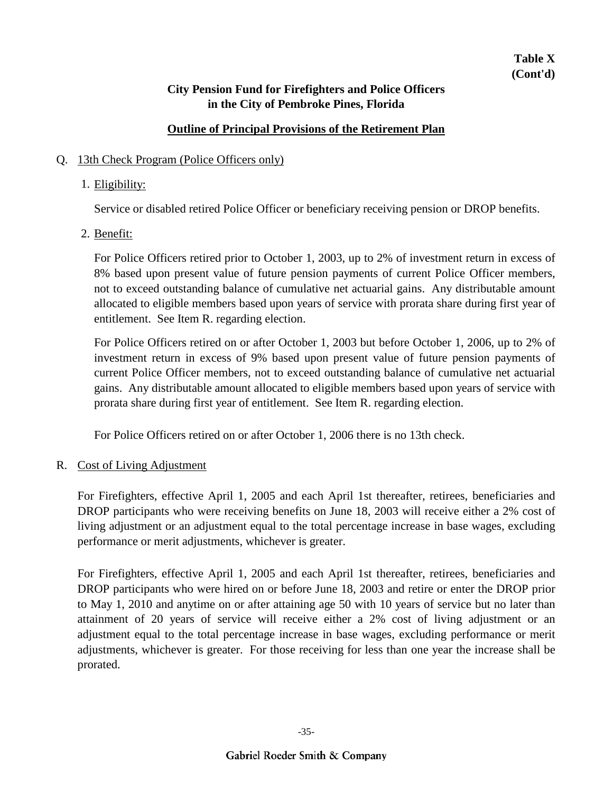## **Outline of Principal Provisions of the Retirement Plan**

### Q. 13th Check Program (Police Officers only)

## 1. Eligibility:

Service or disabled retired Police Officer or beneficiary receiving pension or DROP benefits.

2. <u>Benefit:</u>

For Police Officers retired prior to October 1, 2003, up to 2% of investment return in excess of 8% based upon present value of future pension payments of current Police Officer members, not to exceed outstanding balance of cumulative net actuarial gains. Any distributable amount allocated to eligible members based upon years of service with prorata share during first year of entitlement. See Item R. regarding election.

For Police Officers retired on or after October 1, 2003 but before October 1, 2006, up to 2% of investment return in excess of 9% based upon present value of future pension payments of current Police Officer members, not to exceed outstanding balance of cumulative net actuarial gains. Any distributable amount allocated to eligible members based upon years of service with prorata share during first year of entitlement. See Item R. regarding election.

For Police Officers retired on or after October 1, 2006 there is no 13th check.

### R. Cost of Living Adjustment

For Firefighters, effective April 1, 2005 and each April 1st thereafter, retirees, beneficiaries and DROP participants who were receiving benefits on June 18, 2003 will receive either a 2% cost of living adjustment or an adjustment equal to the total percentage increase in base wages, excluding performance or merit adjustments, whichever is greater.

For Firefighters, effective April 1, 2005 and each April 1st thereafter, retirees, beneficiaries and DROP participants who were hired on or before June 18, 2003 and retire or enter the DROP prior to May 1, 2010 and anytime on or after attaining age 50 with 10 years of service but no later than attainment of 20 years of service will receive either a 2% cost of living adjustment or an adjustment equal to the total percentage increase in base wages, excluding performance or merit adjustments, whichever is greater. For those receiving for less than one year the increase shall be prorated.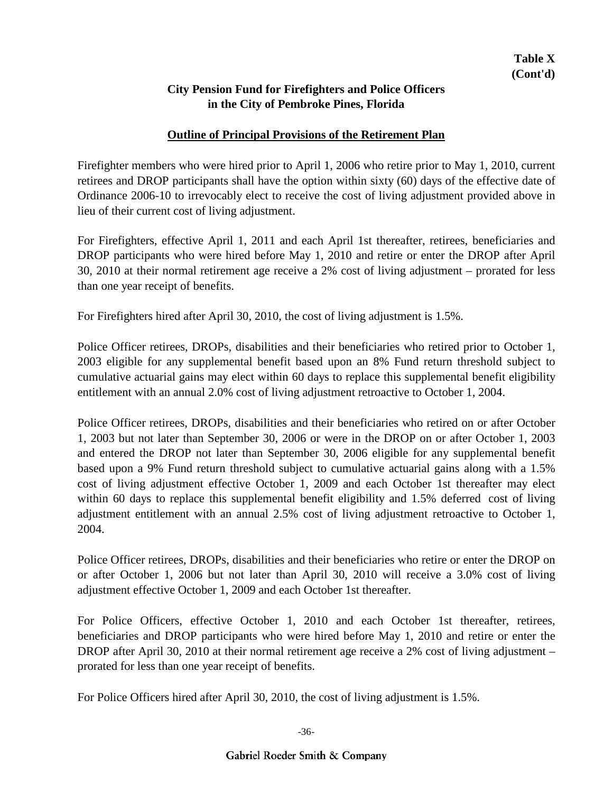### **Outline of Principal Provisions of the Retirement Plan**

Firefighter members who were hired prior to April 1, 2006 who retire prior to May 1, 2010, current retirees and DROP participants shall have the option within sixty (60) days of the effective date of Ordinance 2006-10 to irrevocably elect to receive the cost of living adjustment provided above in lieu of their current cost of living adjustment.

For Firefighters, effective April 1, 2011 and each April 1st thereafter, retirees, beneficiaries and DROP participants who were hired before May 1, 2010 and retire or enter the DROP after April 30, 2010 at their normal retirement age receive a 2% cost of living adjustment – prorated for less than one year receipt of benefits.

For Firefighters hired after April 30, 2010, the cost of living adjustment is 1.5%.

Police Officer retirees, DROPs, disabilities and their beneficiaries who retired prior to October 1, 2003 eligible for any supplemental benefit based upon an 8% Fund return threshold subject to cumulative actuarial gains may elect within 60 days to replace this supplemental benefit eligibility entitlement with an annual 2.0% cost of living adjustment retroactive to October 1, 2004.

Police Officer retirees, DROPs, disabilities and their beneficiaries who retired on or after October 1, 2003 but not later than September 30, 2006 or were in the DROP on or after October 1, 2003 and entered the DROP not later than September 30, 2006 eligible for any supplemental benefit based upon a 9% Fund return threshold subject to cumulative actuarial gains along with a 1.5% cost of living adjustment effective October 1, 2009 and each October 1st thereafter may elect within 60 days to replace this supplemental benefit eligibility and 1.5% deferred cost of living adjustment entitlement with an annual 2.5% cost of living adjustment retroactive to October 1, 2004.

Police Officer retirees, DROPs, disabilities and their beneficiaries who retire or enter the DROP on or after October 1, 2006 but not later than April 30, 2010 will receive a 3.0% cost of living adjustment effective October 1, 2009 and each October 1st thereafter.

For Police Officers, effective October 1, 2010 and each October 1st thereafter, retirees, beneficiaries and DROP participants who were hired before May 1, 2010 and retire or enter the DROP after April 30, 2010 at their normal retirement age receive a 2% cost of living adjustment – prorated for less than one year receipt of benefits.

For Police Officers hired after April 30, 2010, the cost of living adjustment is 1.5%.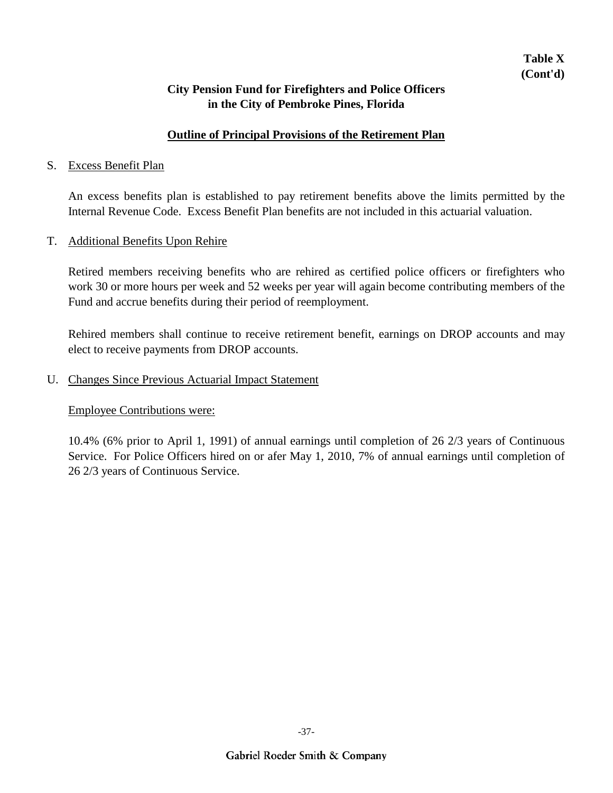### **Outline of Principal Provisions of the Retirement Plan**

#### S. Excess Benefit Plan

An excess benefits plan is established to pay retirement benefits above the limits permitted by the Internal Revenue Code. Excess Benefit Plan benefits are not included in this actuarial valuation.

#### T. Additional Benefits Upon Rehire

Retired members receiving benefits who are rehired as certified police officers or firefighters who work 30 or more hours per week and 52 weeks per year will again become contributing members of the Fund and accrue benefits during their period of reemployment.

Rehired members shall continue to receive retirement benefit, earnings on DROP accounts and may elect to receive payments from DROP accounts.

#### U. Changes Since Previous Actuarial Impact Statement

#### Employee Contributions were:

10.4% (6% prior to April 1, 1991) of annual earnings until completion of 26 2/3 years of Continuous Service. For Police Officers hired on or afer May 1, 2010, 7% of annual earnings until completion of 26 2/3 years of Continuous Service.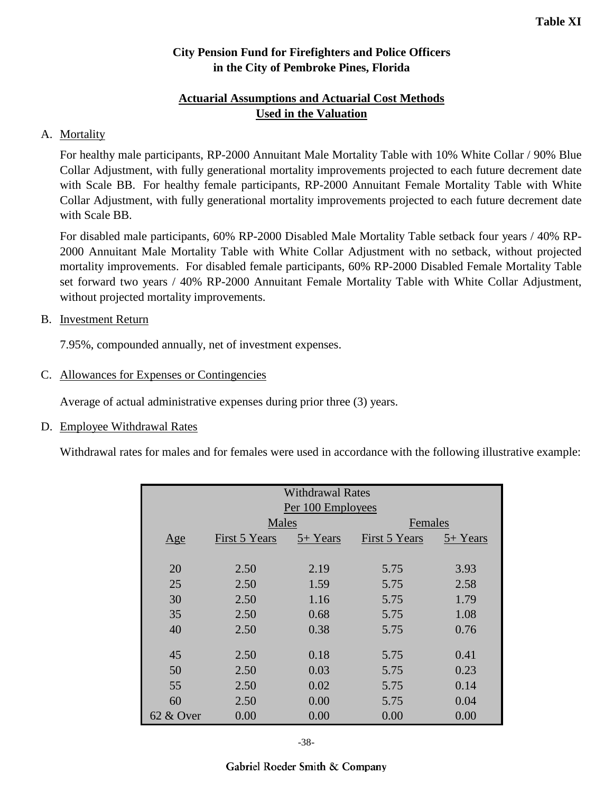## **Actuarial Assumptions and Actuarial Cost Methods Used in the Valuation**

## A. Mortality

For healthy male participants, RP-2000 Annuitant Male Mortality Table with 10% White Collar / 90% Blue Collar Adjustment, with fully generational mortality improvements projected to each future decrement date with Scale BB. For healthy female participants, RP-2000 Annuitant Female Mortality Table with White Collar Adjustment, with fully generational mortality improvements projected to each future decrement date with Scale BB.

For disabled male participants, 60% RP-2000 Disabled Male Mortality Table setback four years / 40% RP-2000 Annuitant Male Mortality Table with White Collar Adjustment with no setback, without projected mortality improvements. For disabled female participants, 60% RP-2000 Disabled Female Mortality Table set forward two years / 40% RP-2000 Annuitant Female Mortality Table with White Collar Adjustment, without projected mortality improvements.

### B. Investment Return

7.95%, compounded annually, net of investment expenses.

#### C. Allowances for Expenses or Contingencies

Average of actual administrative expenses during prior three (3) years.

### D. Employee Withdrawal Rates

Withdrawal rates for males and for females were used in accordance with the following illustrative example:

| <b>Withdrawal Rates</b> |               |          |               |          |  |  |  |
|-------------------------|---------------|----------|---------------|----------|--|--|--|
| Per 100 Employees       |               |          |               |          |  |  |  |
|                         | Males         |          | Females       |          |  |  |  |
| Age                     | First 5 Years | 5+ Years | First 5 Years | 5+ Years |  |  |  |
|                         |               |          |               |          |  |  |  |
| 20                      | 2.50          | 2.19     | 5.75          | 3.93     |  |  |  |
| 25                      | 2.50          | 1.59     | 5.75          | 2.58     |  |  |  |
| 30                      | 2.50          | 1.16     | 5.75          | 1.79     |  |  |  |
| 35                      | 2.50          | 0.68     | 5.75          | 1.08     |  |  |  |
| 40                      | 2.50          | 0.38     | 5.75          | 0.76     |  |  |  |
|                         |               |          |               |          |  |  |  |
| 45                      | 2.50          | 0.18     | 5.75          | 0.41     |  |  |  |
| 50                      | 2.50          | 0.03     | 5.75          | 0.23     |  |  |  |
| 55                      | 2.50          | 0.02     | 5.75          | 0.14     |  |  |  |
| 60                      | 2.50          | 0.00     | 5.75          | 0.04     |  |  |  |
| $62 \& Qver$            | 0.00          | 0.00     | 0.00          | 0.00     |  |  |  |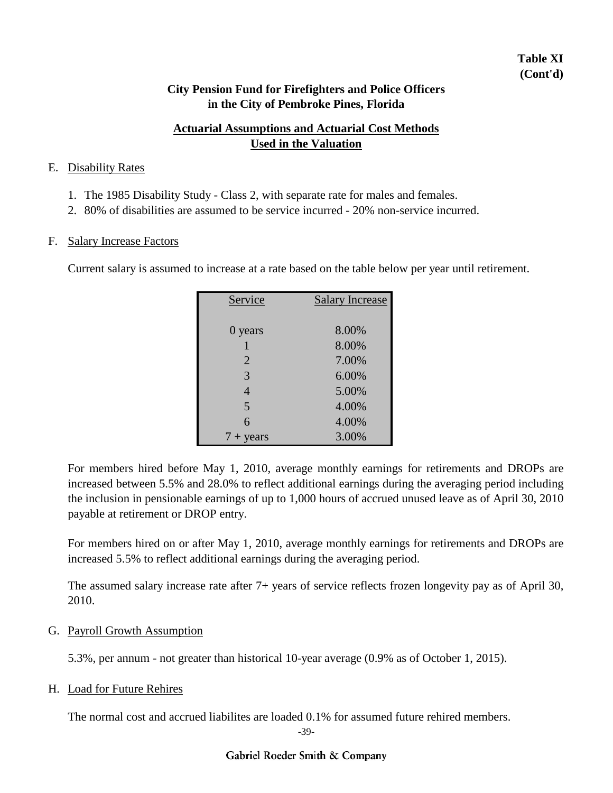## **Table XI (Cont'd)**

### **City Pension Fund for Firefighters and Police Officers in the City of Pembroke Pines, Florida**

## **Actuarial Assumptions and Actuarial Cost Methods Used in the Valuation**

#### E. Disability Rates

- 1. The 1985 Disability Study Class 2, with separate rate for males and females.
- 2. 80% of disabilities are assumed to be service incurred 20% non-service incurred.

#### F. Salary Increase Factors

Current salary is assumed to increase at a rate based on the table below per year until retirement.

| Service            | <b>Salary Increase</b> |
|--------------------|------------------------|
|                    |                        |
| 0 years            | 8.00%                  |
| 1                  | 8.00%                  |
| $\overline{2}$     | 7.00%                  |
| 3                  | 6.00%                  |
| $\overline{4}$     | 5.00%                  |
| 5                  | 4.00%                  |
| 6                  | 4.00%                  |
| $7 + \text{years}$ | 3.00%                  |

For members hired before May 1, 2010, average monthly earnings for retirements and DROPs are increased between 5.5% and 28.0% to reflect additional earnings during the averaging period including the inclusion in pensionable earnings of up to 1,000 hours of accrued unused leave as of April 30, 2010 payable at retirement or DROP entry.

For members hired on or after May 1, 2010, average monthly earnings for retirements and DROPs are increased 5.5% to reflect additional earnings during the averaging period.

The assumed salary increase rate after 7+ years of service reflects frozen longevity pay as of April 30, 2010.

### G. Payroll Growth Assumption

5.3%, per annum - not greater than historical 10-year average (0.9% as of October 1, 2015).

### H. Load for Future Rehires

The normal cost and accrued liabilites are loaded 0.1% for assumed future rehired members.

<sup>-39-</sup>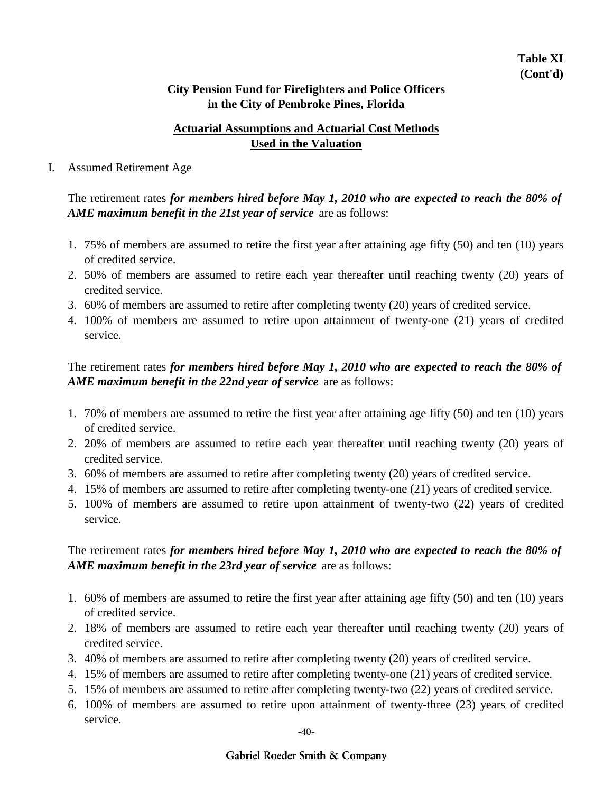## **Actuarial Assumptions and Actuarial Cost Methods Used in the Valuation**

#### I. Assumed Retirement Age

The retirement rates *for members hired before May 1, 2010 who are expected to reach the 80% of AME maximum benefit in the 21st year of service* are as follows:

- 1. 75% of members are assumed to retire the first year after attaining age fifty (50) and ten (10) years of credited service.
- 2. 50% of members are assumed to retire each year thereafter until reaching twenty (20) years of credited service.
- 3. 60% of members are assumed to retire after completing twenty (20) years of credited service.
- 4. 100% of members are assumed to retire upon attainment of twenty-one (21) years of credited service.

The retirement rates *for members hired before May 1, 2010 who are expected to reach the 80% of AME maximum benefit in the 22nd year of service* are as follows:

- 1. 70% of members are assumed to retire the first year after attaining age fifty (50) and ten (10) years of credited service.
- 2. 20% of members are assumed to retire each year thereafter until reaching twenty (20) years of credited service.
- 3. 60% of members are assumed to retire after completing twenty (20) years of credited service.
- 4. 15% of members are assumed to retire after completing twenty-one (21) years of credited service.
- 5. 100% of members are assumed to retire upon attainment of twenty-two (22) years of credited service.

## The retirement rates *for members hired before May 1, 2010 who are expected to reach the 80% of AME maximum benefit in the 23rd year of service* are as follows:

- 1. 60% of members are assumed to retire the first year after attaining age fifty (50) and ten (10) years of credited service.
- 2. 18% of members are assumed to retire each year thereafter until reaching twenty (20) years of credited service.
- 3. 40% of members are assumed to retire after completing twenty (20) years of credited service.
- 4. 15% of members are assumed to retire after completing twenty-one (21) years of credited service.
- 5. 15% of members are assumed to retire after completing twenty-two (22) years of credited service.
- 6. 100% of members are assumed to retire upon attainment of twenty-three (23) years of credited service.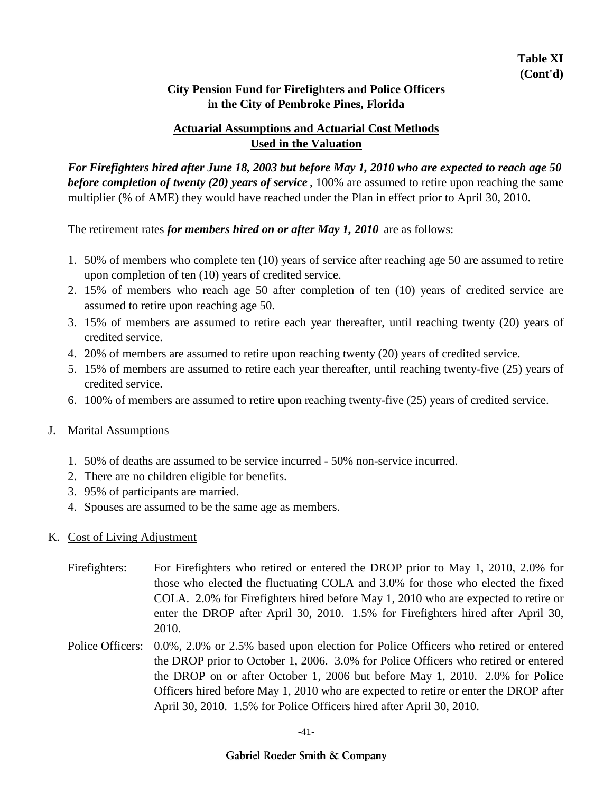## **Actuarial Assumptions and Actuarial Cost Methods Used in the Valuation**

*For Firefighters hired after June 18, 2003 but before May 1, 2010 who are expected to reach age 50 before completion of twenty (20) years of service* , 100% are assumed to retire upon reaching the same multiplier (% of AME) they would have reached under the Plan in effect prior to April 30, 2010.

The retirement rates *for members hired on or after May 1, 2010* are as follows:

- 1. 50% of members who complete ten (10) years of service after reaching age 50 are assumed to retire upon completion of ten (10) years of credited service.
- 2. 15% of members who reach age 50 after completion of ten (10) years of credited service are assumed to retire upon reaching age 50.
- 3. 15% of members are assumed to retire each year thereafter, until reaching twenty (20) years of credited service.
- 4. 20% of members are assumed to retire upon reaching twenty (20) years of credited service.
- 5. 15% of members are assumed to retire each year thereafter, until reaching twenty-five (25) years of credited service.
- 6. 100% of members are assumed to retire upon reaching twenty-five (25) years of credited service.

### J. Marital Assumptions

- 1. 50% of deaths are assumed to be service incurred 50% non-service incurred.
- 2. There are no children eligible for benefits.
- 3. 95% of participants are married.
- 4. Spouses are assumed to be the same age as members.

#### K. Cost of Living Adjustment

- Firefighters: For Firefighters who retired or entered the DROP prior to May 1, 2010, 2.0% for those who elected the fluctuating COLA and 3.0% for those who elected the fixed COLA. 2.0% for Firefighters hired before May 1, 2010 who are expected to retire or enter the DROP after April 30, 2010. 1.5% for Firefighters hired after April 30, 2010.
- Police Officers: 0.0%, 2.0% or 2.5% based upon election for Police Officers who retired or entered the DROP prior to October 1, 2006. 3.0% for Police Officers who retired or entered the DROP on or after October 1, 2006 but before May 1, 2010. 2.0% for Police Officers hired before May 1, 2010 who are expected to retire or enter the DROP after April 30, 2010. 1.5% for Police Officers hired after April 30, 2010.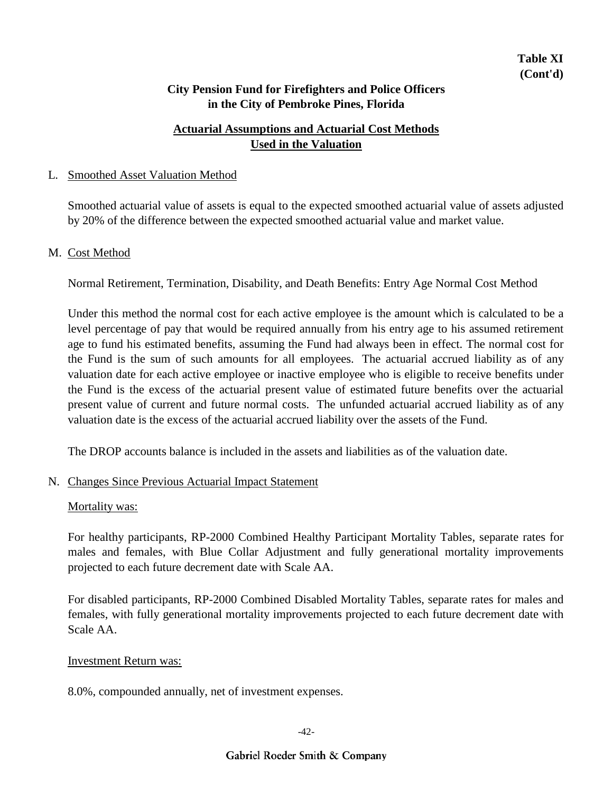## **Actuarial Assumptions and Actuarial Cost Methods Used in the Valuation**

#### L. Smoothed Asset Valuation Method

Smoothed actuarial value of assets is equal to the expected smoothed actuarial value of assets adjusted by 20% of the difference between the expected smoothed actuarial value and market value.

#### M. Cost Method

Normal Retirement, Termination, Disability, and Death Benefits: Entry Age Normal Cost Method

Under this method the normal cost for each active employee is the amount which is calculated to be a level percentage of pay that would be required annually from his entry age to his assumed retirement age to fund his estimated benefits, assuming the Fund had always been in effect. The normal cost for the Fund is the sum of such amounts for all employees. The actuarial accrued liability as of any valuation date for each active employee or inactive employee who is eligible to receive benefits under the Fund is the excess of the actuarial present value of estimated future benefits over the actuarial present value of current and future normal costs. The unfunded actuarial accrued liability as of any valuation date is the excess of the actuarial accrued liability over the assets of the Fund.

The DROP accounts balance is included in the assets and liabilities as of the valuation date.

#### N. Changes Since Previous Actuarial Impact Statement

#### Mortality was:

For healthy participants, RP-2000 Combined Healthy Participant Mortality Tables, separate rates for males and females, with Blue Collar Adjustment and fully generational mortality improvements projected to each future decrement date with Scale AA.

For disabled participants, RP-2000 Combined Disabled Mortality Tables, separate rates for males and females, with fully generational mortality improvements projected to each future decrement date with Scale AA.

#### Investment Return was:

8.0%, compounded annually, net of investment expenses.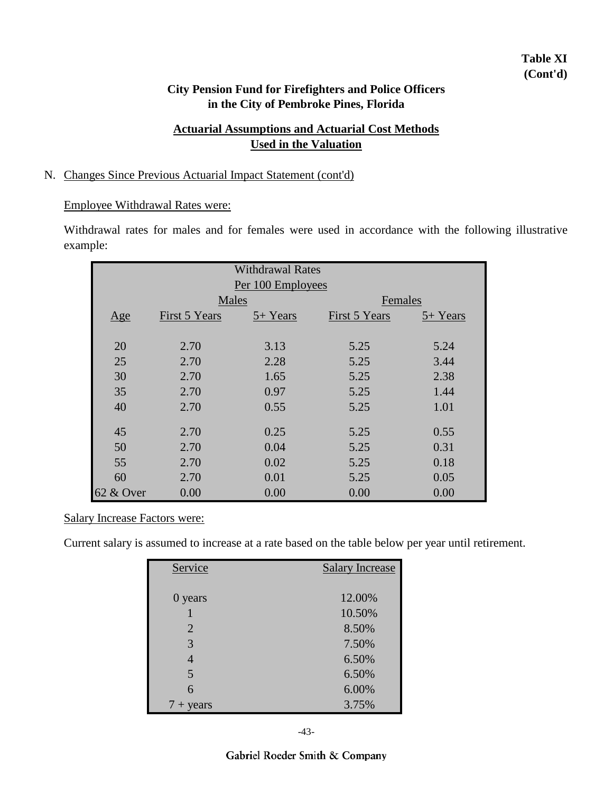## **Table XI (Cont'd)**

### **City Pension Fund for Firefighters and Police Officers in the City of Pembroke Pines, Florida**

## **Actuarial Assumptions and Actuarial Cost Methods Used in the Valuation**

#### N. Changes Since Previous Actuarial Impact Statement (cont'd)

#### Employee Withdrawal Rates were:

Withdrawal rates for males and for females were used in accordance with the following illustrative example:

|           | <b>Withdrawal Rates</b><br>Per 100 Employees |          |               |          |  |  |  |
|-----------|----------------------------------------------|----------|---------------|----------|--|--|--|
|           | Males                                        |          | Females       |          |  |  |  |
| Age       | First 5 Years                                | 5+ Years | First 5 Years | 5+ Years |  |  |  |
|           |                                              |          |               |          |  |  |  |
| 20        | 2.70                                         | 3.13     | 5.25          | 5.24     |  |  |  |
| 25        | 2.70                                         | 2.28     | 5.25          | 3.44     |  |  |  |
| 30        | 2.70                                         | 1.65     | 5.25          | 2.38     |  |  |  |
| 35        | 2.70                                         | 0.97     | 5.25          | 1.44     |  |  |  |
| 40        | 2.70                                         | 0.55     | 5.25          | 1.01     |  |  |  |
|           |                                              |          |               |          |  |  |  |
| 45        | 2.70                                         | 0.25     | 5.25          | 0.55     |  |  |  |
| 50        | 2.70                                         | 0.04     | 5.25          | 0.31     |  |  |  |
| 55        | 2.70                                         | 0.02     | 5.25          | 0.18     |  |  |  |
| 60        | 2.70                                         | 0.01     | 5.25          | 0.05     |  |  |  |
| 62 & Over | 0.00                                         | 0.00     | 0.00          | 0.00     |  |  |  |

#### Salary Increase Factors were:

Current salary is assumed to increase at a rate based on the table below per year until retirement.

| Service       | <b>Salary Increase</b> |
|---------------|------------------------|
|               |                        |
| 0 years       | 12.00%                 |
|               | 10.50%                 |
| 2             | 8.50%                  |
| 3             | 7.50%                  |
| 4             | 6.50%                  |
| 5             | 6.50%                  |
| 6             | 6.00%                  |
| years<br>$7+$ | 3.75%                  |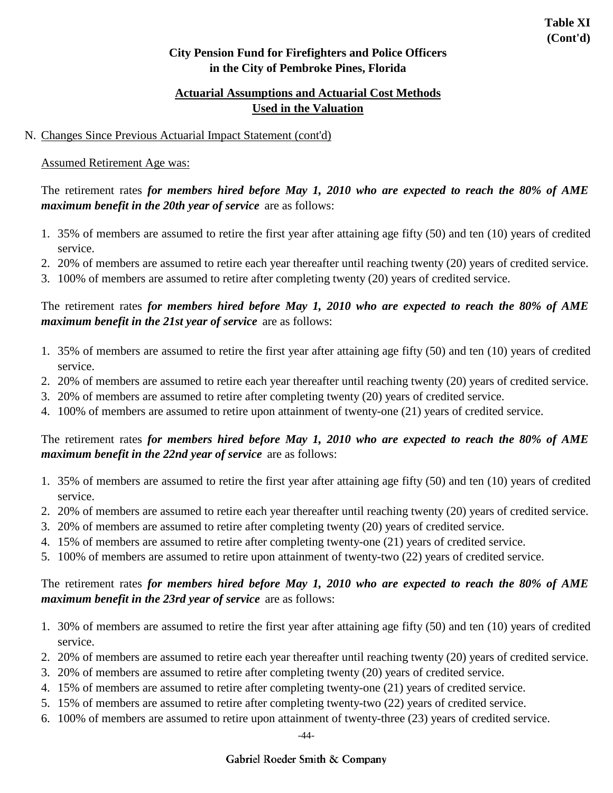## **Actuarial Assumptions and Actuarial Cost Methods Used in the Valuation**

### N. Changes Since Previous Actuarial Impact Statement (cont'd)

## Assumed Retirement Age was:

The retirement rates *for members hired before May 1, 2010 who are expected to reach the 80% of AME maximum benefit in the 20th year of service* are as follows:

- 1. 35% of members are assumed to retire the first year after attaining age fifty (50) and ten (10) years of credited service.
- 2. 20% of members are assumed to retire each year thereafter until reaching twenty (20) years of credited service.
- 3. 100% of members are assumed to retire after completing twenty (20) years of credited service.

The retirement rates *for members hired before May 1, 2010 who are expected to reach the 80% of AME maximum benefit in the 21st year of service* are as follows:

- 1. 35% of members are assumed to retire the first year after attaining age fifty (50) and ten (10) years of credited service.
- 2. 20% of members are assumed to retire each year thereafter until reaching twenty (20) years of credited service.
- 3. 20% of members are assumed to retire after completing twenty (20) years of credited service.
- 4. 100% of members are assumed to retire upon attainment of twenty-one (21) years of credited service.

## The retirement rates *for members hired before May 1, 2010 who are expected to reach the 80% of AME maximum benefit in the 22nd year of service* are as follows:

- 1. 35% of members are assumed to retire the first year after attaining age fifty (50) and ten (10) years of credited service.
- 2. 20% of members are assumed to retire each year thereafter until reaching twenty (20) years of credited service.
- 3. 20% of members are assumed to retire after completing twenty (20) years of credited service.
- 4. 15% of members are assumed to retire after completing twenty-one (21) years of credited service.
- 5. 100% of members are assumed to retire upon attainment of twenty-two (22) years of credited service.

## The retirement rates *for members hired before May 1, 2010 who are expected to reach the 80% of AME maximum benefit in the 23rd year of service* are as follows:

- 1. 30% of members are assumed to retire the first year after attaining age fifty (50) and ten (10) years of credited service.
- 2. 20% of members are assumed to retire each year thereafter until reaching twenty (20) years of credited service.
- 3. 20% of members are assumed to retire after completing twenty (20) years of credited service.
- 4. 15% of members are assumed to retire after completing twenty-one (21) years of credited service.
- 5. 15% of members are assumed to retire after completing twenty-two (22) years of credited service.
- 6. 100% of members are assumed to retire upon attainment of twenty-three (23) years of credited service.

-44-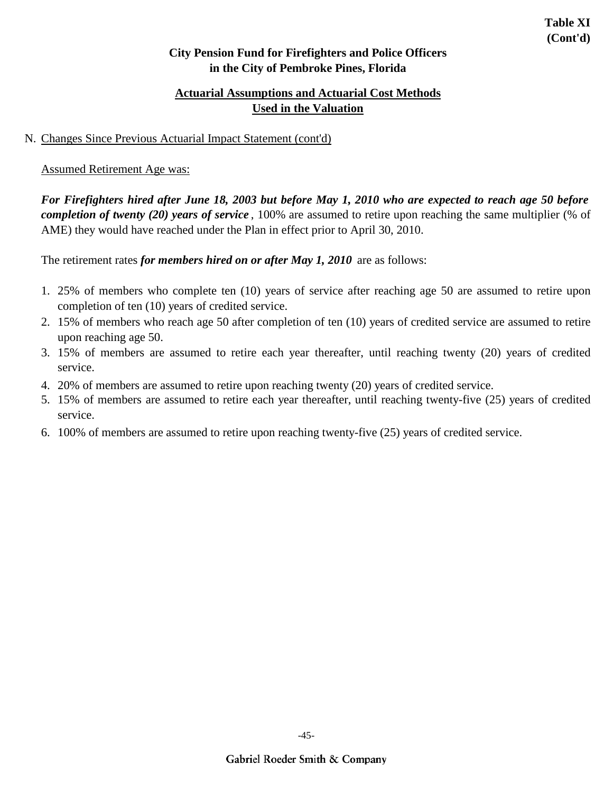## **Actuarial Assumptions and Actuarial Cost Methods Used in the Valuation**

### N. Changes Since Previous Actuarial Impact Statement (cont'd)

### Assumed Retirement Age was:

*For Firefighters hired after June 18, 2003 but before May 1, 2010 who are expected to reach age 50 before completion of twenty (20) years of service* , 100% are assumed to retire upon reaching the same multiplier (% of AME) they would have reached under the Plan in effect prior to April 30, 2010.

The retirement rates *for members hired on or after May 1, 2010* are as follows:

- 1. 25% of members who complete ten (10) years of service after reaching age 50 are assumed to retire upon completion of ten (10) years of credited service.
- 2. 15% of members who reach age 50 after completion of ten (10) years of credited service are assumed to retire upon reaching age 50.
- 3. 15% of members are assumed to retire each year thereafter, until reaching twenty (20) years of credited service.
- 4. 20% of members are assumed to retire upon reaching twenty (20) years of credited service.
- 5. 15% of members are assumed to retire each year thereafter, until reaching twenty-five (25) years of credited service.
- 6. 100% of members are assumed to retire upon reaching twenty-five (25) years of credited service.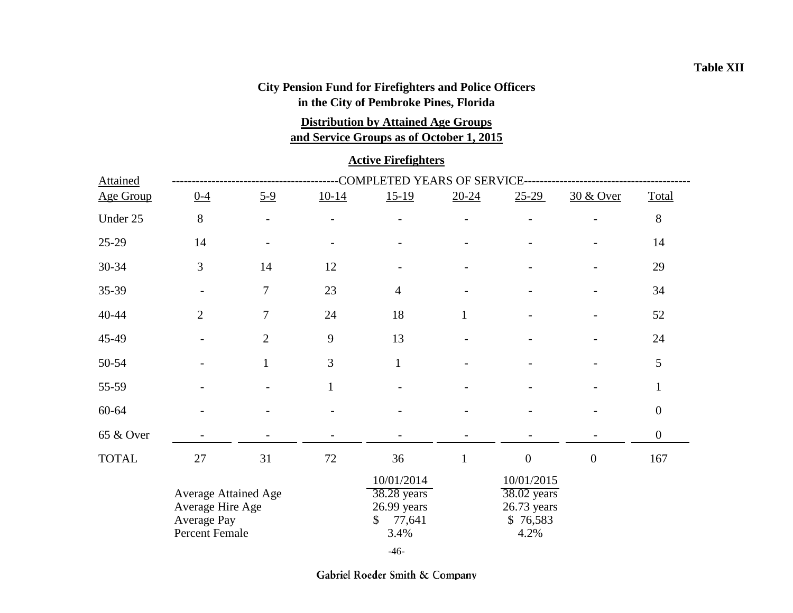## **and Service Groups as of October 1, 2015 Distribution by Attained Age Groups**

#### **Active Firefighters**

| <b>Attained</b>  | <b>COMPLETED YEARS OF SERVICE</b>                                                |                          |              |                                                                                |              |                                                                |                          |                  |  |  |
|------------------|----------------------------------------------------------------------------------|--------------------------|--------------|--------------------------------------------------------------------------------|--------------|----------------------------------------------------------------|--------------------------|------------------|--|--|
| <b>Age Group</b> | $0 - 4$                                                                          | $5 - 9$                  | $10-14$      | $15-19$                                                                        | $20 - 24$    | $25 - 29$                                                      | 30 & Over                | Total            |  |  |
| Under 25         | 8                                                                                | $\overline{\phantom{0}}$ |              |                                                                                |              |                                                                |                          | $8\,$            |  |  |
| 25-29            | 14                                                                               |                          |              |                                                                                |              |                                                                |                          | 14               |  |  |
| 30-34            | 3                                                                                | 14                       | 12           |                                                                                |              |                                                                | $\overline{\phantom{a}}$ | 29               |  |  |
| 35-39            |                                                                                  | $\tau$                   | 23           | $\overline{4}$                                                                 |              |                                                                |                          | 34               |  |  |
| 40-44            | $\overline{2}$                                                                   | $\tau$                   | 24           | 18                                                                             | $\mathbf{1}$ |                                                                |                          | 52               |  |  |
| 45-49            |                                                                                  | $\overline{2}$           | 9            | 13                                                                             |              |                                                                | $\overline{a}$           | 24               |  |  |
| 50-54            |                                                                                  | $\mathbf{1}$             | 3            | $\mathbf{1}$                                                                   |              |                                                                |                          | 5                |  |  |
| 55-59            |                                                                                  |                          | $\mathbf{1}$ |                                                                                |              |                                                                |                          | $\mathbf{1}$     |  |  |
| 60-64            |                                                                                  |                          |              |                                                                                |              |                                                                |                          | $\boldsymbol{0}$ |  |  |
| 65 & Over        |                                                                                  |                          |              |                                                                                |              |                                                                |                          | $\boldsymbol{0}$ |  |  |
| <b>TOTAL</b>     | $27\,$                                                                           | 31                       | 72           | 36                                                                             | $\mathbf{1}$ | $\boldsymbol{0}$                                               | $\boldsymbol{0}$         | 167              |  |  |
|                  | <b>Average Attained Age</b><br>Average Hire Age<br>Average Pay<br>Percent Female |                          |              | 10/01/2014<br>$38.28$ years<br>26.99 years<br>77,641<br>$\mathbb{S}^-$<br>3.4% |              | 10/01/2015<br>38.02 years<br>$26.73$ years<br>\$76,583<br>4.2% |                          |                  |  |  |
|                  |                                                                                  |                          |              | $-46-$                                                                         |              |                                                                |                          |                  |  |  |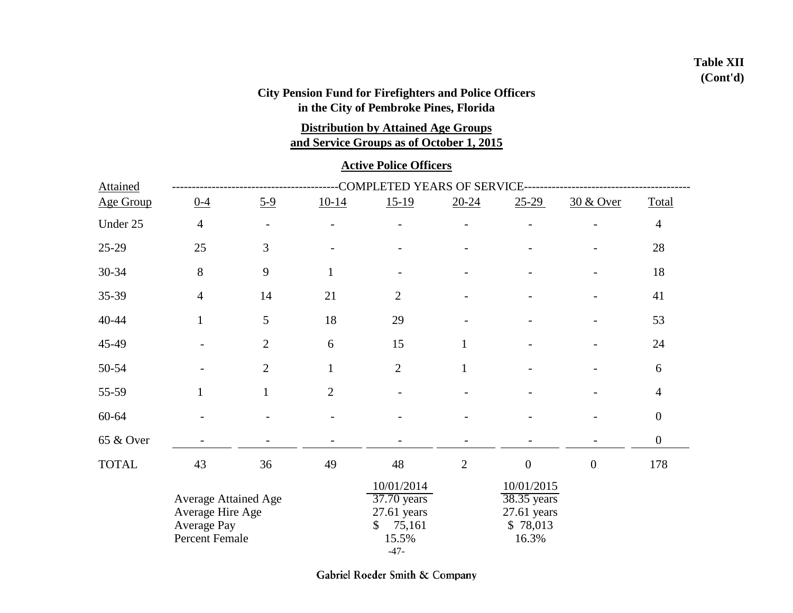## **Table XII (Cont'd)**

## **City Pension Fund for Firefighters and Police Officers in the City of Pembroke Pines, Florida**

**Distribution by Attained Age Groups**

**and Service Groups as of October 1, 2015**

### **Active Police Officers**

| <b>Attained</b> | COMPLETED YEARS OF SERVICE-                                                      |                |                |                                                                               |                |                                                                 |                      |                  |  |  |
|-----------------|----------------------------------------------------------------------------------|----------------|----------------|-------------------------------------------------------------------------------|----------------|-----------------------------------------------------------------|----------------------|------------------|--|--|
| Age Group       | $0-4$                                                                            | $5 - 9$        | $10-14$        | $15-19$                                                                       | $20 - 24$      | $25-29$                                                         | <u>30 &amp; Over</u> | Total            |  |  |
| Under 25        | $\overline{4}$                                                                   |                |                |                                                                               |                |                                                                 |                      | $\overline{4}$   |  |  |
| 25-29           | 25                                                                               | 3              |                |                                                                               |                |                                                                 |                      | 28               |  |  |
| 30-34           | 8                                                                                | 9              | $\mathbf{1}$   |                                                                               |                |                                                                 |                      | 18               |  |  |
| 35-39           | $\overline{4}$                                                                   | 14             | 21             | $\overline{2}$                                                                |                |                                                                 |                      | 41               |  |  |
| 40-44           | $\mathbf{1}$                                                                     | 5              | 18             | 29                                                                            |                |                                                                 |                      | 53               |  |  |
| 45-49           |                                                                                  | $\overline{2}$ | 6              | 15                                                                            | 1              |                                                                 |                      | 24               |  |  |
| 50-54           |                                                                                  | $\overline{2}$ | $\mathbf{1}$   | $\overline{2}$                                                                | $\mathbf{1}$   |                                                                 |                      | 6                |  |  |
| 55-59           | $\mathbf{1}$                                                                     | $\mathbf{1}$   | $\overline{2}$ |                                                                               |                |                                                                 |                      | $\overline{4}$   |  |  |
| 60-64           |                                                                                  |                |                |                                                                               |                |                                                                 |                      | $\boldsymbol{0}$ |  |  |
| 65 & Over       |                                                                                  |                |                |                                                                               |                |                                                                 |                      | $\boldsymbol{0}$ |  |  |
| <b>TOTAL</b>    | 43                                                                               | 36             | 49             | 48                                                                            | $\overline{2}$ | $\mathbf{0}$                                                    | $\overline{0}$       | 178              |  |  |
|                 | <b>Average Attained Age</b><br>Average Hire Age<br>Average Pay<br>Percent Female |                |                | 10/01/2014<br>37.70 years<br>$27.61$ years<br>75,161<br>\$<br>15.5%<br>$-47-$ |                | 10/01/2015<br>38.35 years<br>$27.61$ years<br>\$78,013<br>16.3% |                      |                  |  |  |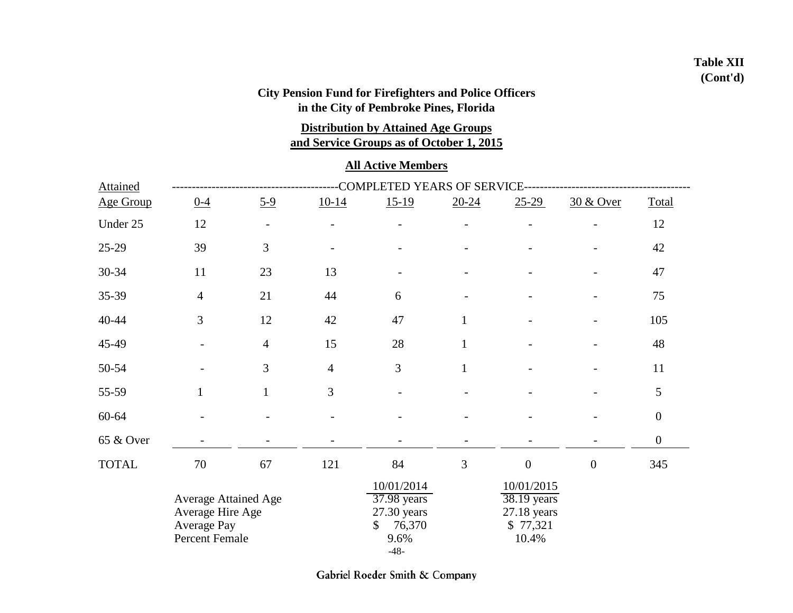## **Table XII (Cont'd)**

## **City Pension Fund for Firefighters and Police Officers in the City of Pembroke Pines, Florida**

**Distribution by Attained Age Groups**

**and Service Groups as of October 1, 2015**

### **All Active Members**

| <b>Attained</b> | COMPLETED YEARS OF SERVICE-                                               |                |                |                                                                                      |              |                                                                 |                      |                  |  |  |
|-----------------|---------------------------------------------------------------------------|----------------|----------------|--------------------------------------------------------------------------------------|--------------|-----------------------------------------------------------------|----------------------|------------------|--|--|
| Age Group       | $0 - 4$                                                                   | $5 - 9$        | $10-14$        | $15-19$                                                                              | $20 - 24$    | $25-29$                                                         | <u>30 &amp; Over</u> | Total            |  |  |
| Under 25        | 12                                                                        |                |                |                                                                                      |              |                                                                 |                      | 12               |  |  |
| 25-29           | 39                                                                        | 3              |                |                                                                                      |              |                                                                 |                      | 42               |  |  |
| 30-34           | 11                                                                        | 23             | 13             |                                                                                      |              |                                                                 |                      | 47               |  |  |
| 35-39           | $\overline{4}$                                                            | 21             | 44             | 6                                                                                    |              |                                                                 |                      | 75               |  |  |
| 40-44           | 3                                                                         | 12             | 42             | 47                                                                                   | $\mathbf{1}$ |                                                                 |                      | 105              |  |  |
| 45-49           |                                                                           | $\overline{4}$ | 15             | 28                                                                                   | $\mathbf{1}$ |                                                                 |                      | 48               |  |  |
| 50-54           |                                                                           | 3              | $\overline{4}$ | 3                                                                                    | $\mathbf{1}$ |                                                                 |                      | 11               |  |  |
| 55-59           | $\mathbf{1}$                                                              | $\mathbf{1}$   | 3              |                                                                                      |              |                                                                 |                      | 5                |  |  |
| 60-64           |                                                                           |                |                |                                                                                      |              |                                                                 |                      | $\boldsymbol{0}$ |  |  |
| 65 & Over       |                                                                           |                |                |                                                                                      |              |                                                                 |                      | $\boldsymbol{0}$ |  |  |
| <b>TOTAL</b>    | 70                                                                        | 67             | 121            | 84                                                                                   | 3            | $\boldsymbol{0}$                                                | $\overline{0}$       | 345              |  |  |
|                 | Average Attained Age<br>Average Hire Age<br>Average Pay<br>Percent Female |                |                | 10/01/2014<br>37.98 years<br>27.30 years<br>76,370<br>$\mathbb{S}$<br>9.6%<br>$-48-$ |              | 10/01/2015<br>38.19 years<br>$27.18$ years<br>\$77,321<br>10.4% |                      |                  |  |  |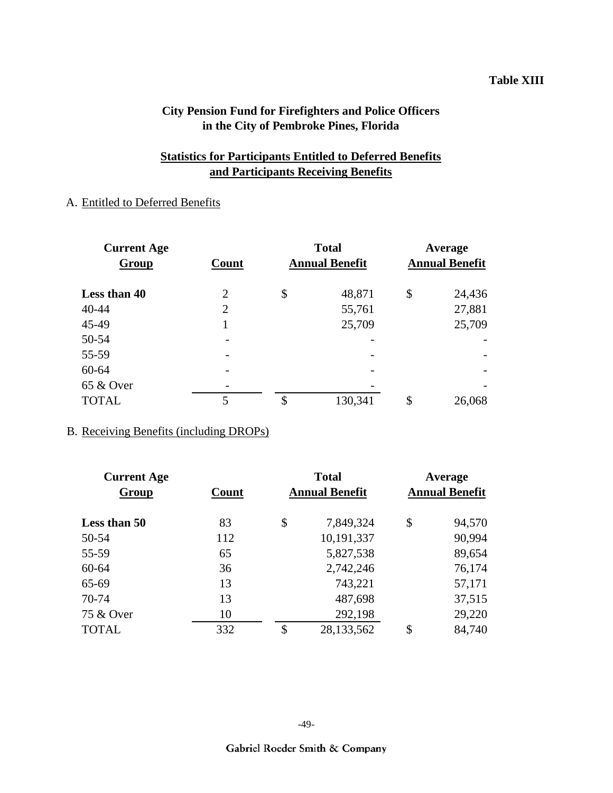#### **Table XIII**

## **City Pension Fund for Firefighters and Police Officers in the City of Pembroke Pines, Florida**

## **Statistics for Participants Entitled to Deferred Benefits and Participants Receiving Benefits**

### A. Entitled to Deferred Benefits

| <b>Current Age</b> | <b>Total</b>             | Average               |                       |        |  |
|--------------------|--------------------------|-----------------------|-----------------------|--------|--|
| <b>Group</b>       | Count                    | <b>Annual Benefit</b> | <b>Annual Benefit</b> |        |  |
| Less than 40       | 2                        | \$<br>48,871          | \$                    | 24,436 |  |
| 40-44              | 2                        | 55,761                |                       | 27,881 |  |
| 45-49              |                          | 25,709                |                       | 25,709 |  |
| 50-54              | $\overline{\phantom{0}}$ |                       |                       |        |  |
| 55-59              |                          |                       |                       |        |  |
| 60-64              |                          |                       |                       |        |  |
| 65 & Over          | $\overline{\phantom{0}}$ |                       |                       |        |  |
| <b>TOTAL</b>       | 5                        | \$<br>130,341         | \$                    | 26,068 |  |

#### B. Receiving Benefits (including DROPs)

| <b>Current Age</b> |    | <b>Total</b> | Average<br><b>Annual Benefit</b> |        |  |
|--------------------|----|--------------|----------------------------------|--------|--|
| Count              |    |              |                                  |        |  |
| 83                 | \$ | 7,849,324    | \$                               | 94,570 |  |
| 112                |    | 10,191,337   |                                  | 90,994 |  |
| 65                 |    | 5,827,538    |                                  | 89,654 |  |
| 36                 |    | 2,742,246    |                                  | 76,174 |  |
| 13                 |    | 743,221      |                                  | 57,171 |  |
| 13                 |    | 487,698      |                                  | 37,515 |  |
| 10                 |    | 292,198      |                                  | 29,220 |  |
| 332                | \$ | 28,133,562   | \$                               | 84,740 |  |
|                    |    |              | <b>Annual Benefit</b>            |        |  |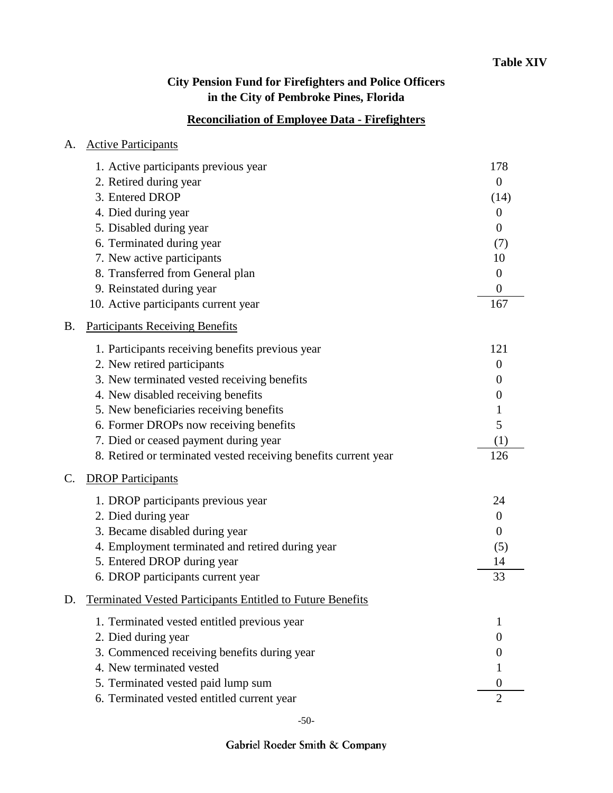## **Reconciliation of Employee Data - Firefighters**

| A.        | <b>Active Participants</b>                                        |          |
|-----------|-------------------------------------------------------------------|----------|
|           | 1. Active participants previous year                              | 178      |
|           | 2. Retired during year                                            | $\theta$ |
|           | 3. Entered DROP                                                   | (14)     |
|           | 4. Died during year                                               | $\theta$ |
|           | 5. Disabled during year                                           | $\theta$ |
|           | 6. Terminated during year                                         | (7)      |
|           | 7. New active participants                                        | 10       |
|           | 8. Transferred from General plan                                  | $\theta$ |
|           | 9. Reinstated during year                                         | $\theta$ |
|           | 10. Active participants current year                              | 167      |
| <b>B.</b> | <b>Participants Receiving Benefits</b>                            |          |
|           | 1. Participants receiving benefits previous year                  | 121      |
|           | 2. New retired participants                                       | $\theta$ |
|           | 3. New terminated vested receiving benefits                       | $\theta$ |
|           | 4. New disabled receiving benefits                                | $\theta$ |
|           | 5. New beneficiaries receiving benefits                           | 1        |
|           | 6. Former DROPs now receiving benefits                            | 5        |
|           | 7. Died or ceased payment during year                             | (1)      |
|           | 8. Retired or terminated vested receiving benefits current year   | 126      |
| C.        | <b>DROP Participants</b>                                          |          |
|           | 1. DROP participants previous year                                | 24       |
|           | 2. Died during year                                               | $\theta$ |
|           | 3. Became disabled during year                                    | $\theta$ |
|           | 4. Employment terminated and retired during year                  | (5)      |
|           | 5. Entered DROP during year                                       | 14       |
|           | 6. DROP participants current year                                 | 33       |
| D.        | <b>Terminated Vested Participants Entitled to Future Benefits</b> |          |
|           | 1. Terminated vested entitled previous year                       | 1        |
|           | 2. Died during year                                               | $\theta$ |
|           | 3. Commenced receiving benefits during year                       |          |
|           | 4. New terminated vested                                          |          |
|           | 5. Terminated vested paid lump sum                                | 0        |
|           | 6. Terminated vested entitled current year                        | 2        |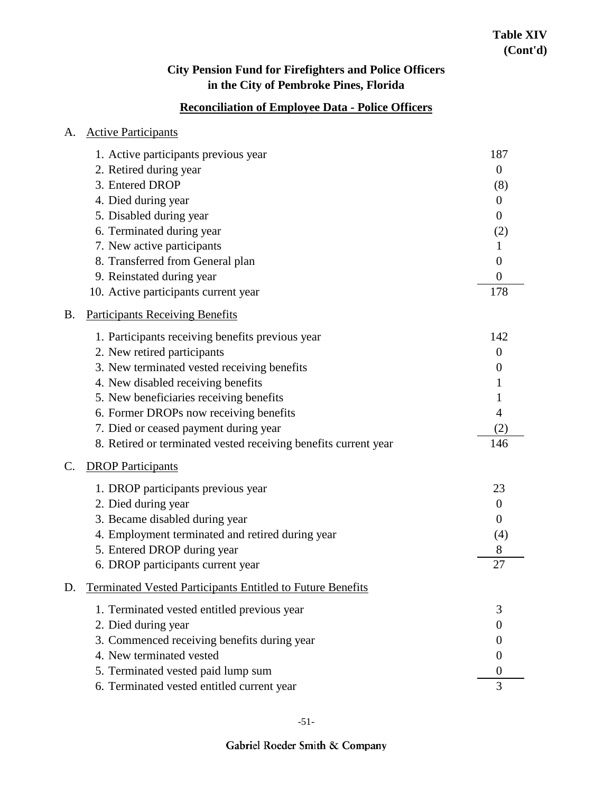## **Reconciliation of Employee Data - Police Officers**

| A.        | <b>Active Participants</b>                                        |                  |
|-----------|-------------------------------------------------------------------|------------------|
|           | 1. Active participants previous year                              | 187              |
|           | 2. Retired during year                                            | $\overline{0}$   |
|           | 3. Entered DROP                                                   | (8)              |
|           | 4. Died during year                                               | $\theta$         |
|           | 5. Disabled during year                                           | $\boldsymbol{0}$ |
|           | 6. Terminated during year                                         | (2)              |
|           | 7. New active participants                                        | 1                |
|           | 8. Transferred from General plan                                  | $\theta$         |
|           | 9. Reinstated during year                                         | $\boldsymbol{0}$ |
|           | 10. Active participants current year                              | 178              |
| <b>B.</b> | <b>Participants Receiving Benefits</b>                            |                  |
|           | 1. Participants receiving benefits previous year                  | 142              |
|           | 2. New retired participants                                       | $\overline{0}$   |
|           | 3. New terminated vested receiving benefits                       | $\boldsymbol{0}$ |
|           | 4. New disabled receiving benefits                                | 1                |
|           | 5. New beneficiaries receiving benefits                           |                  |
|           | 6. Former DROPs now receiving benefits                            | 4                |
|           | 7. Died or ceased payment during year                             | (2)              |
|           | 8. Retired or terminated vested receiving benefits current year   | 146              |
| C.        | <b>DROP</b> Participants                                          |                  |
|           | 1. DROP participants previous year                                | 23               |
|           | 2. Died during year                                               | $\theta$         |
|           | 3. Became disabled during year                                    | $\theta$         |
|           | 4. Employment terminated and retired during year                  | (4)              |
|           | 5. Entered DROP during year                                       | 8                |
|           | 6. DROP participants current year                                 | 27               |
| D.        | <b>Terminated Vested Participants Entitled to Future Benefits</b> |                  |
|           | 1. Terminated vested entitled previous year                       | 3                |
|           | 2. Died during year                                               | $\theta$         |
|           | 3. Commenced receiving benefits during year                       | $\theta$         |
|           | 4. New terminated vested                                          | $\theta$         |
|           | 5. Terminated vested paid lump sum                                | $\theta$         |
|           | 6. Terminated vested entitled current year                        | 3                |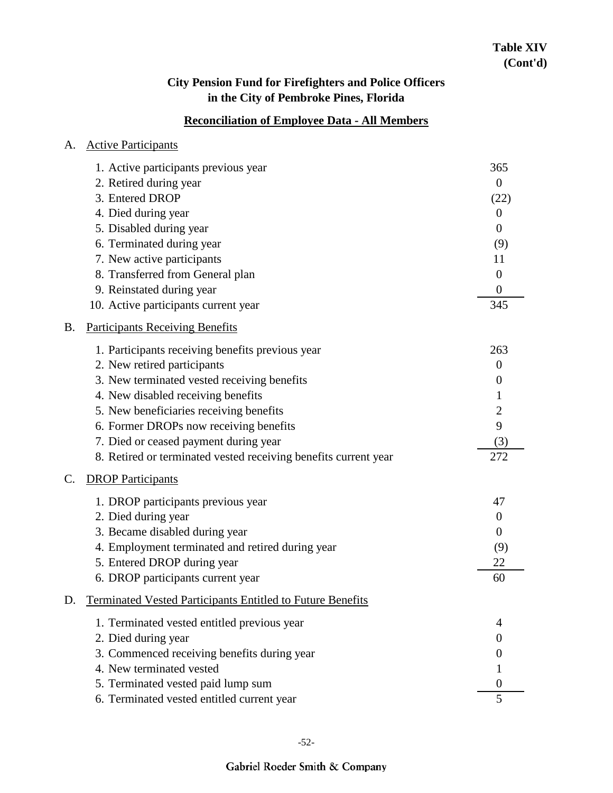## **Reconciliation of Employee Data - All Members**

| A.        | <b>Active Participants</b>                                        |                  |
|-----------|-------------------------------------------------------------------|------------------|
|           | 1. Active participants previous year                              | 365              |
|           | 2. Retired during year                                            | $\boldsymbol{0}$ |
|           | 3. Entered DROP                                                   | (22)             |
|           | 4. Died during year                                               | $\overline{0}$   |
|           | 5. Disabled during year                                           | $\overline{0}$   |
|           | 6. Terminated during year                                         | (9)              |
|           | 7. New active participants                                        | 11               |
|           | 8. Transferred from General plan                                  | $\overline{0}$   |
|           | 9. Reinstated during year                                         | $\boldsymbol{0}$ |
|           | 10. Active participants current year                              | 345              |
| <b>B.</b> | <b>Participants Receiving Benefits</b>                            |                  |
|           | 1. Participants receiving benefits previous year                  | 263              |
|           | 2. New retired participants                                       | $\overline{0}$   |
|           | 3. New terminated vested receiving benefits                       | $\boldsymbol{0}$ |
|           | 4. New disabled receiving benefits                                | 1                |
|           | 5. New beneficiaries receiving benefits                           | $\overline{c}$   |
|           | 6. Former DROPs now receiving benefits                            | 9                |
|           | 7. Died or ceased payment during year                             | (3)              |
|           | 8. Retired or terminated vested receiving benefits current year   | 272              |
| C.        | <b>DROP Participants</b>                                          |                  |
|           | 1. DROP participants previous year                                | 47               |
|           | 2. Died during year                                               | $\boldsymbol{0}$ |
|           | 3. Became disabled during year                                    | $\overline{0}$   |
|           | 4. Employment terminated and retired during year                  | (9)              |
|           | 5. Entered DROP during year                                       | 22               |
|           | 6. DROP participants current year                                 | 60               |
| D.        | <b>Terminated Vested Participants Entitled to Future Benefits</b> |                  |
|           | 1. Terminated vested entitled previous year                       | 4                |
|           | 2. Died during year                                               | $\overline{0}$   |
|           | 3. Commenced receiving benefits during year                       | 0                |
|           | 4. New terminated vested                                          |                  |
|           | 5. Terminated vested paid lump sum                                | $\theta$         |
|           | 6. Terminated vested entitled current year                        | 5                |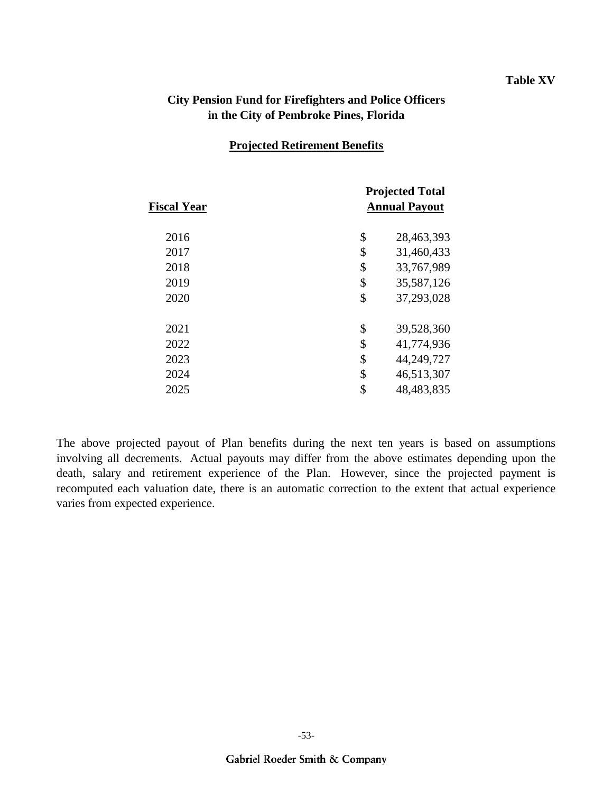#### **Table XV**

### **City Pension Fund for Firefighters and Police Officers in the City of Pembroke Pines, Florida**

#### **Projected Retirement Benefits**

| <b>Fiscal Year</b> | <b>Projected Total</b><br><b>Annual Payout</b> |
|--------------------|------------------------------------------------|
| 2016               | \$<br>28,463,393                               |
| 2017               | \$<br>31,460,433                               |
| 2018               | \$<br>33,767,989                               |
| 2019               | \$<br>35,587,126                               |
| 2020               | \$<br>37,293,028                               |
| 2021               | \$<br>39,528,360                               |
| 2022               | \$<br>41,774,936                               |
| 2023               | \$<br>44,249,727                               |
| 2024               | \$<br>46,513,307                               |
| 2025               | \$<br>48,483,835                               |
|                    |                                                |

The above projected payout of Plan benefits during the next ten years is based on assumptions involving all decrements. Actual payouts may differ from the above estimates depending upon the death, salary and retirement experience of the Plan. However, since the projected payment is recomputed each valuation date, there is an automatic correction to the extent that actual experience varies from expected experience.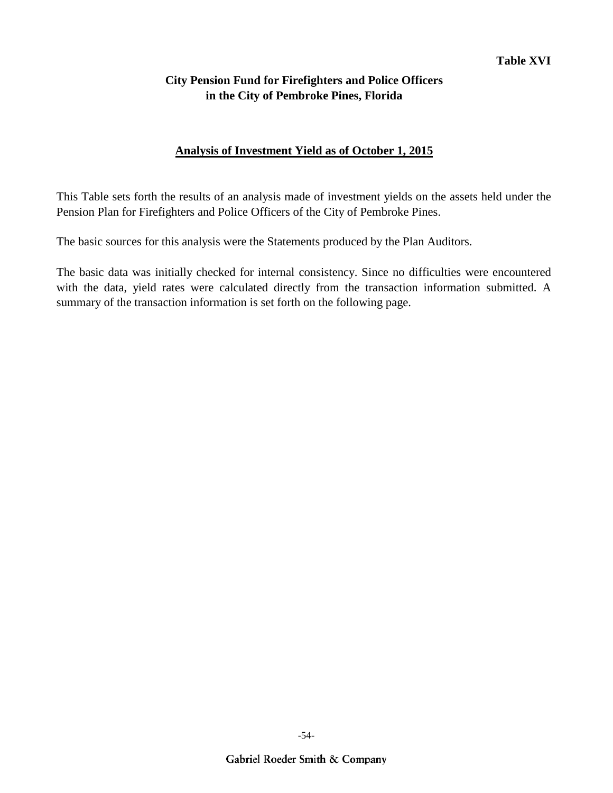### **Analysis of Investment Yield as of October 1, 2015**

This Table sets forth the results of an analysis made of investment yields on the assets held under the Pension Plan for Firefighters and Police Officers of the City of Pembroke Pines.

The basic sources for this analysis were the Statements produced by the Plan Auditors.

The basic data was initially checked for internal consistency. Since no difficulties were encountered with the data, yield rates were calculated directly from the transaction information submitted. A summary of the transaction information is set forth on the following page.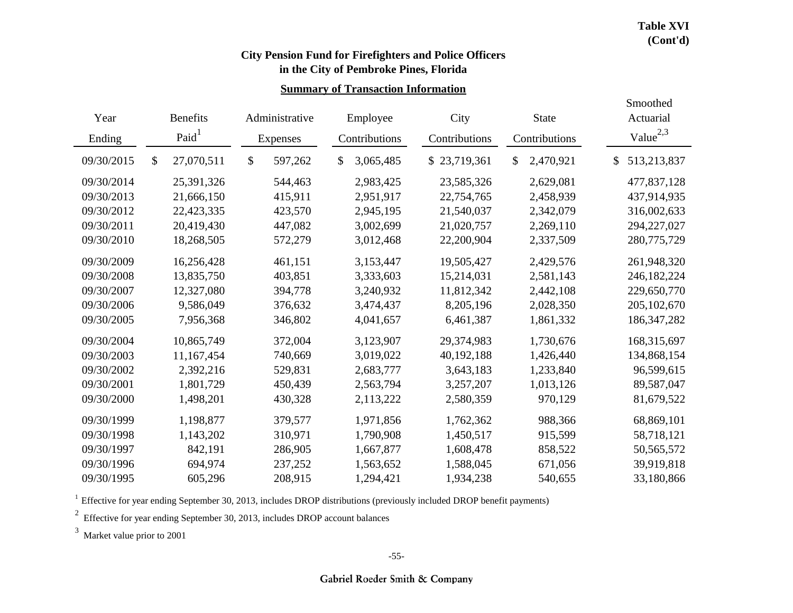Smoothed

# **City Pension Fund for Firefighters and Police Officers**

## **in the City of Pembroke Pines, Florida**

#### **Summary of Transaction Information**

| Year       | <b>Benefits</b><br>Administrative |                   |    | City<br>Employee |    |               | <b>State</b> |               | Actuarial |               |                   |
|------------|-----------------------------------|-------------------|----|------------------|----|---------------|--------------|---------------|-----------|---------------|-------------------|
| Ending     |                                   | Paid <sup>1</sup> |    | Expenses         |    | Contributions |              | Contributions |           | Contributions | Value $^{2,3}$    |
| 09/30/2015 | $\mathcal{S}$                     | 27,070,511        | \$ | 597,262          | \$ | 3,065,485     | S.           | 23,719,361    | \$        | 2,470,921     | \$<br>513,213,837 |
| 09/30/2014 |                                   | 25,391,326        |    | 544,463          |    | 2,983,425     |              | 23,585,326    |           | 2,629,081     | 477,837,128       |
| 09/30/2013 |                                   | 21,666,150        |    | 415,911          |    | 2,951,917     |              | 22,754,765    |           | 2,458,939     | 437,914,935       |
| 09/30/2012 |                                   | 22,423,335        |    | 423,570          |    | 2,945,195     |              | 21,540,037    |           | 2,342,079     | 316,002,633       |
| 09/30/2011 |                                   | 20,419,430        |    | 447,082          |    | 3,002,699     |              | 21,020,757    |           | 2,269,110     | 294,227,027       |
| 09/30/2010 |                                   | 18,268,505        |    | 572,279          |    | 3,012,468     |              | 22,200,904    |           | 2,337,509     | 280,775,729       |
| 09/30/2009 |                                   | 16,256,428        |    | 461,151          |    | 3,153,447     |              | 19,505,427    |           | 2,429,576     | 261,948,320       |
| 09/30/2008 |                                   | 13,835,750        |    | 403,851          |    | 3,333,603     |              | 15,214,031    |           | 2,581,143     | 246, 182, 224     |
| 09/30/2007 |                                   | 12,327,080        |    | 394,778          |    | 3,240,932     |              | 11,812,342    |           | 2,442,108     | 229,650,770       |
| 09/30/2006 |                                   | 9,586,049         |    | 376,632          |    | 3,474,437     |              | 8,205,196     |           | 2,028,350     | 205, 102, 670     |
| 09/30/2005 |                                   | 7,956,368         |    | 346,802          |    | 4,041,657     |              | 6,461,387     |           | 1,861,332     | 186, 347, 282     |
| 09/30/2004 |                                   | 10,865,749        |    | 372,004          |    | 3,123,907     |              | 29,374,983    |           | 1,730,676     | 168,315,697       |
| 09/30/2003 |                                   | 11,167,454        |    | 740,669          |    | 3,019,022     |              | 40,192,188    |           | 1,426,440     | 134,868,154       |
| 09/30/2002 |                                   | 2,392,216         |    | 529,831          |    | 2,683,777     |              | 3,643,183     |           | 1,233,840     | 96,599,615        |
| 09/30/2001 |                                   | 1,801,729         |    | 450,439          |    | 2,563,794     |              | 3,257,207     |           | 1,013,126     | 89,587,047        |
| 09/30/2000 |                                   | 1,498,201         |    | 430,328          |    | 2,113,222     |              | 2,580,359     |           | 970,129       | 81,679,522        |
| 09/30/1999 |                                   | 1,198,877         |    | 379,577          |    | 1,971,856     |              | 1,762,362     |           | 988,366       | 68,869,101        |
| 09/30/1998 |                                   | 1,143,202         |    | 310,971          |    | 1,790,908     |              | 1,450,517     |           | 915,599       | 58,718,121        |
| 09/30/1997 |                                   | 842,191           |    | 286,905          |    | 1,667,877     |              | 1,608,478     |           | 858,522       | 50, 565, 572      |
| 09/30/1996 |                                   | 694,974           |    | 237,252          |    | 1,563,652     |              | 1,588,045     |           | 671,056       | 39,919,818        |
| 09/30/1995 |                                   | 605,296           |    | 208,915          |    | 1,294,421     |              | 1,934,238     |           | 540,655       | 33,180,866        |

 $1$  Effective for year ending September 30, 2013, includes DROP distributions (previously included DROP benefit payments)

 $2^2$  Effective for year ending September 30, 2013, includes DROP account balances

<sup>3</sup> Market value prior to 2001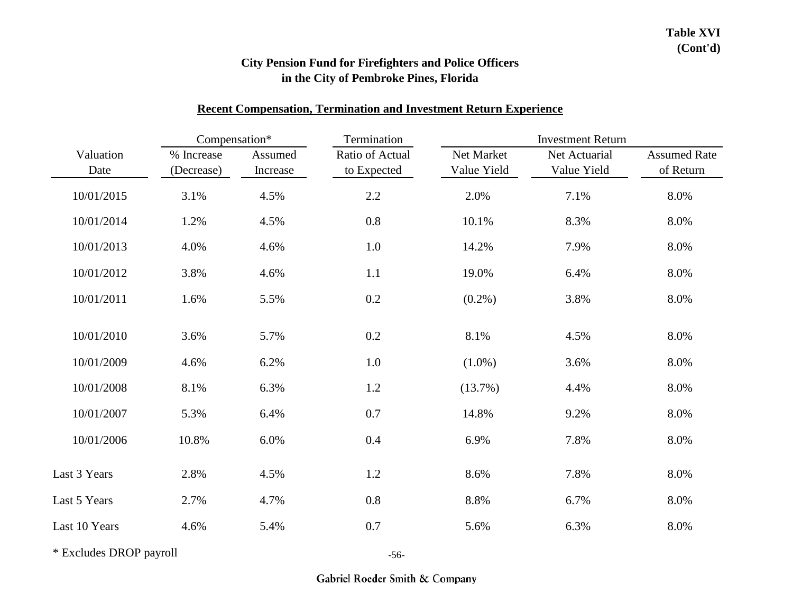#### **Recent Compensation, Termination and Investment Return Experience**

|                   | Compensation*            |                     | Termination                    |                           | <b>Investment Return</b>     |                                  |
|-------------------|--------------------------|---------------------|--------------------------------|---------------------------|------------------------------|----------------------------------|
| Valuation<br>Date | % Increase<br>(Decrease) | Assumed<br>Increase | Ratio of Actual<br>to Expected | Net Market<br>Value Yield | Net Actuarial<br>Value Yield | <b>Assumed Rate</b><br>of Return |
| 10/01/2015        | 3.1%                     | 4.5%                | $2.2\,$                        | 2.0%                      | 7.1%                         | 8.0%                             |
| 10/01/2014        | 1.2%                     | 4.5%                | 0.8                            | 10.1%                     | 8.3%                         | 8.0%                             |
| 10/01/2013        | 4.0%                     | 4.6%                | 1.0                            | 14.2%                     | 7.9%                         | 8.0%                             |
| 10/01/2012        | 3.8%                     | 4.6%                | 1.1                            | 19.0%                     | 6.4%                         | 8.0%                             |
| 10/01/2011        | 1.6%                     | 5.5%                | 0.2                            | $(0.2\%)$                 | 3.8%                         | 8.0%                             |
| 10/01/2010        | 3.6%                     | 5.7%                | 0.2                            | 8.1%                      | 4.5%                         | 8.0%                             |
| 10/01/2009        | 4.6%                     | 6.2%                | 1.0                            | $(1.0\%)$                 | 3.6%                         | 8.0%                             |
| 10/01/2008        | 8.1%                     | 6.3%                | 1.2                            | $(13.7\%)$                | 4.4%                         | 8.0%                             |
| 10/01/2007        | 5.3%                     | 6.4%                | 0.7                            | 14.8%                     | 9.2%                         | 8.0%                             |
| 10/01/2006        | 10.8%                    | 6.0%                | 0.4                            | 6.9%                      | 7.8%                         | 8.0%                             |
| Last 3 Years      | 2.8%                     | 4.5%                | 1.2                            | 8.6%                      | 7.8%                         | 8.0%                             |
| Last 5 Years      | 2.7%                     | 4.7%                | 0.8                            | 8.8%                      | 6.7%                         | 8.0%                             |
| Last 10 Years     | 4.6%                     | 5.4%                | 0.7                            | 5.6%                      | 6.3%                         | 8.0%                             |

\* Excludes DROP payroll

-56-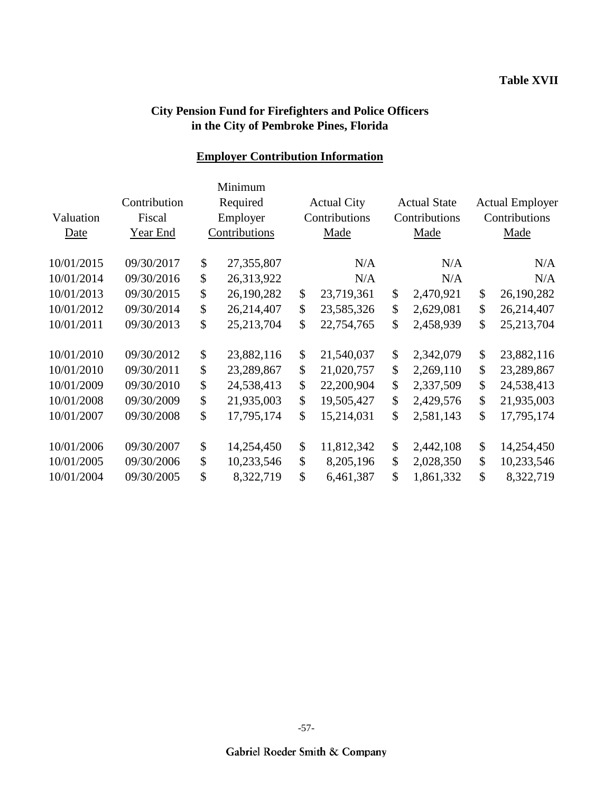## **Employer Contribution Information**

|            |              | Minimum          |      |                    |    |                     |               |                        |
|------------|--------------|------------------|------|--------------------|----|---------------------|---------------|------------------------|
|            | Contribution | Required         |      | <b>Actual City</b> |    | <b>Actual State</b> |               | <b>Actual Employer</b> |
| Valuation  | Fiscal       | Employer         |      | Contributions      |    | Contributions       | Contributions |                        |
| Date       | Year End     | Contributions    | Made |                    |    | Made                |               | Made                   |
| 10/01/2015 | 09/30/2017   | \$<br>27,355,807 |      | N/A                |    | N/A                 |               | N/A                    |
| 10/01/2014 | 09/30/2016   | \$<br>26,313,922 |      | N/A                |    | N/A                 |               | N/A                    |
| 10/01/2013 | 09/30/2015   | \$<br>26,190,282 | \$   | 23,719,361         | \$ | 2,470,921           | \$            | 26,190,282             |
| 10/01/2012 | 09/30/2014   | \$<br>26,214,407 | \$   | 23,585,326         | \$ | 2,629,081           | \$            | 26,214,407             |
| 10/01/2011 | 09/30/2013   | \$<br>25,213,704 | \$   | 22,754,765         | \$ | 2,458,939           | \$            | 25, 213, 704           |
| 10/01/2010 | 09/30/2012   | \$<br>23,882,116 | \$   | 21,540,037         | \$ | 2,342,079           | \$            | 23,882,116             |
| 10/01/2010 | 09/30/2011   | \$<br>23,289,867 | \$   | 21,020,757         | \$ | 2,269,110           | \$            | 23,289,867             |
| 10/01/2009 | 09/30/2010   | \$<br>24,538,413 | \$   | 22,200,904         | \$ | 2,337,509           | \$            | 24,538,413             |
| 10/01/2008 | 09/30/2009   | \$<br>21,935,003 | \$   | 19,505,427         | \$ | 2,429,576           | \$            | 21,935,003             |
| 10/01/2007 | 09/30/2008   | \$<br>17,795,174 | \$   | 15,214,031         | \$ | 2,581,143           | \$            | 17,795,174             |
| 10/01/2006 | 09/30/2007   | \$<br>14,254,450 | \$   | 11,812,342         | \$ | 2,442,108           | \$            | 14,254,450             |
| 10/01/2005 | 09/30/2006   | \$<br>10,233,546 | \$   | 8,205,196          | \$ | 2,028,350           | \$            | 10,233,546             |
| 10/01/2004 | 09/30/2005   | \$<br>8,322,719  | \$   | 6,461,387          | \$ | 1,861,332           | \$            | 8,322,719              |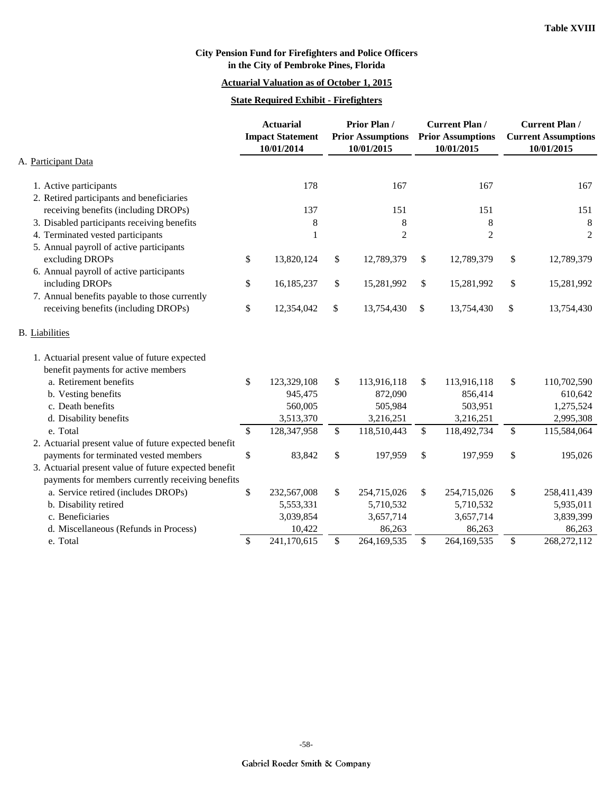#### **Actuarial Valuation as of October 1, 2015**

#### **State Required Exhibit - Firefighters**

|                                                       | <b>Actuarial</b><br><b>Impact Statement</b><br>10/01/2014 |             | <b>Prior Plan/</b><br><b>Prior Assumptions</b><br>10/01/2015 | <b>Current Plan/</b><br><b>Prior Assumptions</b><br>10/01/2015 |              |                | <b>Current Plan /</b><br><b>Current Assumptions</b><br>10/01/2015 |                |
|-------------------------------------------------------|-----------------------------------------------------------|-------------|--------------------------------------------------------------|----------------------------------------------------------------|--------------|----------------|-------------------------------------------------------------------|----------------|
| A. Participant Data                                   |                                                           |             |                                                              |                                                                |              |                |                                                                   |                |
| 1. Active participants                                |                                                           | 178         |                                                              | 167                                                            |              | 167            |                                                                   | 167            |
| 2. Retired participants and beneficiaries             |                                                           |             |                                                              |                                                                |              |                |                                                                   |                |
| receiving benefits (including DROPs)                  |                                                           | 137         |                                                              | 151                                                            |              | 151            |                                                                   | 151            |
| 3. Disabled participants receiving benefits           |                                                           | 8           |                                                              | 8                                                              |              | $\,8\,$        |                                                                   | $8\phantom{1}$ |
| 4. Terminated vested participants                     |                                                           | 1           |                                                              | $\overline{c}$                                                 |              | $\overline{2}$ |                                                                   | $\overline{2}$ |
| 5. Annual payroll of active participants              |                                                           |             |                                                              |                                                                |              |                |                                                                   |                |
| excluding DROPs                                       | \$                                                        | 13,820,124  | \$                                                           | 12,789,379                                                     | \$           | 12,789,379     | \$                                                                | 12,789,379     |
| 6. Annual payroll of active participants              |                                                           |             |                                                              |                                                                |              |                |                                                                   |                |
| including DROPs                                       | \$                                                        | 16,185,237  | \$                                                           | 15,281,992                                                     | \$           | 15,281,992     | \$                                                                | 15,281,992     |
| 7. Annual benefits payable to those currently         |                                                           |             |                                                              |                                                                |              |                |                                                                   |                |
| receiving benefits (including DROPs)                  | \$                                                        | 12,354,042  | \$                                                           | 13,754,430                                                     | \$           | 13,754,430     | \$                                                                | 13,754,430     |
| <b>B.</b> Liabilities                                 |                                                           |             |                                                              |                                                                |              |                |                                                                   |                |
| 1. Actuarial present value of future expected         |                                                           |             |                                                              |                                                                |              |                |                                                                   |                |
| benefit payments for active members                   |                                                           |             |                                                              |                                                                |              |                |                                                                   |                |
| a. Retirement benefits                                | \$                                                        | 123,329,108 | \$                                                           | 113,916,118                                                    | \$           | 113,916,118    | \$                                                                | 110,702,590    |
| b. Vesting benefits                                   |                                                           | 945,475     |                                                              | 872,090                                                        |              | 856,414        |                                                                   | 610,642        |
| c. Death benefits                                     |                                                           | 560,005     |                                                              | 505,984                                                        |              | 503,951        |                                                                   | 1,275,524      |
| d. Disability benefits                                |                                                           | 3,513,370   |                                                              | 3,216,251                                                      |              | 3,216,251      |                                                                   | 2,995,308      |
| e. Total                                              | \$                                                        | 128,347,958 | \$                                                           | 118,510,443                                                    | $\mathbb{S}$ | 118,492,734    | \$                                                                | 115,584,064    |
| 2. Actuarial present value of future expected benefit |                                                           |             |                                                              |                                                                |              |                |                                                                   |                |
| payments for terminated vested members                | \$                                                        | 83,842      | \$                                                           | 197,959                                                        | \$           | 197,959        | \$                                                                | 195,026        |
| 3. Actuarial present value of future expected benefit |                                                           |             |                                                              |                                                                |              |                |                                                                   |                |
| payments for members currently receiving benefits     |                                                           |             |                                                              |                                                                |              |                |                                                                   |                |
| a. Service retired (includes DROPs)                   | \$                                                        | 232,567,008 | \$                                                           | 254,715,026                                                    | \$           | 254,715,026    | \$                                                                | 258,411,439    |
| b. Disability retired                                 |                                                           | 5,553,331   |                                                              | 5,710,532                                                      |              | 5,710,532      |                                                                   | 5,935,011      |
| c. Beneficiaries                                      |                                                           | 3,039,854   |                                                              | 3,657,714                                                      |              | 3,657,714      |                                                                   | 3,839,399      |
| d. Miscellaneous (Refunds in Process)                 |                                                           | 10,422      |                                                              | 86,263                                                         |              | 86,263         |                                                                   | 86,263         |
| e. Total                                              | \$                                                        | 241,170,615 | \$                                                           | 264,169,535                                                    | \$           | 264,169,535    | \$                                                                | 268,272,112    |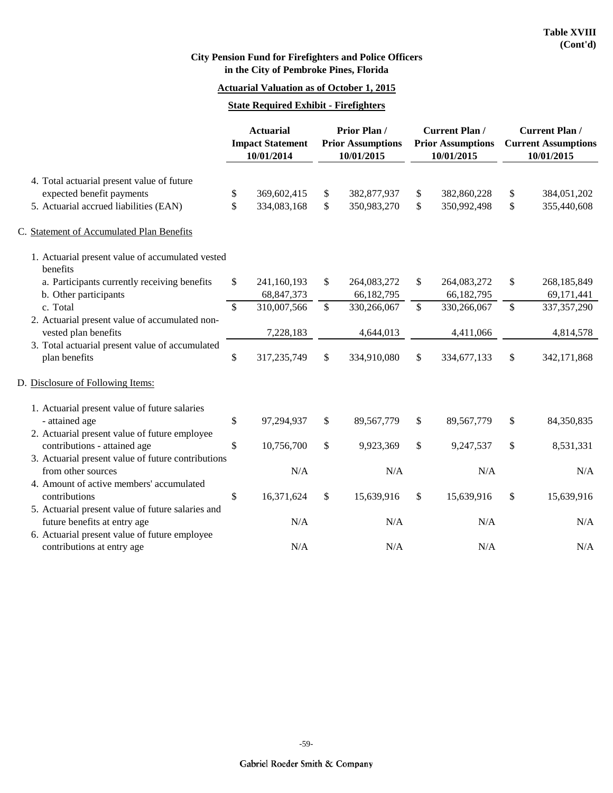#### **Actuarial Valuation as of October 1, 2015**

#### **State Required Exhibit - Firefighters**

|                                                              | <b>Actuarial</b> |                                       |              | Prior Plan/                            | <b>Current Plan /</b>                  | <b>Current Plan /</b> |                                          |
|--------------------------------------------------------------|------------------|---------------------------------------|--------------|----------------------------------------|----------------------------------------|-----------------------|------------------------------------------|
|                                                              |                  | <b>Impact Statement</b><br>10/01/2014 |              | <b>Prior Assumptions</b><br>10/01/2015 | <b>Prior Assumptions</b><br>10/01/2015 |                       | <b>Current Assumptions</b><br>10/01/2015 |
| 4. Total actuarial present value of future                   |                  |                                       |              |                                        |                                        |                       |                                          |
| expected benefit payments                                    | \$               | 369,602,415                           | \$           | 382,877,937                            | \$<br>382,860,228                      | \$                    | 384,051,202                              |
| 5. Actuarial accrued liabilities (EAN)                       | \$               | 334,083,168                           | \$           | 350,983,270                            | \$<br>350,992,498                      | \$                    | 355,440,608                              |
| C. Statement of Accumulated Plan Benefits                    |                  |                                       |              |                                        |                                        |                       |                                          |
| 1. Actuarial present value of accumulated vested<br>benefits |                  |                                       |              |                                        |                                        |                       |                                          |
| a. Participants currently receiving benefits                 | \$               | 241,160,193                           | \$           | 264,083,272                            | \$<br>264,083,272                      | \$                    | 268,185,849                              |
| b. Other participants                                        |                  | 68,847,373                            |              | 66,182,795                             | 66,182,795                             |                       | 69,171,441                               |
| c. Total                                                     | $\mathbb{S}$     | 310,007,566                           | $\mathbb{S}$ | 330,266,067                            | \$<br>330,266,067                      | \$                    | 337, 357, 290                            |
| 2. Actuarial present value of accumulated non-               |                  |                                       |              |                                        |                                        |                       |                                          |
| vested plan benefits                                         |                  | 7,228,183                             |              | 4,644,013                              | 4,411,066                              |                       | 4,814,578                                |
| 3. Total actuarial present value of accumulated              |                  |                                       |              |                                        |                                        |                       |                                          |
| plan benefits                                                | \$               | 317,235,749                           | \$           | 334,910,080                            | \$<br>334,677,133                      | \$                    | 342,171,868                              |
| D. Disclosure of Following Items:                            |                  |                                       |              |                                        |                                        |                       |                                          |
| 1. Actuarial present value of future salaries                |                  |                                       |              |                                        |                                        |                       |                                          |
| - attained age                                               | \$               | 97,294,937                            | \$           | 89,567,779                             | \$<br>89,567,779                       | \$                    | 84,350,835                               |
| 2. Actuarial present value of future employee                |                  |                                       |              |                                        |                                        |                       |                                          |
| contributions - attained age                                 | \$               | 10,756,700                            | $\mathbb{S}$ | 9,923,369                              | \$<br>9,247,537                        | \$                    | 8,531,331                                |
| 3. Actuarial present value of future contributions           |                  |                                       |              |                                        |                                        |                       |                                          |
| from other sources                                           |                  | N/A                                   |              | N/A                                    | N/A                                    |                       | N/A                                      |
| 4. Amount of active members' accumulated                     |                  |                                       |              |                                        |                                        |                       |                                          |
| contributions                                                | \$               | 16,371,624                            | \$           | 15,639,916                             | \$<br>15,639,916                       | \$                    | 15,639,916                               |
| 5. Actuarial present value of future salaries and            |                  |                                       |              |                                        |                                        |                       |                                          |
| future benefits at entry age                                 |                  | N/A                                   |              | N/A                                    | N/A                                    |                       | N/A                                      |
| 6. Actuarial present value of future employee                |                  |                                       |              |                                        |                                        |                       |                                          |
| contributions at entry age                                   |                  | N/A                                   |              | N/A                                    | N/A                                    |                       | N/A                                      |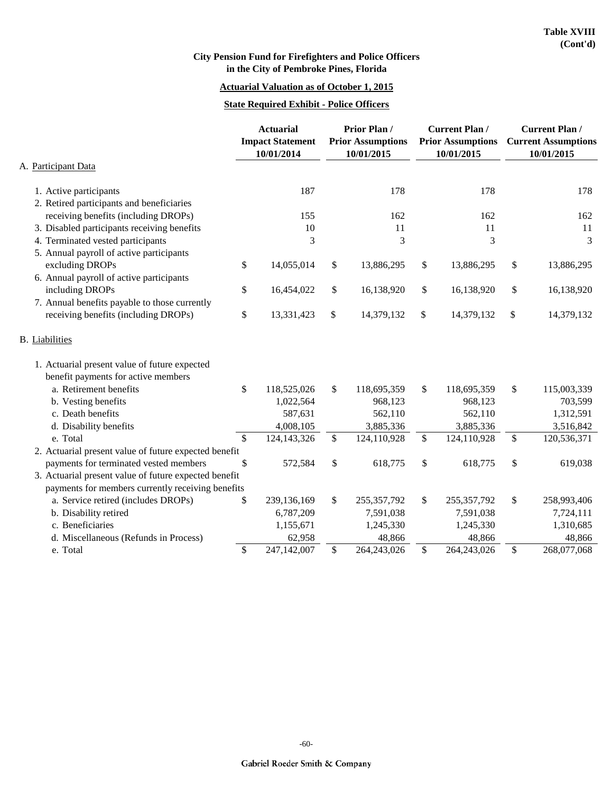## **Actuarial Valuation as of October 1, 2015**

#### **State Required Exhibit - Police Officers**

|                                                       |               | <b>Actuarial</b><br><b>Impact Statement</b><br>10/01/2014 | <b>Prior Plan/</b><br><b>Prior Assumptions</b><br>10/01/2015 |              | <b>Current Plan/</b><br><b>Prior Assumptions</b><br>10/01/2015 | <b>Current Plan /</b><br><b>Current Assumptions</b><br>10/01/2015 |
|-------------------------------------------------------|---------------|-----------------------------------------------------------|--------------------------------------------------------------|--------------|----------------------------------------------------------------|-------------------------------------------------------------------|
| A. Participant Data                                   |               |                                                           |                                                              |              |                                                                |                                                                   |
| 1. Active participants                                |               | 187                                                       | 178                                                          |              | 178                                                            | 178                                                               |
| 2. Retired participants and beneficiaries             |               |                                                           |                                                              |              |                                                                |                                                                   |
| receiving benefits (including DROPs)                  |               | 155                                                       | 162                                                          |              | 162                                                            | 162                                                               |
| 3. Disabled participants receiving benefits           |               | 10                                                        | 11                                                           |              | 11                                                             | 11                                                                |
| 4. Terminated vested participants                     |               | 3                                                         | 3                                                            |              | 3                                                              | 3                                                                 |
| 5. Annual payroll of active participants              |               |                                                           |                                                              |              |                                                                |                                                                   |
| excluding DROPs                                       | \$            | 14,055,014                                                | \$<br>13,886,295                                             | \$           | 13,886,295                                                     | \$<br>13,886,295                                                  |
| 6. Annual payroll of active participants              |               |                                                           |                                                              |              |                                                                |                                                                   |
| including DROPs                                       | \$            | 16,454,022                                                | \$<br>16,138,920                                             | \$           | 16,138,920                                                     | \$<br>16,138,920                                                  |
| 7. Annual benefits payable to those currently         |               |                                                           |                                                              |              |                                                                |                                                                   |
| receiving benefits (including DROPs)                  | \$            | 13,331,423                                                | \$<br>14,379,132                                             | \$           | 14,379,132                                                     | \$<br>14,379,132                                                  |
| <b>B.</b> Liabilities                                 |               |                                                           |                                                              |              |                                                                |                                                                   |
| 1. Actuarial present value of future expected         |               |                                                           |                                                              |              |                                                                |                                                                   |
| benefit payments for active members                   |               |                                                           |                                                              |              |                                                                |                                                                   |
| a. Retirement benefits                                | \$            | 118,525,026                                               | \$<br>118,695,359                                            | \$           | 118,695,359                                                    | \$<br>115,003,339                                                 |
| b. Vesting benefits                                   |               | 1,022,564                                                 | 968,123                                                      |              | 968,123                                                        | 703,599                                                           |
| c. Death benefits                                     |               | 587,631                                                   | 562,110                                                      |              | 562,110                                                        | 1,312,591                                                         |
| d. Disability benefits                                |               | 4,008,105                                                 | 3,885,336                                                    |              | 3,885,336                                                      | 3,516,842                                                         |
| e. Total                                              | $\mathcal{S}$ | 124, 143, 326                                             | \$<br>124,110,928                                            | $\mathbb{S}$ | 124,110,928                                                    | \$<br>120,536,371                                                 |
| 2. Actuarial present value of future expected benefit |               |                                                           |                                                              |              |                                                                |                                                                   |
| payments for terminated vested members                | \$            | 572,584                                                   | \$<br>618,775                                                | \$           | 618,775                                                        | \$<br>619,038                                                     |
| 3. Actuarial present value of future expected benefit |               |                                                           |                                                              |              |                                                                |                                                                   |
| payments for members currently receiving benefits     |               |                                                           |                                                              |              |                                                                |                                                                   |
| a. Service retired (includes DROPs)                   | \$            | 239,136,169                                               | \$<br>255, 357, 792                                          | \$           | 255, 357, 792                                                  | \$<br>258,993,406                                                 |
| b. Disability retired                                 |               | 6,787,209                                                 | 7,591,038                                                    |              | 7,591,038                                                      | 7,724,111                                                         |
| c. Beneficiaries                                      |               | 1,155,671                                                 | 1,245,330                                                    |              | 1,245,330                                                      | 1,310,685                                                         |
| d. Miscellaneous (Refunds in Process)                 |               | 62,958                                                    | 48,866                                                       |              | 48,866                                                         | 48,866                                                            |
| e. Total                                              | \$            | 247,142,007                                               | \$<br>264,243,026                                            | \$           | 264,243,026                                                    | \$<br>268,077,068                                                 |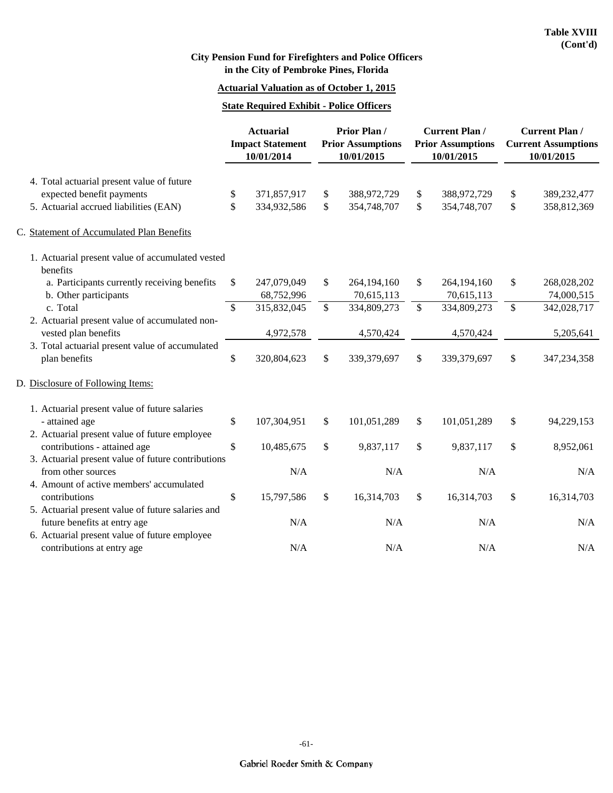#### **Actuarial Valuation as of October 1, 2015**

#### **State Required Exhibit - Police Officers**

|                                                              |               | Prior Plan /<br><b>Actuarial</b> |              | <b>Impact Statement</b><br>10/01/2014 |    | <b>Prior Assumptions</b><br>10/01/2015 |    |             | <b>Current Plan /</b><br><b>Prior Assumptions</b><br>10/01/2015 |  | <b>Current Plan /</b><br><b>Current Assumptions</b><br>10/01/2015 |  |
|--------------------------------------------------------------|---------------|----------------------------------|--------------|---------------------------------------|----|----------------------------------------|----|-------------|-----------------------------------------------------------------|--|-------------------------------------------------------------------|--|
|                                                              |               |                                  |              |                                       |    |                                        |    |             |                                                                 |  |                                                                   |  |
| 4. Total actuarial present value of future                   |               |                                  |              |                                       |    |                                        |    |             |                                                                 |  |                                                                   |  |
| expected benefit payments                                    | \$            | 371,857,917                      | \$           | 388,972,729                           | \$ | 388,972,729                            | \$ | 389,232,477 |                                                                 |  |                                                                   |  |
| 5. Actuarial accrued liabilities (EAN)                       | \$            | 334,932,586                      | $\mathbb{S}$ | 354,748,707                           | \$ | 354,748,707                            | \$ | 358,812,369 |                                                                 |  |                                                                   |  |
| C. Statement of Accumulated Plan Benefits                    |               |                                  |              |                                       |    |                                        |    |             |                                                                 |  |                                                                   |  |
| 1. Actuarial present value of accumulated vested<br>benefits |               |                                  |              |                                       |    |                                        |    |             |                                                                 |  |                                                                   |  |
| a. Participants currently receiving benefits                 | \$            | 247,079,049                      | \$           | 264,194,160                           | \$ | 264,194,160                            | \$ | 268,028,202 |                                                                 |  |                                                                   |  |
| b. Other participants                                        |               | 68,752,996                       |              | 70,615,113                            |    | 70,615,113                             |    | 74,000,515  |                                                                 |  |                                                                   |  |
| c. Total                                                     | $\mathsf{\$}$ | 315,832,045                      | \$           | 334,809,273                           | \$ | 334,809,273                            | \$ | 342,028,717 |                                                                 |  |                                                                   |  |
| 2. Actuarial present value of accumulated non-               |               |                                  |              |                                       |    |                                        |    |             |                                                                 |  |                                                                   |  |
| vested plan benefits                                         |               | 4,972,578                        |              | 4,570,424                             |    | 4,570,424                              |    | 5,205,641   |                                                                 |  |                                                                   |  |
| 3. Total actuarial present value of accumulated              |               |                                  |              |                                       |    |                                        |    |             |                                                                 |  |                                                                   |  |
| plan benefits                                                | \$            | 320,804,623                      | \$           | 339,379,697                           | \$ | 339,379,697                            | \$ | 347,234,358 |                                                                 |  |                                                                   |  |
| D. Disclosure of Following Items:                            |               |                                  |              |                                       |    |                                        |    |             |                                                                 |  |                                                                   |  |
| 1. Actuarial present value of future salaries                |               |                                  |              |                                       |    |                                        |    |             |                                                                 |  |                                                                   |  |
| - attained age                                               | \$            | 107,304,951                      | \$           | 101,051,289                           | \$ | 101,051,289                            | \$ | 94,229,153  |                                                                 |  |                                                                   |  |
| 2. Actuarial present value of future employee                |               |                                  |              |                                       |    |                                        |    |             |                                                                 |  |                                                                   |  |
| contributions - attained age                                 | \$            | 10,485,675                       | \$           | 9,837,117                             | \$ | 9,837,117                              | \$ | 8,952,061   |                                                                 |  |                                                                   |  |
| 3. Actuarial present value of future contributions           |               |                                  |              |                                       |    |                                        |    |             |                                                                 |  |                                                                   |  |
| from other sources                                           |               | N/A                              |              | N/A                                   |    | N/A                                    |    | N/A         |                                                                 |  |                                                                   |  |
| 4. Amount of active members' accumulated                     |               |                                  |              |                                       |    |                                        |    |             |                                                                 |  |                                                                   |  |
| contributions                                                | \$            | 15,797,586                       | \$           | 16,314,703                            | \$ | 16,314,703                             | \$ | 16,314,703  |                                                                 |  |                                                                   |  |
| 5. Actuarial present value of future salaries and            |               |                                  |              |                                       |    |                                        |    |             |                                                                 |  |                                                                   |  |
| future benefits at entry age                                 |               | N/A                              |              | N/A                                   |    | N/A                                    |    | N/A         |                                                                 |  |                                                                   |  |
| 6. Actuarial present value of future employee                |               |                                  |              |                                       |    |                                        |    |             |                                                                 |  |                                                                   |  |
| contributions at entry age                                   |               | N/A                              |              | N/A                                   |    | N/A                                    |    | N/A         |                                                                 |  |                                                                   |  |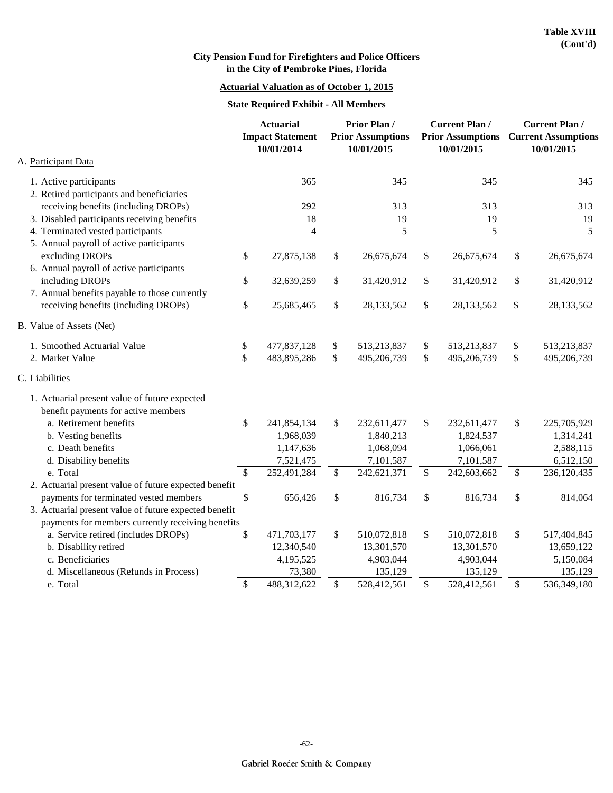#### **Actuarial Valuation as of October 1, 2015**

#### **State Required Exhibit - All Members**

|                                                       | <b>Actuarial</b><br><b>Impact Statement</b><br>10/01/2014 | <b>Prior Plan/</b><br><b>Prior Assumptions</b><br>10/01/2015 |                           | <b>Current Plan /</b><br><b>Prior Assumptions</b><br>10/01/2015 | <b>Current Plan/</b><br><b>Current Assumptions</b><br>10/01/2015 |
|-------------------------------------------------------|-----------------------------------------------------------|--------------------------------------------------------------|---------------------------|-----------------------------------------------------------------|------------------------------------------------------------------|
| A. Participant Data                                   |                                                           |                                                              |                           |                                                                 |                                                                  |
| 1. Active participants                                | 365                                                       | 345                                                          |                           | 345                                                             | 345                                                              |
| 2. Retired participants and beneficiaries             |                                                           |                                                              |                           |                                                                 |                                                                  |
| receiving benefits (including DROPs)                  | 292                                                       | 313                                                          |                           | 313                                                             | 313                                                              |
| 3. Disabled participants receiving benefits           | 18                                                        | 19                                                           |                           | 19                                                              | 19                                                               |
| 4. Terminated vested participants                     | 4                                                         | 5                                                            |                           | 5                                                               | 5                                                                |
| 5. Annual payroll of active participants              |                                                           |                                                              |                           |                                                                 |                                                                  |
| excluding DROPs                                       | \$<br>27,875,138                                          | \$<br>26,675,674                                             | \$                        | 26,675,674                                                      | \$<br>26,675,674                                                 |
| 6. Annual payroll of active participants              |                                                           |                                                              |                           |                                                                 |                                                                  |
| including DROPs                                       | \$<br>32,639,259                                          | \$<br>31,420,912                                             | \$                        | 31,420,912                                                      | \$<br>31,420,912                                                 |
| 7. Annual benefits payable to those currently         |                                                           |                                                              |                           |                                                                 |                                                                  |
| receiving benefits (including DROPs)                  | \$<br>25,685,465                                          | \$<br>28,133,562                                             | \$                        | 28,133,562                                                      | \$<br>28,133,562                                                 |
| B. Value of Assets (Net)                              |                                                           |                                                              |                           |                                                                 |                                                                  |
| 1. Smoothed Actuarial Value                           | \$<br>477,837,128                                         | \$<br>513,213,837                                            | \$                        | 513,213,837                                                     | \$<br>513,213,837                                                |
| 2. Market Value                                       | \$<br>483,895,286                                         | \$<br>495,206,739                                            | \$                        | 495,206,739                                                     | \$<br>495,206,739                                                |
| C. Liabilities                                        |                                                           |                                                              |                           |                                                                 |                                                                  |
| 1. Actuarial present value of future expected         |                                                           |                                                              |                           |                                                                 |                                                                  |
| benefit payments for active members                   |                                                           |                                                              |                           |                                                                 |                                                                  |
| a. Retirement benefits                                | \$<br>241,854,134                                         | \$<br>232,611,477                                            | \$                        | 232,611,477                                                     | \$<br>225,705,929                                                |
| b. Vesting benefits                                   | 1,968,039                                                 | 1,840,213                                                    |                           | 1,824,537                                                       | 1,314,241                                                        |
| c. Death benefits                                     | 1,147,636                                                 | 1,068,094                                                    |                           | 1,066,061                                                       | 2,588,115                                                        |
| d. Disability benefits                                | 7,521,475                                                 | 7,101,587                                                    |                           | 7,101,587                                                       | 6,512,150                                                        |
| e. Total                                              | \$<br>252,491,284                                         | \$<br>242,621,371                                            | $\boldsymbol{\mathsf{S}}$ | 242,603,662                                                     | \$<br>236,120,435                                                |
| 2. Actuarial present value of future expected benefit |                                                           |                                                              |                           |                                                                 |                                                                  |
| payments for terminated vested members                | \$<br>656,426                                             | \$<br>816,734                                                | \$                        | 816,734                                                         | \$<br>814,064                                                    |
| 3. Actuarial present value of future expected benefit |                                                           |                                                              |                           |                                                                 |                                                                  |
| payments for members currently receiving benefits     |                                                           |                                                              |                           |                                                                 |                                                                  |
| a. Service retired (includes DROPs)                   | \$<br>471,703,177                                         | \$<br>510,072,818                                            | \$                        | 510,072,818                                                     | \$<br>517,404,845                                                |
| b. Disability retired                                 | 12,340,540                                                | 13,301,570                                                   |                           | 13,301,570                                                      | 13,659,122                                                       |
| c. Beneficiaries                                      | 4,195,525                                                 | 4,903,044                                                    |                           | 4,903,044                                                       | 5,150,084                                                        |
| d. Miscellaneous (Refunds in Process)                 | 73,380                                                    | 135,129                                                      |                           | 135,129                                                         | 135,129                                                          |
| e. Total                                              | \$<br>488,312,622                                         | \$<br>528,412,561                                            | \$                        | 528,412,561                                                     | \$<br>536,349,180                                                |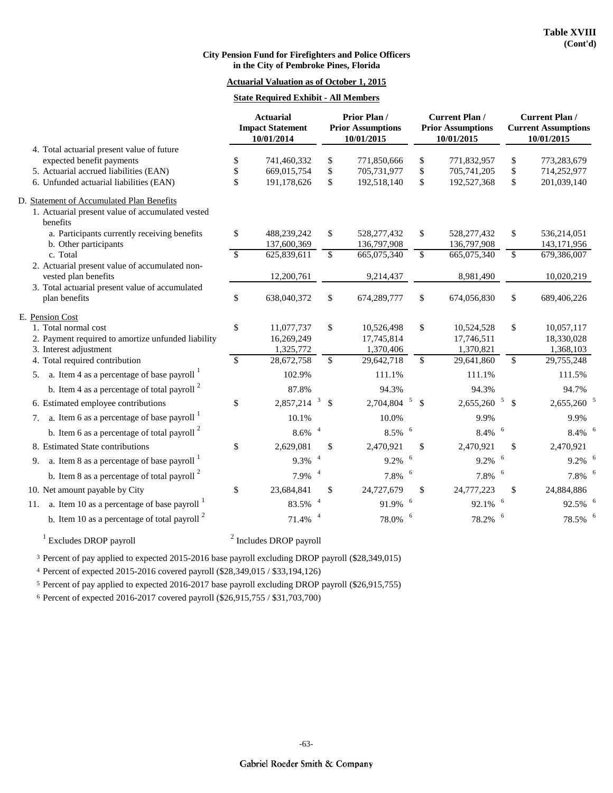#### **Actuarial Valuation as of October 1, 2015**

#### **State Required Exhibit - All Members**

|                                                                                                                           | <b>Actuarial</b><br><b>Impact Statement</b><br>10/01/2014 |                          |                              | Prior Plan /<br><b>Prior Assumptions</b><br>10/01/2015 |                                 | <b>Current Plan /</b><br><b>Prior Assumptions</b><br>10/01/2015 | <b>Current Plan /</b><br><b>Current Assumptions</b><br>10/01/2015 |                          |
|---------------------------------------------------------------------------------------------------------------------------|-----------------------------------------------------------|--------------------------|------------------------------|--------------------------------------------------------|---------------------------------|-----------------------------------------------------------------|-------------------------------------------------------------------|--------------------------|
| 4. Total actuarial present value of future                                                                                |                                                           |                          |                              |                                                        |                                 |                                                                 |                                                                   |                          |
| expected benefit payments                                                                                                 | \$                                                        | 741,460,332              | \$                           | 771,850,666                                            | \$                              | 771,832,957                                                     | \$                                                                | 773,283,679              |
| 5. Actuarial accrued liabilities (EAN)                                                                                    | \$                                                        | 669,015,754              | \$                           | 705,731,977                                            | \$                              | 705,741,205                                                     | \$                                                                | 714,252,977              |
| 6. Unfunded actuarial liabilities (EAN)                                                                                   | \$                                                        | 191,178,626              | \$                           | 192,518,140                                            | \$                              | 192,527,368                                                     | \$                                                                | 201,039,140              |
| D. Statement of Accumulated Plan Benefits<br>1. Actuarial present value of accumulated vested<br>benefits                 |                                                           |                          |                              |                                                        |                                 |                                                                 |                                                                   |                          |
| a. Participants currently receiving benefits                                                                              | \$                                                        | 488,239,242              | \$                           | 528, 277, 432                                          | \$                              | 528, 277, 432                                                   | \$                                                                | 536,214,051              |
| b. Other participants                                                                                                     |                                                           | 137,600,369              |                              | 136,797,908                                            |                                 | 136,797,908                                                     |                                                                   | 143, 171, 956            |
| c. Total                                                                                                                  | $\mathcal{S}$                                             | 625,839,611              | \$                           | 665,075,340                                            | $\mathbb{S}$                    | 665,075,340                                                     | \$                                                                | 679,386,007              |
| 2. Actuarial present value of accumulated non-<br>vested plan benefits<br>3. Total actuarial present value of accumulated |                                                           | 12,200,761               |                              | 9,214,437                                              |                                 | 8,981,490                                                       |                                                                   | 10,020,219               |
| plan benefits                                                                                                             | \$                                                        | 638,040,372              | $\mathbb{S}$                 | 674,289,777                                            | \$                              | 674,056,830                                                     | \$                                                                | 689,406,226              |
| E. Pension Cost<br>1. Total normal cost<br>2. Payment required to amortize unfunded liability                             | \$                                                        | 11,077,737<br>16,269,249 | \$                           | 10,526,498<br>17,745,814                               | \$                              | 10,524,528<br>17,746,511                                        | \$                                                                | 10,057,117<br>18,330,028 |
| 3. Interest adjustment                                                                                                    |                                                           | 1,325,772                |                              | 1,370,406                                              |                                 | 1,370,821                                                       |                                                                   | 1,368,103                |
| 4. Total required contribution                                                                                            | $\mathbb{S}$                                              | 28,672,758               | $\mathbb{S}$                 | 29,642,718                                             | \$                              | 29,641,860                                                      | $\mathbb{S}$                                                      | 29,755,248               |
| 5. a. Item 4 as a percentage of base payroll $\frac{1}{1}$                                                                |                                                           | 102.9%                   |                              | 111.1%                                                 |                                 | 111.1%                                                          |                                                                   | 111.5%                   |
| b. Item 4 as a percentage of total payroll $2$                                                                            |                                                           | 87.8%                    |                              | 94.3%                                                  |                                 | 94.3%                                                           |                                                                   | 94.7%                    |
| 6. Estimated employee contributions                                                                                       | \$                                                        | 2,857,214                | $\mathbf{3}$<br>$\mathbb{S}$ | 2,704,804                                              | $\mathfrak{S}$<br>$\mathcal{S}$ | 2,655,260                                                       | $\mathfrak{S}$<br>$\mathsf{\$}$                                   | 2,655,260                |
| 7. a. Item 6 as a percentage of base payroll $1$                                                                          |                                                           | 10.1%                    |                              | 10.0%                                                  |                                 | 9.9%                                                            |                                                                   | 9.9%                     |
| b. Item 6 as a percentage of total payroll $2$                                                                            |                                                           | $\overline{a}$<br>8.6%   |                              | 8.5%                                                   | 6                               | 8.4%                                                            | 6                                                                 | 8.4%                     |
| 8. Estimated State contributions                                                                                          | \$                                                        | 2,629,081                | $\mathbb{S}$                 | 2,470,921                                              | $\mathcal{S}$                   | 2,470,921                                                       | \$                                                                | 2,470,921                |
| a. Item 8 as a percentage of base payroll $1$<br>9.                                                                       |                                                           | 9.3%                     |                              | 9.2%                                                   | 6                               | 9.2%                                                            |                                                                   | 9.2%                     |
| b. Item 8 as a percentage of total payroll $2$                                                                            |                                                           | $\overline{4}$<br>7.9%   |                              | 7.8%                                                   | 6                               | 7.8%                                                            | 6                                                                 | 7.8%                     |
| 10. Net amount payable by City                                                                                            | \$                                                        | 23,684,841               | \$                           | 24,727,679                                             | \$                              | 24,777,223                                                      | \$                                                                | 24,884,886               |
| 11. a. Item 10 as a percentage of base payroll                                                                            |                                                           | 83.5%                    |                              | 91.9%                                                  | 6                               | 92.1%                                                           | 6                                                                 | 92.5%                    |
| b. Item 10 as a percentage of total payroll $2$                                                                           |                                                           | 71.4%                    |                              | 78.0%                                                  | 6                               | 78.2%                                                           |                                                                   | 78.5%                    |
| $\overline{1}$                                                                                                            | $\gamma$                                                  |                          |                              |                                                        |                                 |                                                                 |                                                                   |                          |

 $1$  Excludes DROP payroll  $2$ 

 $<sup>2</sup>$  Includes DROP payroll</sup>

3 Percent of pay applied to expected 2015-2016 base payroll excluding DROP payroll (\$28,349,015)

4 Percent of expected 2015-2016 covered payroll (\$28,349,015 / \$33,194,126)

5 Percent of pay applied to expected 2016-2017 base payroll excluding DROP payroll (\$26,915,755)

<sup>6</sup> Percent of expected 2016-2017 covered payroll (\$26,915,755 / \$31,703,700)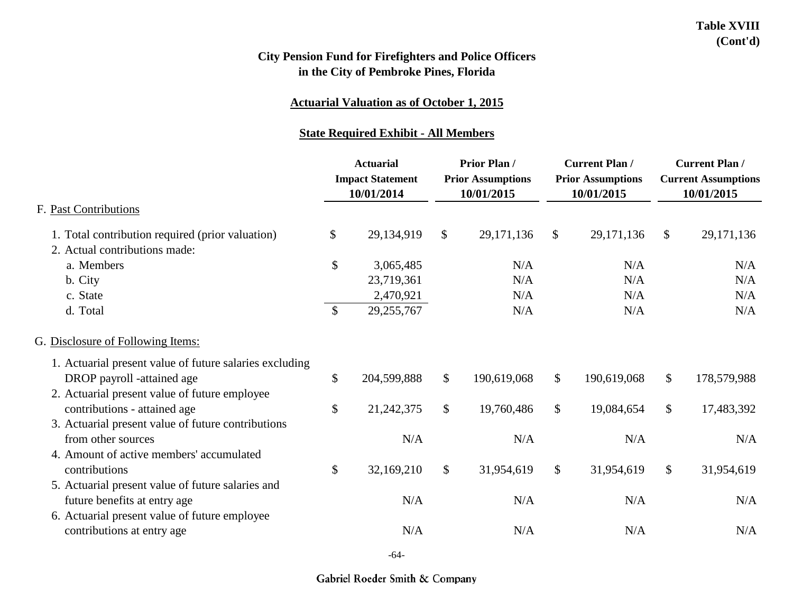### **Actuarial Valuation as of October 1, 2015**

#### **State Required Exhibit - All Members**

|                                                         | <b>Actuarial</b><br><b>Impact Statement</b><br>10/01/2014 |              | <b>Prior Plan/</b><br><b>Prior Assumptions</b><br>10/01/2015 |             | <b>Current Plan /</b><br><b>Prior Assumptions</b><br>10/01/2015 |             | <b>Current Plan /</b><br><b>Current Assumptions</b><br>10/01/2015 |              |
|---------------------------------------------------------|-----------------------------------------------------------|--------------|--------------------------------------------------------------|-------------|-----------------------------------------------------------------|-------------|-------------------------------------------------------------------|--------------|
| F. Past Contributions                                   |                                                           |              |                                                              |             |                                                                 |             |                                                                   |              |
| 1. Total contribution required (prior valuation)        | \$                                                        | 29,134,919   | \$                                                           | 29,171,136  | \$                                                              | 29,171,136  | $\frac{1}{2}$                                                     | 29, 171, 136 |
| 2. Actual contributions made:                           |                                                           |              |                                                              |             |                                                                 |             |                                                                   |              |
| a. Members                                              | $\mathbb{S}$                                              | 3,065,485    |                                                              | N/A         |                                                                 | N/A         |                                                                   | N/A          |
| b. City                                                 |                                                           | 23,719,361   |                                                              | N/A         |                                                                 | N/A         |                                                                   | N/A          |
| c. State                                                |                                                           | 2,470,921    |                                                              | N/A         |                                                                 | N/A         |                                                                   | N/A          |
| d. Total                                                | $\mathcal{S}$                                             | 29,255,767   |                                                              | N/A         |                                                                 | N/A         |                                                                   | N/A          |
| G. Disclosure of Following Items:                       |                                                           |              |                                                              |             |                                                                 |             |                                                                   |              |
| 1. Actuarial present value of future salaries excluding |                                                           |              |                                                              |             |                                                                 |             |                                                                   |              |
| DROP payroll -attained age                              | $\mathbb{S}$                                              | 204,599,888  | $\mathcal{S}$                                                | 190,619,068 | $\mathcal{S}$                                                   | 190,619,068 | $\mathcal{S}$                                                     | 178,579,988  |
| 2. Actuarial present value of future employee           |                                                           |              |                                                              |             |                                                                 |             |                                                                   |              |
| contributions - attained age                            | \$                                                        | 21, 242, 375 | \$                                                           | 19,760,486  | \$                                                              | 19,084,654  | $\mathcal{S}$                                                     | 17,483,392   |
| 3. Actuarial present value of future contributions      |                                                           |              |                                                              |             |                                                                 |             |                                                                   |              |
| from other sources                                      |                                                           | N/A          |                                                              | N/A         |                                                                 | N/A         |                                                                   | N/A          |
| 4. Amount of active members' accumulated                |                                                           |              |                                                              |             |                                                                 |             |                                                                   |              |
| contributions                                           | $\mathbb{S}$                                              | 32,169,210   | $\frac{1}{2}$                                                | 31,954,619  | $\mathcal{S}$                                                   | 31,954,619  | $\mathbb{S}$                                                      | 31,954,619   |
| 5. Actuarial present value of future salaries and       |                                                           |              |                                                              |             |                                                                 |             |                                                                   |              |
| future benefits at entry age                            |                                                           | N/A          |                                                              | N/A         |                                                                 | N/A         |                                                                   | N/A          |
| 6. Actuarial present value of future employee           |                                                           |              |                                                              |             |                                                                 |             |                                                                   |              |
| contributions at entry age                              |                                                           | N/A          |                                                              | N/A         |                                                                 | N/A         |                                                                   | N/A          |
|                                                         |                                                           |              |                                                              |             |                                                                 |             |                                                                   |              |

-64-